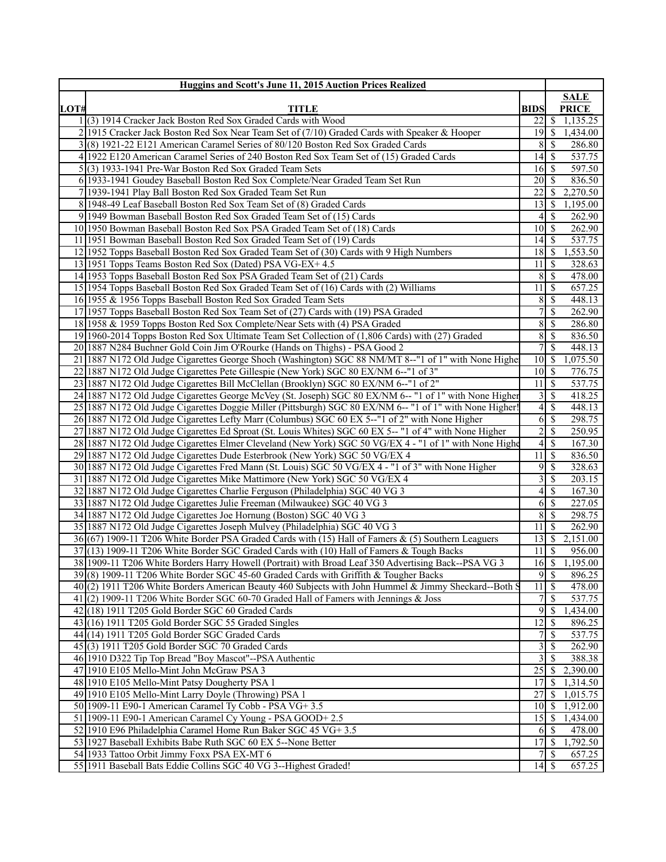|      | <b>Huggins and Scott's June 11, 2015 Auction Prices Realized</b>                                         |                             |                |              |
|------|----------------------------------------------------------------------------------------------------------|-----------------------------|----------------|--------------|
|      |                                                                                                          |                             |                | <b>SALE</b>  |
| LOT# | <b>TITLE</b>                                                                                             | <b>BIDS</b>                 |                | <b>PRICE</b> |
|      | (3) 1914 Cracker Jack Boston Red Sox Graded Cards with Wood                                              | $22\sqrt{3}$                |                | 1,135.25     |
|      | 2 1915 Cracker Jack Boston Red Sox Near Team Set of (7/10) Graded Cards with Speaker & Hooper            | $19$ $\sqrt{S}$             |                | 1,434.00     |
|      | (8) 1921-22 E121 American Caramel Series of 80/120 Boston Red Sox Graded Cards                           | 8                           | S              | 286.80       |
|      | 4 1922 E120 American Caramel Series of 240 Boston Red Sox Team Set of (15) Graded Cards                  | $\overline{14}$ \$          |                | 537.75       |
|      | $5(3)$ 1933-1941 Pre-War Boston Red Sox Graded Team Sets                                                 | 16S                         |                | 597.50       |
|      | 6 1933-1941 Goudey Baseball Boston Red Sox Complete/Near Graded Team Set Run                             | 20                          | -S             | 836.50       |
|      | 7 1939-1941 Play Ball Boston Red Sox Graded Team Set Run                                                 | 22                          | <sup>\$</sup>  | 2,270.50     |
|      | 8 1948-49 Leaf Baseball Boston Red Sox Team Set of (8) Graded Cards                                      | 13                          | -\$            | 1,195.00     |
|      | 9 1949 Bowman Baseball Boston Red Sox Graded Team Set of (15) Cards                                      | 4                           | S              | 262.90       |
|      | 10 1950 Bowman Baseball Boston Red Sox PSA Graded Team Set of (18) Cards                                 | $\overline{10}$ \$          |                | 262.90       |
|      | 11 1951 Bowman Baseball Boston Red Sox Graded Team Set of (19) Cards                                     | 4                           | -\$            | 537.75       |
|      | 12 1952 Topps Baseball Boston Red Sox Graded Team Set of (30) Cards with 9 High Numbers                  | 18                          | l \$           | 1,553.50     |
|      | 13 1951 Topps Teams Boston Red Sox (Dated) PSA VG-EX+4.5                                                 | 11                          | -S             | 328.63       |
|      | 14 1953 Topps Baseball Boston Red Sox PSA Graded Team Set of (21) Cards                                  | 8                           | -S             | 478.00       |
|      | 15 1954 Topps Baseball Boston Red Sox Graded Team Set of (16) Cards with (2) Williams                    | 11                          | S              | 657.25       |
|      | 16 1955 & 1956 Topps Baseball Boston Red Sox Graded Team Sets                                            | 8                           | -S             | 448.13       |
|      | 17 1957 Topps Baseball Boston Red Sox Team Set of (27) Cards with (19) PSA Graded                        | 7                           | S              | 262.90       |
|      | 18 1958 & 1959 Topps Boston Red Sox Complete/Near Sets with (4) PSA Graded                               | 8 <sup>1</sup>              | \$             | 286.80       |
|      | 19 1960-2014 Topps Boston Red Sox Ultimate Team Set Collection of (1,806 Cards) with (27) Graded         | 8 <sup>1</sup>              | -\$            | 836.50       |
|      | 20 1887 N284 Buchner Gold Coin Jim O'Rourke (Hands on Thighs) - PSA Good 2                               | 7                           | \$             | 448.13       |
| 21   | 1887 N172 Old Judge Cigarettes George Shoch (Washington) SGC 88 NM/MT 8--"1 of 1" with None Highe        |                             |                | 1,075.50     |
| 22   | 1887 N172 Old Judge Cigarettes Pete Gillespie (New York) SGC 80 EX/NM 6--"1 of 3"                        | $10$ $\sqrt{5}$             |                | 776.75       |
|      | 23 1887 N172 Old Judge Cigarettes Bill McClellan (Brooklyn) SGC 80 EX/NM 6--"1 of 2"                     | 11                          | -\$            | 537.75       |
|      | 24 1887 N172 Old Judge Cigarettes George McVey (St. Joseph) SGC 80 EX/NM 6-- "1 of 1" with None Higher   | $\overline{\mathbf{3}}$     | <sup>S</sup>   | 418.25       |
|      | 25 1887 N172 Old Judge Cigarettes Doggie Miller (Pittsburgh) SGC 80 EX/NM 6-- "1 of 1" with None Higher! | 4                           | S              | 448.13       |
|      | 26 1887 N172 Old Judge Cigarettes Lefty Marr (Columbus) SGC 60 EX 5--"1 of 2" with None Higher           | 6                           | \$             | 298.75       |
| 27   | 1887 N172 Old Judge Cigarettes Ed Sproat (St. Louis Whites) SGC 60 EX 5-- "1 of 4" with None Higher      | $\overline{2}$              | \$             | 250.95       |
|      | 28 1887 N172 Old Judge Cigarettes Elmer Cleveland (New York) SGC 50 VG/EX 4 - "1 of 1" with None Highe   | 4                           | -\$            | 167.30       |
|      | 29 1887 N172 Old Judge Cigarettes Dude Esterbrook (New York) SGC 50 VG/EX 4                              | 11                          | $\mathcal{S}$  | 836.50       |
|      | 30 1887 N172 Old Judge Cigarettes Fred Mann (St. Louis) SGC 50 VG/EX 4 - "1 of 3" with None Higher       | 9                           | -\$            | 328.63       |
|      | 31 1887 N172 Old Judge Cigarettes Mike Mattimore (New York) SGC 50 VG/EX 4                               | 3                           | S              | 203.15       |
|      | 32 1887 N172 Old Judge Cigarettes Charlie Ferguson (Philadelphia) SGC 40 VG 3                            | 4                           | \$             | 167.30       |
| 33   | 1887 N172 Old Judge Cigarettes Julie Freeman (Milwaukee) SGC 40 VG 3                                     | 6                           | $\mathcal{S}$  | 227.05       |
|      | 34 1887 N172 Old Judge Cigarettes Joe Hornung (Boston) SGC 40 VG 3                                       | 8                           | -\$            | 298.75       |
|      | 35 1887 N172 Old Judge Cigarettes Joseph Mulvey (Philadelphia) SGC 40 VG 3                               | 11                          | <sup>\$</sup>  | 262.90       |
|      | 36(67) 1909-11 T206 White Border PSA Graded Cards with (15) Hall of Famers & (5) Southern Leaguers       |                             |                | 2,151.00     |
|      | 37(13) 1909-11 T206 White Border SGC Graded Cards with (10) Hall of Famers & Tough Backs                 | 11                          | \$             | 956.00       |
|      | 38 1909-11 T206 White Borders Harry Howell (Portrait) with Broad Leaf 350 Advertising Back--PSA VG 3     |                             |                | 1,195.00     |
|      | 39(8) 1909-11 T206 White Border SGC 45-60 Graded Cards with Griffith & Tougher Backs                     |                             | 9S             | 896.25       |
|      | 40(2) 1911 T206 White Borders American Beauty 460 Subjects with John Hummel & Jimmy Sheckard--Both 9     | 11                          | -\$            | 478.00       |
|      | $41(2)$ 1909-11 T206 White Border SGC 60-70 Graded Hall of Famers with Jennings & Joss                   | 7                           | <sup>\$</sup>  | 537.75       |
|      | $42(18)$ 1911 T205 Gold Border SGC 60 Graded Cards                                                       | $\overline{9}$              | S              | 1,434.00     |
|      | $43(16)$ 1911 T205 Gold Border SGC 55 Graded Singles                                                     | 12                          | S              | 896.25       |
|      | 44 (14) 1911 T205 Gold Border SGC Graded Cards                                                           | 7                           | S              | 537.75       |
|      | 45(3) 1911 T205 Gold Border SGC 70 Graded Cards                                                          | $\overline{\mathbf{3}}$     | 8              | 262.90       |
|      | 46 1910 D322 Tip Top Bread "Boy Mascot"--PSA Authentic                                                   | $\overline{3}$              | -S             | 388.38       |
|      | 47 1910 E105 Mello-Mint John McGraw PSA 3                                                                | 25                          | <sup>\$</sup>  | 2,390.00     |
|      | 48 1910 E105 Mello-Mint Patsy Dougherty PSA 1                                                            | 17                          | $\mathsf{S}$   | 1,314.50     |
|      | 49 1910 E105 Mello-Mint Larry Doyle (Throwing) PSA 1                                                     | 27                          | \$             | 1,015.75     |
|      | 50 1909-11 E90-1 American Caramel Ty Cobb - PSA VG+ 3.5                                                  | 10 <sup>1</sup>             | S              | 1,912.00     |
|      | 51 1909-11 E90-1 American Caramel Cy Young - PSA GOOD+2.5                                                |                             |                | 1,434.00     |
|      | 52 1910 E96 Philadelphia Caramel Home Run Baker SGC 45 VG+ 3.5                                           |                             |                | 478.00       |
|      | 53 1927 Baseball Exhibits Babe Ruth SGC 60 EX 5--None Better                                             |                             |                | 1,792.50     |
|      | 54 1933 Tattoo Orbit Jimmy Foxx PSA EX-MT 6                                                              |                             | $7$ $\sqrt{5}$ | 657.25       |
|      | 55 1911 Baseball Bats Eddie Collins SGC 40 VG 3--Highest Graded!                                         | $14 \overline{\smash{)}\,}$ |                | 657.25       |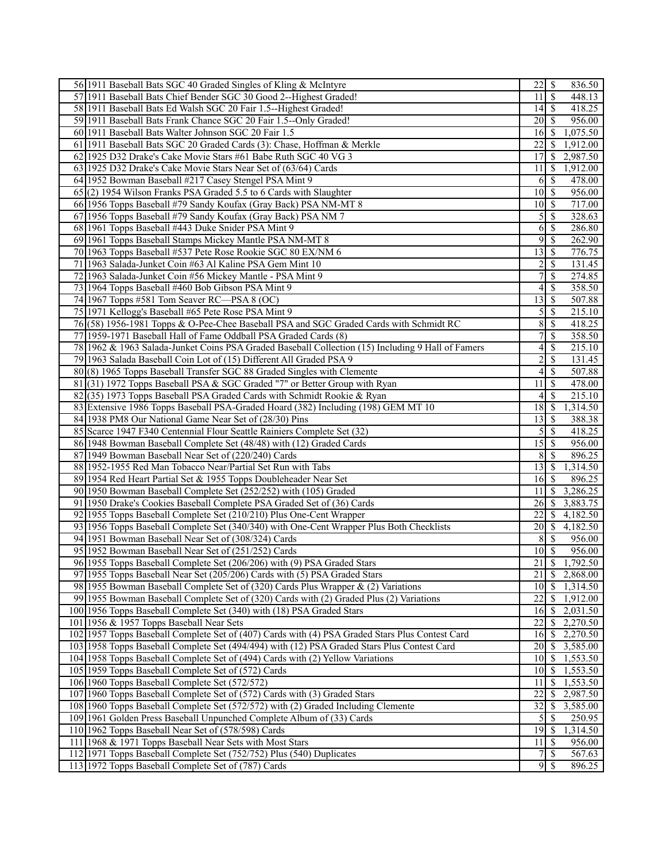| 56 1911 Baseball Bats SGC 40 Graded Singles of Kling & McIntyre                                   | $\overline{22}$ \$   | 836.50                               |
|---------------------------------------------------------------------------------------------------|----------------------|--------------------------------------|
| 57 1911 Baseball Bats Chief Bender SGC 30 Good 2--Highest Graded!                                 | 11                   | $\overline{\mathcal{S}}$<br>448.13   |
| 58 1911 Baseball Bats Ed Walsh SGC 20 Fair 1.5--Highest Graded!                                   | 14S                  | 418.25                               |
| 59 1911 Baseball Bats Frank Chance SGC 20 Fair 1.5--Only Graded!                                  | 20                   | l S<br>956.00                        |
| 60 1911 Baseball Bats Walter Johnson SGC 20 Fair 1.5                                              | 16                   | 1,075.50<br>  S                      |
| 61 1911 Baseball Bats SGC 20 Graded Cards (3): Chase, Hoffman & Merkle                            | 22                   | 1,912.00<br>-S                       |
| 62 1925 D32 Drake's Cake Movie Stars #61 Babe Ruth SGC 40 VG 3                                    | 17                   | 2,987.50<br>-S                       |
|                                                                                                   |                      |                                      |
| 63 1925 D32 Drake's Cake Movie Stars Near Set of (63/64) Cards                                    | 11                   | 1,912.00<br>8                        |
| 64 1952 Bowman Baseball #217 Casey Stengel PSA Mint 9                                             | 6                    | 478.00<br>$\sqrt{S}$                 |
| 65(2) 1954 Wilson Franks PSA Graded 5.5 to 6 Cards with Slaughter                                 | 10                   | $\sqrt{s}$<br>956.00                 |
| 66 1956 Topps Baseball #79 Sandy Koufax (Gray Back) PSA NM-MT 8                                   | 10 <sup>1</sup>      | $\sqrt{3}$<br>717.00                 |
| 67 1956 Topps Baseball #79 Sandy Koufax (Gray Back) PSA NM 7                                      | 5                    | $\sqrt{S}$<br>328.63                 |
| 68 1961 Topps Baseball #443 Duke Snider PSA Mint 9                                                | 6                    | <sup>5</sup><br>286.80               |
| 69 1961 Topps Baseball Stamps Mickey Mantle PSA NM-MT 8                                           | 9                    | $\overline{\mathcal{S}}$<br>262.90   |
| 70 1963 Topps Baseball #537 Pete Rose Rookie SGC 80 EX/NM 6                                       | 13                   | 776.75<br>$\sqrt{S}$                 |
| 71 1963 Salada-Junket Coin #63 Al Kaline PSA Gem Mint 10                                          | 2                    | $\mathcal{S}$<br>131.45              |
| 72 1963 Salada-Junket Coin #56 Mickey Mantle - PSA Mint 9                                         | 7                    | \$<br>274.85                         |
| 73 1964 Topps Baseball #460 Bob Gibson PSA Mint 9                                                 | 4                    | 358.50<br>-\$                        |
| 74 1967 Topps #581 Tom Seaver RC—PSA 8 (OC)                                                       | 13                   | $\mathcal{S}$<br>507.88              |
| 75 1971 Kellogg's Baseball #65 Pete Rose PSA Mint 9                                               | 5                    | 215.10<br>$\mathcal{S}$              |
| 76 (58) 1956-1981 Topps & O-Pee-Chee Baseball PSA and SGC Graded Cards with Schmidt RC            | 8                    | 418.25<br>$\mathcal{S}$              |
| 77 1959-1971 Baseball Hall of Fame Oddball PSA Graded Cards (8)                                   | 7                    | $\overline{\mathcal{S}}$<br>358.50   |
| 78 1962 & 1963 Salada-Junket Coins PSA Graded Baseball Collection (15) Including 9 Hall of Famers | 4                    | \$<br>215.10                         |
|                                                                                                   |                      |                                      |
| 79 1963 Salada Baseball Coin Lot of (15) Different All Graded PSA 9                               | $\overline{c}$       | $\mathcal{S}$<br>131.45              |
| 80(8) 1965 Topps Baseball Transfer SGC 88 Graded Singles with Clemente                            | 4                    | 507.88<br>$\mathcal{S}$              |
| 81 (31) 1972 Topps Baseball PSA & SGC Graded "7" or Better Group with Ryan                        | 11                   | $\overline{\mathcal{S}}$<br>478.00   |
| 82(35) 1973 Topps Baseball PSA Graded Cards with Schmidt Rookie & Ryan                            | $\vert$              | l \$<br>215.10                       |
| 83 Extensive 1986 Topps Baseball PSA-Graded Hoard (382) Including (198) GEM MT 10                 | 18                   | -\$<br>1,314.50                      |
| 84 1938 PM8 Our National Game Near Set of (28/30) Pins                                            | 13                   | 388.38<br>-S                         |
| 85 Scarce 1947 F340 Centennial Flour Seattle Rainiers Complete Set (32)                           | $\overline{5}$       | $\sqrt{S}$<br>418.25                 |
| 86 1948 Bowman Baseball Complete Set (48/48) with (12) Graded Cards                               | 15                   | 956.00<br>$\mathbb{S}$               |
| 87 1949 Bowman Baseball Near Set of (220/240) Cards                                               | 8                    | $\mathbf{s}$<br>896.25               |
| 88 1952-1955 Red Man Tobacco Near/Partial Set Run with Tabs                                       |                      | 1,314.50                             |
| 89 1954 Red Heart Partial Set & 1955 Topps Doubleheader Near Set                                  | 16                   | $\sqrt{S}$<br>896.25                 |
| 90 1950 Bowman Baseball Complete Set (252/252) with (105) Graded                                  | 11                   | 3,286.25<br>-S                       |
| 91 1950 Drake's Cookies Baseball Complete PSA Graded Set of (36) Cards                            | 26                   | 3,883.75<br>∣\$.                     |
| 92 1955 Topps Baseball Complete Set (210/210) Plus One-Cent Wrapper                               | 22                   | 4,182.50<br>-S                       |
| 93 1956 Topps Baseball Complete Set (340/340) with One-Cent Wrapper Plus Both Checklists          | $20 \mid \mathsf{S}$ | 4,182.50                             |
| 94 1951 Bowman Baseball Near Set of (308/324) Cards                                               |                      | <sup>S</sup><br>956.00               |
|                                                                                                   | 8                    |                                      |
| 95 1952 Bowman Baseball Near Set of (251/252) Cards                                               | 10                   | $\overline{\mathcal{S}}$<br>956.00   |
| 96 1955 Topps Baseball Complete Set (206/206) with (9) PSA Graded Stars                           | $\overline{21}$ s    | 1,792.50                             |
| 97 1955 Topps Baseball Near Set (205/206) Cards with (5) PSA Graded Stars                         | 21                   | \$2,868.00                           |
| 98 1955 Bowman Baseball Complete Set of (320) Cards Plus Wrapper & (2) Variations                 | 10                   | $\overline{\mathcal{S}}$<br>1,314.50 |
| 99 1955 Bowman Baseball Complete Set of (320) Cards with (2) Graded Plus (2) Variations           | 22                   | $\sqrt{S}$<br>1,912.00               |
| 100 1956 Topps Baseball Complete Set (340) with (18) PSA Graded Stars                             | 16                   | $\sqrt{S}$<br>2,031.50               |
| 101 1956 & 1957 Topps Baseball Near Sets                                                          | 22                   | 2,270.50<br><sup>\$</sup>            |
| 102 1957 Topps Baseball Complete Set of (407) Cards with (4) PSA Graded Stars Plus Contest Card   | 16                   | - \$<br>2,270.50                     |
| 103 1958 Topps Baseball Complete Set (494/494) with (12) PSA Graded Stars Plus Contest Card       | 20                   | 3,585.00<br>- S                      |
| 104 1958 Topps Baseball Complete Set of (494) Cards with (2) Yellow Variations                    | 10                   | -\$<br>1,553.50                      |
| 105 1959 Topps Baseball Complete Set of (572) Cards                                               | 10                   | $\sqrt{S}$<br>1,553.50               |
| 106 1960 Topps Baseball Complete Set (572/572)                                                    | 11                   | $\mathcal{S}$<br>1,553.50            |
| 107 1960 Topps Baseball Complete Set of (572) Cards with (3) Graded Stars                         | 22                   | -\$<br>2,987.50                      |
| 108 1960 Topps Baseball Complete Set (572/572) with (2) Graded Including Clemente                 | 32                   | -\$<br>3,585.00                      |
| 109 1961 Golden Press Baseball Unpunched Complete Album of (33) Cards                             | 5                    | $\mathcal{S}$<br>250.95              |
| 110 1962 Topps Baseball Near Set of (578/598) Cards                                               | 19                   | -\$<br>1,314.50                      |
| 111 1968 & 1971 Topps Baseball Near Sets with Most Stars                                          | 11                   | 956.00<br>8                          |
|                                                                                                   |                      |                                      |
| 112 1971 Topps Baseball Complete Set (752/752) Plus (540) Duplicates                              | 7                    | $\mathbb{S}$<br>567.63               |
| 113 1972 Topps Baseball Complete Set of (787) Cards                                               | $\overline{9}$       | -S<br>896.25                         |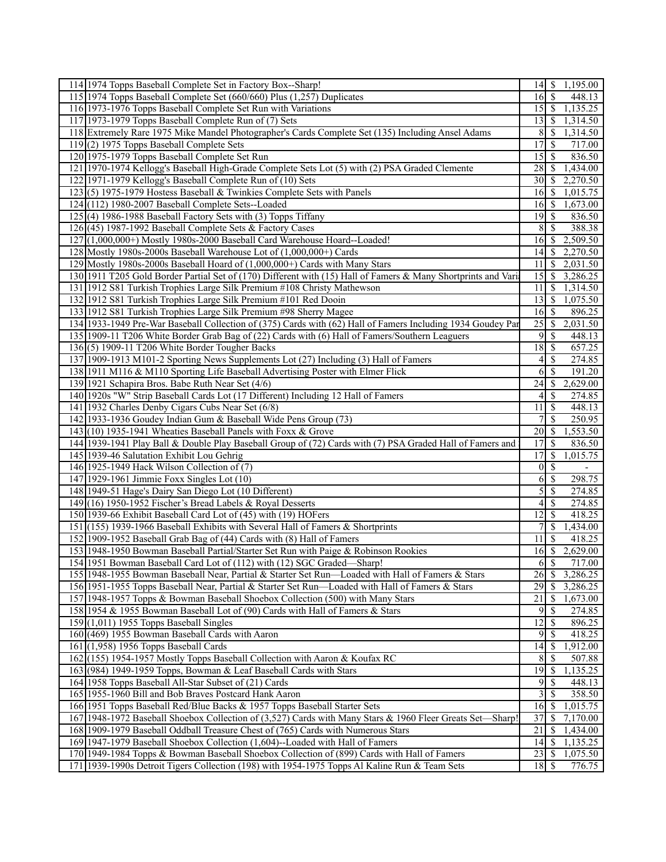| 114 1974 Topps Baseball Complete Set in Factory Box--Sharp!                                                   | $14$   \$          |                            | 1,195.00              |
|---------------------------------------------------------------------------------------------------------------|--------------------|----------------------------|-----------------------|
| 115 1974 Topps Baseball Complete Set (660/660) Plus (1,257) Duplicates                                        | $16 \mid S$        |                            | 448.13                |
| 116 1973-1976 Topps Baseball Complete Set Run with Variations                                                 |                    |                            | 1,135.25              |
| 117 1973-1979 Topps Baseball Complete Run of (7) Sets                                                         | $13$ $\sqrt{5}$    |                            | 1,314.50              |
| 118 Extremely Rare 1975 Mike Mandel Photographer's Cards Complete Set (135) Including Ansel Adams             | 8                  | -\$                        | 1,314.50              |
| $119(2)$ 1975 Topps Baseball Complete Sets                                                                    | 17                 | 8                          | 717.00                |
| 120 1975-1979 Topps Baseball Complete Set Run                                                                 | 15                 | -S                         | 836.50                |
| 121 1970-1974 Kellogg's Baseball High-Grade Complete Sets Lot (5) with (2) PSA Graded Clemente                | $28$   \$          |                            | 1,434.00              |
| 1971-1979 Kellogg's Baseball Complete Run of (10) Sets<br>122                                                 | $30 \mid S$        |                            | 2,270.50              |
| 123(5) 1975-1979 Hostess Baseball & Twinkies Complete Sets with Panels                                        | $16 \mid$ \$       |                            | 1,015.75              |
| 124 (112) 1980-2007 Baseball Complete Sets--Loaded                                                            | 16 \$              |                            | 1,673.00              |
| $125(4)$ 1986-1988 Baseball Factory Sets with (3) Topps Tiffany                                               | $19$ $\sqrt{5}$    |                            | 836.50                |
| 126 (45) 1987-1992 Baseball Complete Sets & Factory Cases                                                     |                    | 8   S                      | 388.38                |
| 127 (1,000,000+) Mostly 1980s-2000 Baseball Card Warehouse Hoard--Loaded!                                     | 16S                |                            | 2,509.50              |
|                                                                                                               |                    |                            |                       |
| 128 Mostly 1980s-2000s Baseball Warehouse Lot of (1,000,000+) Cards                                           |                    |                            | 2,270.50              |
| 129 Mostly 1980s-2000s Baseball Hoard of (1,000,000+) Cards with Many Stars                                   | 11                 | $\mathcal{S}$              | 2,031.50              |
| 130 1911 T205 Gold Border Partial Set of (170) Different with (15) Hall of Famers & Many Shortprints and Vari | 15                 | 8                          | 3,286.25              |
| 131 1912 S81 Turkish Trophies Large Silk Premium #108 Christy Mathewson                                       | 11                 | -\$                        | 1,314.50              |
| 132 1912 S81 Turkish Trophies Large Silk Premium #101 Red Dooin                                               | 13                 | S                          | 1,075.50              |
| 133 1912 S81 Turkish Trophies Large Silk Premium #98 Sherry Magee                                             | 16                 | -S                         | 896.25                |
| 134 1933-1949 Pre-War Baseball Collection of (375) Cards with (62) Hall of Famers Including 1934 Goudey Par   |                    |                            | 2,031.50              |
| 135 1909-11 T206 White Border Grab Bag of (22) Cards with (6) Hall of Famers/Southern Leaguers                | 9                  | $\mathcal{S}$              | 448.13                |
| 136(5) 1909-11 T206 White Border Tougher Backs                                                                | 18                 | \$                         | 657.25                |
| 137 1909-1913 M101-2 Sporting News Supplements Lot (27) Including (3) Hall of Famers                          | 4                  | \$                         | 274.85                |
| 138 1911 M116 & M110 Sporting Life Baseball Advertising Poster with Elmer Flick                               | 6                  | <sup>\$</sup>              | 191.20                |
| 139 1921 Schapira Bros. Babe Ruth Near Set (4/6)                                                              |                    |                            | 2,629.00              |
| 140 1920s "W" Strip Baseball Cards Lot (17 Different) Including 12 Hall of Famers                             | 4                  | -S                         | 274.85                |
| 141 1932 Charles Denby Cigars Cubs Near Set (6/8)                                                             | 11                 | S                          | 448.13                |
| 142 1933-1936 Goudey Indian Gum & Baseball Wide Pens Group (73)                                               | 7                  | \$                         | 250.95                |
| 143 $(10)$ 1935-1941 Wheaties Baseball Panels with Foxx & Grove                                               | 20                 | -S                         | 1,553.50              |
| 144 1939-1941 Play Ball & Double Play Baseball Group of (72) Cards with (7) PSA Graded Hall of Famers and     | 17                 | <sup>\$</sup>              | 836.50                |
| 145 1939-46 Salutation Exhibit Lou Gehrig                                                                     | 17                 | <sup>\$</sup>              | 1,015.75              |
| 146 1925-1949 Hack Wilson Collection of (7)                                                                   | $\overline{0}$     | $\sqrt{S}$                 | $\blacksquare$        |
| 147 1929-1961 Jimmie Foxx Singles Lot (10)                                                                    | 6                  | \$                         | 298.75                |
| 148 1949-51 Hage's Dairy San Diego Lot (10 Different)                                                         | 5                  | \$                         | 274.85                |
| 149 (16) 1950-1952 Fischer's Bread Labels & Royal Desserts                                                    | 4                  | S                          | 274.85                |
| 150 1939-66 Exhibit Baseball Card Lot of (45) with (19) HOFers                                                | 12                 | S                          | 418.25                |
| 151 (155) 1939-1966 Baseball Exhibits with Several Hall of Famers & Shortprints                               | 7                  | -\$                        | 1,434.00              |
| 152 1909-1952 Baseball Grab Bag of (44) Cards with (8) Hall of Famers                                         | 11                 | \$                         | 418.25                |
| 153 1948-1950 Bowman Baseball Partial/Starter Set Run with Paige & Robinson Rookies                           | $\overline{16}$ \$ |                            | 2,629.00              |
| 154 1951 Bowman Baseball Card Lot of (112) with (12) SGC Graded-Sharp!                                        |                    | $6 \overline{\smash{)}\,}$ | 717.00                |
| 155 1948-1955 Bowman Baseball Near, Partial & Starter Set Run—Loaded with Hall of Famers & Stars              | 26                 | -S                         | 3,286.25              |
| 156 1951-1955 Topps Baseball Near, Partial & Starter Set Run—Loaded with Hall of Famers & Stars               | 29                 | \$                         | 3,286.25              |
| 157 1948-1957 Topps & Bowman Baseball Shoebox Collection (500) with Many Stars                                | 21                 | \$                         | $\overline{1,673.00}$ |
| 158 1954 & 1955 Bowman Baseball Lot of (90) Cards with Hall of Famers & Stars                                 | 9                  | <sup>\$</sup>              | 274.85                |
| $159(1,011)$ 1955 Topps Baseball Singles                                                                      | 12                 | S                          | 896.25                |
| 160 (469) 1955 Bowman Baseball Cards with Aaron                                                               | 9                  | -S                         | 418.25                |
| 161 (1,958) 1956 Topps Baseball Cards                                                                         | 14                 | S                          | 1,912.00              |
| 162 (155) 1954-1957 Mostly Topps Baseball Collection with Aaron & Koufax RC                                   | 8                  | S                          | 507.88                |
| 163(984) 1949-1959 Topps, Bowman & Leaf Baseball Cards with Stars                                             | $\overline{19}$ \$ |                            | 1,135.25              |
| 164 1958 Topps Baseball All-Star Subset of (21) Cards                                                         | 9                  | <sup>\$</sup>              | 448.13                |
| 165 1955-1960 Bill and Bob Braves Postcard Hank Aaron                                                         | 3                  | S                          | 358.50                |
| 166 1951 Topps Baseball Red/Blue Backs & 1957 Topps Baseball Starter Sets                                     | $16 \mid$ \$       |                            | 1,015.75              |
| 167 1948-1972 Baseball Shoebox Collection of (3,527) Cards with Many Stars & 1960 Fleer Greats Set—Sharp!     | 37                 | \$                         | 7,170.00              |
| 168 1909-1979 Baseball Oddball Treasure Chest of (765) Cards with Numerous Stars                              | 21                 | S                          | 1,434.00              |
| 169 1947-1979 Baseball Shoebox Collection (1,604)--Loaded with Hall of Famers                                 |                    |                            | 1,135.25              |
| 170 1949-1984 Topps & Bowman Baseball Shoebox Collection of (899) Cards with Hall of Famers                   | 23                 | \$                         | 1,075.50              |
| 171 1939-1990s Detroit Tigers Collection (198) with 1954-1975 Topps Al Kaline Run & Team Sets                 | $18$   \$          |                            | 776.75                |
|                                                                                                               |                    |                            |                       |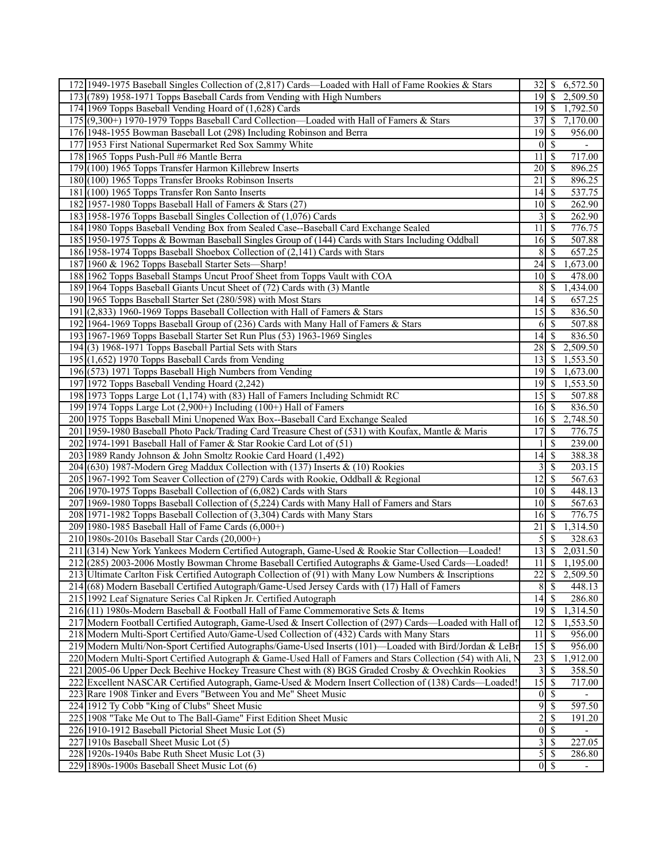| 172 1949-1975 Baseball Singles Collection of (2,817) Cards—Loaded with Hall of Fame Rookies & Stars         |                       |                          | 6,572.50                 |
|-------------------------------------------------------------------------------------------------------------|-----------------------|--------------------------|--------------------------|
| 173 (789) 1958-1971 Topps Baseball Cards from Vending with High Numbers                                     | 19                    | $\overline{\mathcal{S}}$ | 2,509.50                 |
| 174 1969 Topps Baseball Vending Hoard of (1,628) Cards                                                      |                       |                          | 1,792.50                 |
| 175 (9,300+) 1970-1979 Topps Baseball Card Collection—Loaded with Hall of Famers & Stars                    | 37                    | $\mathcal{S}$            | 7,170.00                 |
| 176 1948-1955 Bowman Baseball Lot (298) Including Robinson and Berra                                        | 19                    | 8                        | 956.00                   |
| 177 1953 First National Supermarket Red Sox Sammy White                                                     | $\mathbf{0}$          | $\overline{\mathcal{S}}$ | $\overline{\phantom{a}}$ |
| 178 1965 Topps Push-Pull #6 Mantle Berra                                                                    | 11                    | $\mathcal{S}$            | 717.00                   |
| 179 (100) 1965 Topps Transfer Harmon Killebrew Inserts                                                      | 20                    | $\mathsf{S}$             | 896.25                   |
| 180 (100) 1965 Topps Transfer Brooks Robinson Inserts                                                       | 21                    | $\mathcal{S}$            | 896.25                   |
| 181 (100) 1965 Topps Transfer Ron Santo Inserts                                                             | 14                    | -\$                      | 537.75                   |
| 182 1957-1980 Topps Baseball Hall of Famers & Stars (27)                                                    | 10                    | $\mathbf{\hat{s}}$       | 262.90                   |
| 183 1958-1976 Topps Baseball Singles Collection of (1,076) Cards                                            | 3                     | $\overline{\mathcal{S}}$ | 262.90                   |
| 184 1980 Topps Baseball Vending Box from Sealed Case--Baseball Card Exchange Sealed                         | 11                    | - \$                     | 776.75                   |
|                                                                                                             |                       |                          |                          |
| 185 1950-1975 Topps & Bowman Baseball Singles Group of (144) Cards with Stars Including Oddball             |                       |                          | 507.88                   |
| 186 1958-1974 Topps Baseball Shoebox Collection of (2,141) Cards with Stars                                 | 8                     | $\overline{\mathcal{S}}$ | 657.25                   |
| 187 1960 & 1962 Topps Baseball Starter Sets-Sharp!                                                          | 24                    | -\$                      | 1,673.00                 |
| 188 1962 Topps Baseball Stamps Uncut Proof Sheet from Topps Vault with COA                                  | 10 <sup>1</sup>       | 8                        | 478.00                   |
| 189 1964 Topps Baseball Giants Uncut Sheet of (72) Cards with (3) Mantle                                    | 8                     | -S                       | 1,434.00                 |
| 190 1965 Topps Baseball Starter Set (280/598) with Most Stars                                               | 4                     | \$                       | 657.25                   |
| 191 (2,833) 1960-1969 Topps Baseball Collection with Hall of Famers & Stars                                 | 15                    | \$                       | 836.50                   |
| 192 1964-1969 Topps Baseball Group of (236) Cards with Many Hall of Famers & Stars                          | 6                     | -\$                      | 507.88                   |
| 193 1967-1969 Topps Baseball Starter Set Run Plus (53) 1963-1969 Singles                                    | 14                    | $\mathcal{S}$            | 836.50                   |
| $194(3) 1968-1971$ Topps Baseball Partial Sets with Stars                                                   | 28                    | -\$                      | 2,509.50                 |
| $195(1,652)$ 1970 Topps Baseball Cards from Vending                                                         | 13                    | -\$                      | 1,553.50                 |
| 196 (573) 1971 Topps Baseball High Numbers from Vending                                                     | 19                    | -S                       | 1,673.00                 |
| 197 1972 Topps Baseball Vending Hoard (2,242)                                                               | 19                    | l \$                     | 1,553.50                 |
| 198 1973 Topps Large Lot (1,174) with (83) Hall of Famers Including Schmidt RC                              | 15                    | l \$                     | 507.88                   |
| 199 1974 Topps Large Lot (2,900+) Including (100+) Hall of Famers                                           | 16                    | \$                       | 836.50                   |
| 200 1975 Topps Baseball Mini Unopened Wax Box--Baseball Card Exchange Sealed                                | 16                    | 8                        | 2,748.50                 |
| 201 1959-1980 Baseball Photo Pack/Trading Card Treasure Chest of (531) with Koufax, Mantle & Maris          | 17                    | $\mathcal{S}$            | 776.75                   |
| 202 1974-1991 Baseball Hall of Famer & Star Rookie Card Lot of (51)                                         |                       | <sup>\$</sup>            | 239.00                   |
| 203 1989 Randy Johnson & John Smoltz Rookie Card Hoard (1,492)                                              | 14                    | $\mathbb{S}$             | 388.38                   |
| 204 (630) 1987-Modern Greg Maddux Collection with (137) Inserts & (10) Rookies                              | 3                     | $\mathbb{S}$             | 203.15                   |
| 205 1967-1992 Tom Seaver Collection of (279) Cards with Rookie, Oddball & Regional                          | 12                    | $\mathbb{S}$             | 567.63                   |
| 206 1970-1975 Topps Baseball Collection of (6,082) Cards with Stars                                         | $10$ $\sqrt{5}$       |                          | 448.13                   |
| 207 1969-1980 Topps Baseball Collection of (5,224) Cards with Many Hall of Famers and Stars                 | 10                    | $\sqrt{S}$               | 567.63                   |
| 208 1971-1982 Topps Baseball Collection of (3,304) Cards with Many Stars                                    | 16                    | l \$                     | 776.75                   |
| 209 1980-1985 Baseball Hall of Fame Cards (6,000+)                                                          | 21                    | -S                       | 1,314.50                 |
| 210 1980s-2010s Baseball Star Cards (20,000+)                                                               | 5                     | $\overline{\mathcal{S}}$ | 328.63                   |
| 211 (314) New York Yankees Modern Certified Autograph, Game-Used & Rookie Star Collection-Loaded!           | 13                    | <sup>\$</sup>            | 2,031.50                 |
| 212 (285) 2003-2006 Mostly Bowman Chrome Baseball Certified Autographs & Game-Used Cards—Loaded!            | $11 \mid S$           |                          | 1,195.00                 |
| 213 Ultimate Carlton Fisk Certified Autograph Collection of (91) with Many Low Numbers & Inscriptions       | 22                    | <b>S</b>                 | 2,509.50                 |
| 214 (68) Modern Baseball Certified Autograph/Game-Used Jersey Cards with (17) Hall of Famers                | 8                     | $\overline{\mathcal{S}}$ | 448.13                   |
| 215 1992 Leaf Signature Series Cal Ripken Jr. Certified Autograph                                           |                       |                          | 286.80                   |
| 216 (11) 1980s-Modern Baseball & Football Hall of Fame Commemorative Sets & Items                           | 19                    | <b>S</b>                 | 1,314.50                 |
| 217 Modern Football Certified Autograph, Game-Used & Insert Collection of (297) Cards—Loaded with Hall of   | 12                    | <sup>\$</sup>            | 1,553.50                 |
| 218 Modern Multi-Sport Certified Auto/Game-Used Collection of (432) Cards with Many Stars                   | $\overline{11}$       | -\$                      | 956.00                   |
| 219 Modern Multi/Non-Sport Certified Autographs/Game-Used Inserts (101)—Loaded with Bird/Jordan & LeBr      | 15                    | $\mathcal{S}$            | 956.00                   |
| 220 Modern Multi-Sport Certified Autograph & Game-Used Hall of Famers and Stars Collection (54) with Ali, N | 23                    | $\mathcal{S}$            | 1,912.00                 |
| 221 2005-06 Upper Deck Beehive Hockey Treasure Chest with (8) BGS Graded Crosby & Ovechkin Rookies          | 3                     | -\$                      | 358.50                   |
| 222 Excellent NASCAR Certified Autograph, Game-Used & Modern Insert Collection of (138) Cards—Loaded!       | 15                    | -S                       | 717.00                   |
| 223 Rare 1908 Tinker and Evers "Between You and Me" Sheet Music                                             | $\vert 0 \vert$       | 8                        |                          |
| 224 1912 Ty Cobb "King of Clubs" Sheet Music                                                                | 9                     | $\mathcal{S}$            | 597.50                   |
| 225 1908 "Take Me Out to The Ball-Game" First Edition Sheet Music                                           | $\overline{c}$        | $\mathcal{S}$            | 191.20                   |
| 226 1910-1912 Baseball Pictorial Sheet Music Lot (5)                                                        | $\vert 0 \vert$       | $\mathbb{S}$             |                          |
| 227 1910s Baseball Sheet Music Lot (5)                                                                      | 3                     | <sup>\$</sup>            | $\overline{2}27.05$      |
| 228 1920s-1940s Babe Ruth Sheet Music Lot (3)                                                               | 5                     | -S                       | 286.80                   |
| 229 1890s-1900s Baseball Sheet Music Lot (6)                                                                | $0 \mid \text{\$\$\}$ |                          |                          |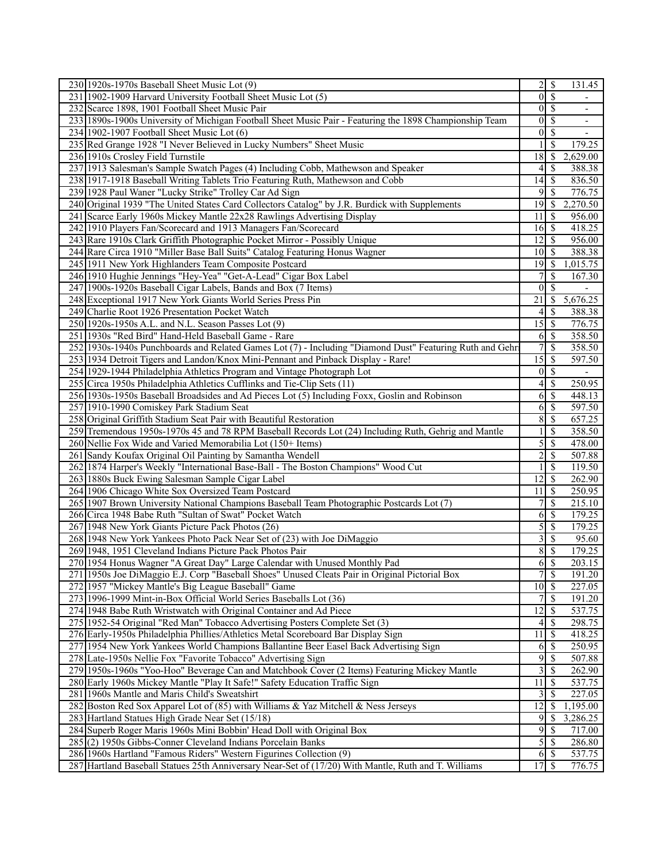| 230 1920s-1970s Baseball Sheet Music Lot (9)                                                             |                  | $2$   \$                 | 131.45                   |
|----------------------------------------------------------------------------------------------------------|------------------|--------------------------|--------------------------|
| 231 1902-1909 Harvard University Football Sheet Music Lot (5)                                            | $\overline{0}$   | $\overline{\mathcal{S}}$ |                          |
| 232 Scarce 1898, 1901 Football Sheet Music Pair                                                          | $\overline{0}$   | $\overline{\mathcal{S}}$ | ÷.                       |
| 233 1890s-1900s University of Michigan Football Sheet Music Pair - Featuring the 1898 Championship Team  | $\overline{0}$   | <sup>\$</sup>            | $\overline{\phantom{a}}$ |
| 234 1902-1907 Football Sheet Music Lot (6)                                                               | $\boldsymbol{0}$ | -S                       | -                        |
| 235 Red Grange 1928 "I Never Believed in Lucky Numbers" Sheet Music                                      |                  | $\mathcal{S}$            | 179.25                   |
| 236 1910s Crosley Field Turnstile                                                                        | 18               | $\mathcal{S}$            | 2,629.00                 |
| 237 1913 Salesman's Sample Swatch Pages (4) Including Cobb, Mathewson and Speaker                        | 4                | -\$                      | 388.38                   |
| 238 1917-1918 Baseball Writing Tablets Trio Featuring Ruth, Mathewson and Cobb                           | 14               | $\sqrt{3}$               | 836.50                   |
| 239 1928 Paul Waner "Lucky Strike" Trolley Car Ad Sign                                                   | 9                | $\mathcal{S}$            | 776.75                   |
| 240 Original 1939 "The United States Card Collectors Catalog" by J.R. Burdick with Supplements           | 19               | -S                       | 2,270.50                 |
| 241 Scarce Early 1960s Mickey Mantle 22x28 Rawlings Advertising Display                                  | 11               | -\$                      | 956.00                   |
| 242 1910 Players Fan/Scorecard and 1913 Managers Fan/Scorecard                                           | $16$ $\sqrt{ }$  |                          | 418.25                   |
| 243 Rare 1910s Clark Griffith Photographic Pocket Mirror - Possibly Unique                               | 12               | 8                        | 956.00                   |
| 244 Rare Circa 1910 "Miller Base Ball Suits" Catalog Featuring Honus Wagner                              | 10 <sup>1</sup>  | $\sqrt{S}$               | 388.38                   |
|                                                                                                          |                  |                          |                          |
| 245 1911 New York Highlanders Team Composite Postcard                                                    | $19$ $\sqrt{5}$  |                          | 1,015.75                 |
| 246 1910 Hughie Jennings "Hey-Yea" "Get-A-Lead" Cigar Box Label                                          |                  | S                        | 167.30                   |
| 247 1900s-1920s Baseball Cigar Labels, Bands and Box (7 Items)                                           | $\mathbf{0}$     | -S                       |                          |
| 248 Exceptional 1917 New York Giants World Series Press Pin                                              | 21               | -S                       | 5,676.25                 |
| 249 Charlie Root 1926 Presentation Pocket Watch                                                          | 4                | $\mathcal{S}$            | 388.38                   |
| 250 1920s-1950s A.L. and N.L. Season Passes Lot (9)                                                      | 15               | -\$                      | 776.75                   |
| 251 1930s "Red Bird" Hand-Held Baseball Game - Rare                                                      | 6                | $\mathcal{S}$            | 358.50                   |
| 252 1930s-1940s Punchboards and Related Games Lot (7) - Including "Diamond Dust" Featuring Ruth and Gehr | 7                | $\mathbf S$              | 358.50                   |
| 253 1934 Detroit Tigers and Landon/Knox Mini-Pennant and Pinback Display - Rare!                         | $\overline{15}$  | 8                        | 597.50                   |
| 254 1929-1944 Philadelphia Athletics Program and Vintage Photograph Lot                                  | $\theta$         | $\overline{\mathcal{S}}$ |                          |
| 255 Circa 1950s Philadelphia Athletics Cufflinks and Tie-Clip Sets (11)                                  | 4                | $\mathcal{S}$            | 250.95                   |
| 256 1930s-1950s Baseball Broadsides and Ad Pieces Lot (5) Including Foxx, Goslin and Robinson            | 6                | -\$                      | 448.13                   |
| 257 1910-1990 Comiskey Park Stadium Seat                                                                 | 6                | $\mathcal{S}$            | 597.50                   |
| 258 Original Griffith Stadium Seat Pair with Beautiful Restoration                                       | 8                | $\mathbb{S}$             | 657.25                   |
| 259 Tremendous 1950s-1970s 45 and 78 RPM Baseball Records Lot (24) Including Ruth, Gehrig and Mantle     |                  | $\mathcal{S}$            | 358.50                   |
| 260 Nellie Fox Wide and Varied Memorabilia Lot (150+ Items)                                              | 5                | $\mathcal{S}$            | 478.00                   |
| 261 Sandy Koufax Original Oil Painting by Samantha Wendell                                               | $\overline{c}$   | $\overline{\mathcal{S}}$ | 507.88                   |
| 262 1874 Harper's Weekly "International Base-Ball - The Boston Champions" Wood Cut                       |                  | $\mathcal{S}$            | 119.50                   |
| 263 1880s Buck Ewing Salesman Sample Cigar Label                                                         | 12               | $\mathcal{S}$            | 262.90                   |
| 264 1906 Chicago White Sox Oversized Team Postcard                                                       | 11               | $\mathcal{S}$            | 250.95                   |
| 265 1907 Brown University National Champions Baseball Team Photographic Postcards Lot (7)                | 7                | $\mathcal{S}$            | 215.10                   |
| 266 Circa 1948 Babe Ruth "Sultan of Swat" Pocket Watch                                                   | 6                | -\$                      | 179.25                   |
| 267 1948 New York Giants Picture Pack Photos (26)                                                        | 5                | $\overline{\mathcal{S}}$ | 179.25                   |
| 268 1948 New York Yankees Photo Pack Near Set of (23) with Joe DiMaggio                                  | 3                | $\overline{\mathcal{S}}$ | 95.60                    |
| 269 1948, 1951 Cleveland Indians Picture Pack Photos Pair                                                | $\overline{8}$   | $\overline{\mathcal{S}}$ | 179.25                   |
| 270 1954 Honus Wagner "A Great Day" Large Calendar with Unused Monthly Pad                               | 6                | $\overline{\mathcal{S}}$ | 203.15                   |
| 271 1950s Joe DiMaggio E.J. Corp "Baseball Shoes" Unused Cleats Pair in Original Pictorial Box           | 7                | $\mathcal{S}$            | 191.20                   |
| 272 1957 "Mickey Mantle's Big League Baseball" Game                                                      | 10               | $\mathbf s$              | 227.05                   |
| 273 1996-1999 Mint-in-Box Official World Series Baseballs Lot (36)                                       | 7                | $\mathcal{S}$            | 191.20                   |
| 274 1948 Babe Ruth Wristwatch with Original Container and Ad Piece                                       | 12               | \$                       | 537.75                   |
| 275 1952-54 Original "Red Man" Tobacco Advertising Posters Complete Set (3)                              | 4                | -\$                      | 298.75                   |
| 276 Early-1950s Philadelphia Phillies/Athletics Metal Scoreboard Bar Display Sign                        | 11               | -S                       | 418.25                   |
| 277 1954 New York Yankees World Champions Ballantine Beer Easel Back Advertising Sign                    | 6                | - \$                     | $\overline{250.95}$      |
| 278 Late-1950s Nellie Fox "Favorite Tobacco" Advertising Sign                                            | 9                | -\$                      | 507.88                   |
| 279 1950s-1960s "Yoo-Hoo" Beverage Can and Matchbook Cover (2 Items) Featuring Mickey Mantle             | 3                | $\mathbb{S}$             | 262.90                   |
| 280 Early 1960s Mickey Mantle "Play It Safe!" Safety Education Traffic Sign                              | 11               | \$                       | 537.75                   |
| 281 1960s Mantle and Maris Child's Sweatshirt                                                            | 3                | -S                       | 227.05                   |
|                                                                                                          | 12               |                          | 1,195.00                 |
| 282 Boston Red Sox Apparel Lot of (85) with Williams & Yaz Mitchell & Ness Jerseys                       |                  | -S                       |                          |
| 283 Hartland Statues High Grade Near Set (15/18)                                                         | 9                | \$                       | 3,286.25                 |
| 284 Superb Roger Maris 1960s Mini Bobbin' Head Doll with Original Box                                    | 9                | -\$                      | 717.00                   |
| 285(2) 1950s Gibbs-Conner Cleveland Indians Porcelain Banks                                              | $\mathfrak{S}$   | \$                       | 286.80                   |
| 286 1960s Hartland "Famous Riders" Western Figurines Collection (9)                                      |                  |                          | 537.75                   |
| 287 Hartland Baseball Statues 25th Anniversary Near-Set of (17/20) With Mantle, Ruth and T. Williams     |                  |                          | 776.75                   |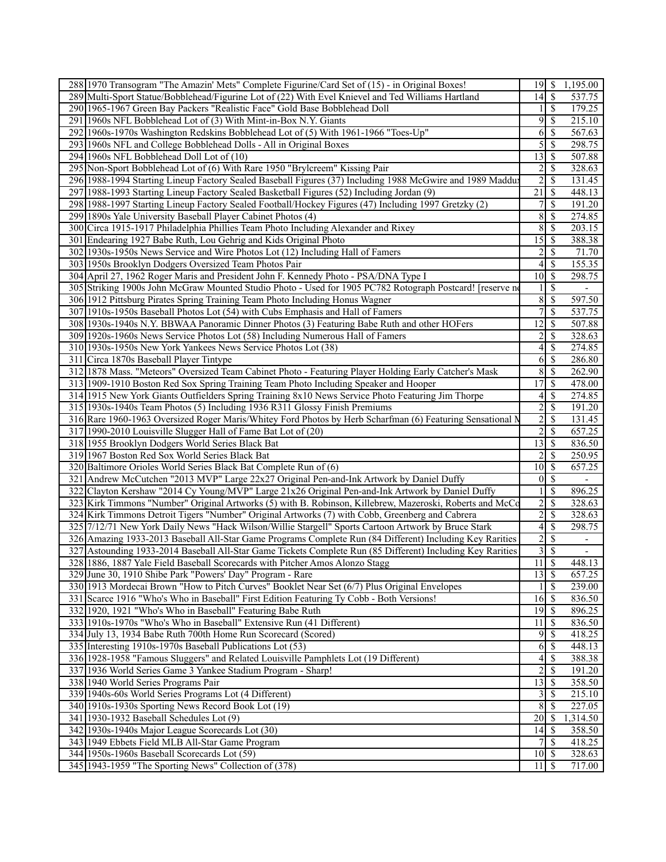| 288 1970 Transogram "The Amazin' Mets" Complete Figurine/Card Set of (15) - in Original Boxes!             |                    |                          | 1,195.00                 |
|------------------------------------------------------------------------------------------------------------|--------------------|--------------------------|--------------------------|
| 289 Multi-Sport Statue/Bobblehead/Figurine Lot of (22) With Evel Knievel and Ted Williams Hartland         |                    |                          | 537.75                   |
| 290 1965-1967 Green Bay Packers "Realistic Face" Gold Base Bobblehead Doll                                 |                    | $\mathcal{S}$            | 179.25                   |
| 291 1960s NFL Bobblehead Lot of (3) With Mint-in-Box N.Y. Giants                                           | 9                  | $\mathbb{S}$             | 215.10                   |
| 292 1960s-1970s Washington Redskins Bobblehead Lot of (5) With 1961-1966 "Toes-Up"                         | 6                  | $\mathcal{S}$            | 567.63                   |
| 293 1960s NFL and College Bobblehead Dolls - All in Original Boxes                                         | 5                  | $\mathbb{S}$             | 298.75                   |
| 294 1960s NFL Bobblehead Doll Lot of (10)                                                                  | 13                 | \$                       | 507.88                   |
| 295 Non-Sport Bobblehead Lot of (6) With Rare 1950 "Brylcreem" Kissing Pair                                |                    |                          |                          |
|                                                                                                            | 2                  | $\mathcal{S}$            | 328.63                   |
| 296 1988-1994 Starting Lineup Factory Sealed Baseball Figures (37) Including 1988 McGwire and 1989 Maddu:  | $\overline{2}$     | \$                       | 131.45                   |
| 297 1988-1993 Starting Lineup Factory Sealed Basketball Figures (52) Including Jordan (9)                  | 21                 | <sup>\$</sup>            | 448.13                   |
| 298 1988-1997 Starting Lineup Factory Sealed Football/Hockey Figures (47) Including 1997 Gretzky (2)       | 7                  | $\mathcal{S}$            | 191.20                   |
| 299 1890s Yale University Baseball Player Cabinet Photos (4)                                               | 8                  | $\mathcal{S}$            | 274.85                   |
| 300 Circa 1915-1917 Philadelphia Phillies Team Photo Including Alexander and Rixey                         | 8                  | -\$                      | 203.15                   |
| 301 Endearing 1927 Babe Ruth, Lou Gehrig and Kids Original Photo                                           | 15                 | $\mathbb{S}$             | 388.38                   |
| 302 1930s-1950s News Service and Wire Photos Lot (12) Including Hall of Famers                             | $\overline{c}$     | $\overline{\mathcal{S}}$ | 71.70                    |
| 303 1950s Brooklyn Dodgers Oversized Team Photos Pair                                                      | 4                  | -S                       | 155.35                   |
| 304 April 27, 1962 Roger Maris and President John F. Kennedy Photo - PSA/DNA Type I                        | 10 <sup>1</sup>    | <sup>5</sup>             | 298.75                   |
| 305 Striking 1900s John McGraw Mounted Studio Photo - Used for 1905 PC782 Rotograph Postcard! [reserve no  |                    | <sup>\$</sup>            | $\overline{\phantom{a}}$ |
| 306 1912 Pittsburg Pirates Spring Training Team Photo Including Honus Wagner                               | 8                  | $\mathcal{S}$            | 597.50                   |
| 307 1910s-1950s Baseball Photos Lot (54) with Cubs Emphasis and Hall of Famers                             | 7                  | $\mathcal{S}$            | 537.75                   |
| 308 1930s-1940s N.Y. BBWAA Panoramic Dinner Photos (3) Featuring Babe Ruth and other HOFers                | 12                 | \$                       | 507.88                   |
| 309 1920s-1960s News Service Photos Lot (58) Including Numerous Hall of Famers                             | 2                  | -S                       | 328.63                   |
|                                                                                                            | $\overline{4}$     |                          |                          |
| 310 1930s-1950s New York Yankees News Service Photos Lot (38)                                              |                    | -\$                      | 274.85                   |
| 311 Circa 1870s Baseball Player Tintype                                                                    | 6                  | $\mathcal{S}$            | 286.80                   |
| 312 1878 Mass. "Meteors" Oversized Team Cabinet Photo - Featuring Player Holding Early Catcher's Mask      | 8                  | $\mathcal{S}$            | 262.90                   |
| 313 1909-1910 Boston Red Sox Spring Training Team Photo Including Speaker and Hooper                       | $\overline{17}$    | $\mathcal{S}$            | 478.00                   |
| 314 1915 New York Giants Outfielders Spring Training 8x10 News Service Photo Featuring Jim Thorpe          | 4                  | $\mathbb{S}$             | 274.85                   |
| 315 1930s-1940s Team Photos (5) Including 1936 R311 Glossy Finish Premiums                                 | $\overline{c}$     | \$                       | 191.20                   |
| 316 Rare 1960-1963 Oversized Roger Maris/Whitey Ford Photos by Herb Scharfman (6) Featuring Sensational N  | $\overline{2}$     | $\mathcal{S}$            | 131.45                   |
| 317 1990-2010 Louisville Slugger Hall of Fame Bat Lot of (20)                                              | $\overline{c}$     | $\mathcal{S}$            | 657.25                   |
| 318 1955 Brooklyn Dodgers World Series Black Bat                                                           | 13                 | \$                       | 836.50                   |
| 319 1967 Boston Red Sox World Series Black Bat                                                             | 2                  | $\mathcal{S}$            | 250.95                   |
| 320 Baltimore Orioles World Series Black Bat Complete Run of (6)                                           | 10                 | $\mathbb{S}$             | 657.25                   |
| 321 Andrew McCutchen "2013 MVP" Large 22x27 Original Pen-and-Ink Artwork by Daniel Duffy                   | $\overline{0}$     | $\mathbb{S}$             |                          |
| 322 Clayton Kershaw "2014 Cy Young/MVP" Large 21x26 Original Pen-and-Ink Artwork by Daniel Duffy           |                    | $\mathcal{S}$            | 896.25                   |
| 323 Kirk Timmons "Number" Original Artworks (5) with B. Robinson, Killebrew, Mazeroski, Roberts and McCo   | 2                  | $\mathbb{S}$             | 328.63                   |
| 324 Kirk Timmons Detroit Tigers "Number" Original Artworks (7) with Cobb, Greenberg and Cabrera            | $\overline{c}$     | \$                       | 328.63                   |
|                                                                                                            | 4                  | $\mathcal{S}$            |                          |
| 325 7/12/71 New York Daily News "Hack Wilson/Willie Stargell" Sports Cartoon Artwork by Bruce Stark        |                    |                          | 298.75                   |
| 326 Amazing 1933-2013 Baseball All-Star Game Programs Complete Run (84 Different) Including Key Rarities   | $\overline{c}$     | $\mathbb{S}$             | $\overline{\phantom{a}}$ |
| 327 Astounding 1933-2014 Baseball All-Star Game Tickets Complete Run (85 Different) Including Key Rarities | 3                  | -S                       | $\overline{\phantom{a}}$ |
| 328 1886, 1887 Yale Field Baseball Scorecards with Pitcher Amos Alonzo Stagg                               | $\overline{11}$ \$ |                          | 448.13                   |
| 329 June 30, 1910 Shibe Park "Powers' Day" Program - Rare                                                  | $13 \mid S$        |                          | 657.25                   |
| 330 1913 Mordecai Brown "How to Pitch Curves" Booklet Near Set (6/7) Plus Original Envelopes               |                    | $\mathcal{S}$            | 239.00                   |
| 331 Scarce 1916 "Who's Who in Baseball" First Edition Featuring Ty Cobb - Both Versions!                   |                    |                          | 836.50                   |
| 332 1920, 1921 "Who's Who in Baseball" Featuring Babe Ruth                                                 | 19                 | <sup>5</sup>             | 896.25                   |
| 333 1910s-1970s "Who's Who in Baseball" Extensive Run (41 Different)                                       | 11                 | -S                       | 836.50                   |
| 334 July 13, 1934 Babe Ruth 700th Home Run Scorecard (Scored)                                              | 9                  | -S                       | 418.25                   |
| 335 Interesting 1910s-1970s Baseball Publications Lot (53)                                                 | 6                  | $\mathcal{S}$            | 448.13                   |
| 336 1928-1958 "Famous Sluggers" and Related Louisville Pamphlets Lot (19 Different)                        | 4                  | -\$                      | 388.38                   |
| 337 1936 World Series Game 3 Yankee Stadium Program - Sharp!                                               | $\overline{2}$     | $\mathcal{S}$            | 191.20                   |
| 338 1940 World Series Programs Pair                                                                        | 13                 | $\mathcal{S}$            | 358.50                   |
| 339 1940s-60s World Series Programs Lot (4 Different)                                                      | 3                  | -S                       | 215.10                   |
| 340 1910s-1930s Sporting News Record Book Lot (19)                                                         | $\,$ 8 $\,$        | $\mathbb{S}$             | 227.05                   |
|                                                                                                            |                    |                          |                          |
| 341 1930-1932 Baseball Schedules Lot (9)                                                                   | 20                 | 8                        | 1,314.50                 |
| 342 1930s-1940s Major League Scorecards Lot (30)                                                           |                    |                          | 358.50                   |
| 343 1949 Ebbets Field MLB All-Star Game Program                                                            |                    | <sup>\$</sup>            | 418.25                   |
| 344 1950s-1960s Baseball Scorecards Lot (59)                                                               | $10$   \$          |                          | 328.63                   |
| 345 1943-1959 "The Sporting News" Collection of (378)                                                      | $11 \mid$ \$       |                          | 717.00                   |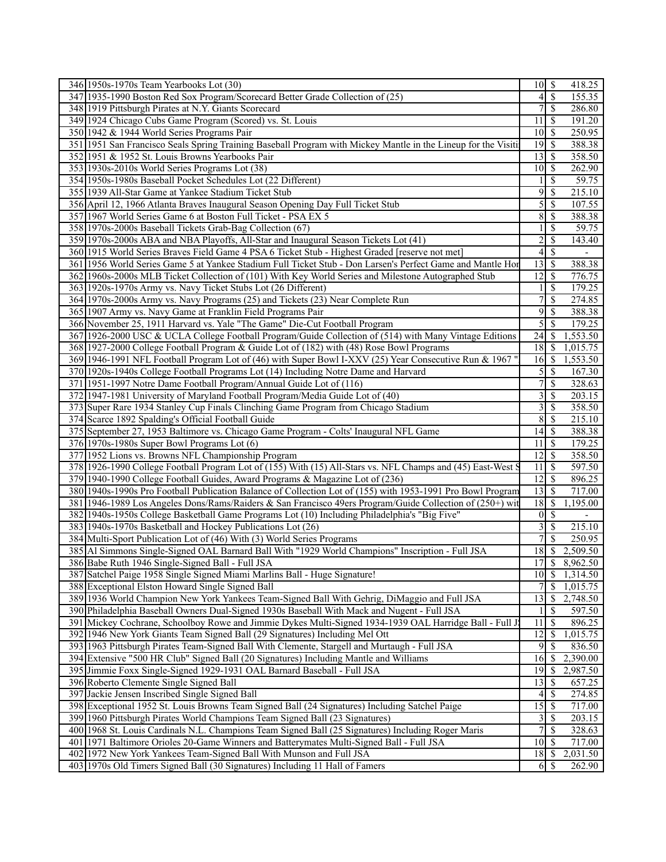| 346 1950s-1970s Team Yearbooks Lot (30)                                                                                                             | $10 \mid S$      |                          | 418.25             |
|-----------------------------------------------------------------------------------------------------------------------------------------------------|------------------|--------------------------|--------------------|
| 347 1935-1990 Boston Red Sox Program/Scorecard Better Grade Collection of (25)                                                                      | 4                | <sup>\$</sup>            | 155.35             |
| 348 1919 Pittsburgh Pirates at N.Y. Giants Scorecard                                                                                                | 7                | $\mathbb{S}$             | 286.80             |
| 349 1924 Chicago Cubs Game Program (Scored) vs. St. Louis                                                                                           | 11               | -\$                      | 191.20             |
| 350 1942 & 1944 World Series Programs Pair                                                                                                          | $10\vert S$      |                          | 250.95             |
| 351 1951 San Francisco Seals Spring Training Baseball Program with Mickey Mantle in the Lineup for the Visiti                                       | 19               | -\$                      | 388.38             |
| 352 1951 & 1952 St. Louis Browns Yearbooks Pair                                                                                                     | 13               | $\mathsf{S}$             | 358.50             |
| 353 1930s-2010s World Series Programs Lot (38)                                                                                                      | 10 <sup>1</sup>  | $\overline{\mathcal{S}}$ | 262.90             |
| 354 1950s-1980s Baseball Pocket Schedules Lot (22 Different)                                                                                        |                  | $\mathbb{S}$             | 59.75              |
| 355 1939 All-Star Game at Yankee Stadium Ticket Stub                                                                                                | 9                | -\$                      | 215.10             |
| 356 April 12, 1966 Atlanta Braves Inaugural Season Opening Day Full Ticket Stub                                                                     | 5                | $\overline{\mathcal{S}}$ | 107.55             |
| 357 1967 World Series Game 6 at Boston Full Ticket - PSA EX 5                                                                                       | 8                | $\mathcal{S}$            | 388.38             |
| 358 1970s-2000s Baseball Tickets Grab-Bag Collection (67)                                                                                           |                  | $\overline{\mathcal{S}}$ | 59.75              |
| 359 1970s-2000s ABA and NBA Playoffs, All-Star and Inaugural Season Tickets Lot (41)                                                                | $\overline{c}$   | \$                       | 143.40             |
| 360 1915 World Series Braves Field Game 4 PSA 6 Ticket Stub - Highest Graded [reserve not met]                                                      | 4                | $\mathbb{S}$             |                    |
| 361 1956 World Series Game 5 at Yankee Stadium Full Ticket Stub - Don Larsen's Perfect Game and Mantle Hor                                          | 13               | <sup>5</sup>             | 388.38             |
| 362 1960s-2000s MLB Ticket Collection of (101) With Key World Series and Milestone Autographed Stub                                                 | 12               | $\overline{\mathcal{S}}$ | 776.75             |
|                                                                                                                                                     |                  |                          | 179.25             |
| 363 1920s-1970s Army vs. Navy Ticket Stubs Lot (26 Different)                                                                                       | 7                | $\mathcal{S}$            |                    |
| 364 1970s-2000s Army vs. Navy Programs (25) and Tickets (23) Near Complete Run                                                                      |                  | \$                       | 274.85             |
| 365 1907 Army vs. Navy Game at Franklin Field Programs Pair                                                                                         | 9                | $\mathbb{S}$             | 388.38             |
| 366 November 25, 1911 Harvard vs. Yale "The Game" Die-Cut Football Program                                                                          | 5                | $\overline{\mathcal{S}}$ | 179.25             |
| 367 1926-2000 USC & UCLA College Football Program/Guide Collection of (514) with Many Vintage Editions                                              | $\overline{24}$  | 8                        | 1,553.50           |
| 368 1927-2000 College Football Program & Guide Lot of (182) with (48) Rose Bowl Programs                                                            | 18               | -\$                      | 1,015.75           |
| 369 1946-1991 NFL Football Program Lot of (46) with Super Bowl I-XXV (25) Year Consecutive Run & 1967 "                                             | 16               | $\mathsf{S}$             | 1,553.50           |
| 370 1920s-1940s College Football Programs Lot (14) Including Notre Dame and Harvard                                                                 | 5                | -\$                      | 167.30             |
| 371 1951-1997 Notre Dame Football Program/Annual Guide Lot of (116)                                                                                 | 7                | $\overline{\mathcal{S}}$ | 328.63             |
| 372 1947-1981 University of Maryland Football Program/Media Guide Lot of (40)                                                                       | 3                | \$                       | 203.15             |
| 373 Super Rare 1934 Stanley Cup Finals Clinching Game Program from Chicago Stadium                                                                  | 3                | -\$                      | 358.50             |
| 374 Scarce 1892 Spalding's Official Football Guide                                                                                                  | 8                | $\mathcal{S}$            | 215.10             |
| 375 September 27, 1953 Baltimore vs. Chicago Game Program - Colts' Inaugural NFL Game                                                               | 14               | $\mathsf{S}$             | 388.38             |
| 376 1970s-1980s Super Bowl Programs Lot (6)                                                                                                         | 11               | $\sqrt{S}$               | 179.25             |
| 377 1952 Lions vs. Browns NFL Championship Program                                                                                                  | 12               | $\overline{\mathcal{S}}$ | 358.50             |
| 378 1926-1990 College Football Program Lot of (155) With (15) All-Stars vs. NFL Champs and (45) East-West S                                         | 11               | $\overline{\mathcal{S}}$ | 597.50             |
| 379 1940-1990 College Football Guides, Award Programs & Magazine Lot of (236)                                                                       | 12               | <sup>5</sup>             | 896.25             |
| 380 1940s-1990s Pro Football Publication Balance of Collection Lot of (155) with 1953-1991 Pro Bowl Program                                         | 13               | -\$                      | 717.00             |
| 381 1946-1989 Los Angeles Dons/Rams/Raiders & San Francisco 49ers Program/Guide Collection of (250+) with                                           | 18               | $\overline{\mathcal{S}}$ | 1,195.00           |
| 382 1940s-1950s College Basketball Game Programs Lot (10) Including Philadelphia's "Big Five"                                                       | $\vert 0 \vert$  | -\$                      |                    |
| 383 1940s-1970s Basketball and Hockey Publications Lot (26)                                                                                         | 3                | \$                       | 215.10             |
| 384 Multi-Sport Publication Lot of (46) With (3) World Series Programs                                                                              | $\overline{7}$   | $\mathbf{\hat{s}}$       | 250.95             |
| 385 Al Simmons Single-Signed OAL Barnard Ball With "1929 World Champions" Inscription - Full JSA                                                    | 18               | -S                       | 2,509.50           |
| 386 Babe Ruth 1946 Single-Signed Ball - Full JSA                                                                                                    | 17               | \$                       | 8,962.50           |
| 387 Satchel Paige 1958 Single Signed Miami Marlins Ball - Huge Signature!                                                                           | $10 \mid$ \$     |                          | 1,314.50           |
| 388 Exceptional Elston Howard Single Signed Ball                                                                                                    |                  | $\mathcal{S}$            | 1,015.75           |
| 389 1936 World Champion New York Yankees Team-Signed Ball With Gehrig, DiMaggio and Full JSA                                                        | 13               | $\sqrt{3}$               | 2,748.50           |
| 390 Philadelphia Baseball Owners Dual-Signed 1930s Baseball With Mack and Nugent - Full JSA                                                         | 1                | -S                       | 597.50             |
| 391 Mickey Cochrane, Schoolboy Rowe and Jimmie Dykes Multi-Signed 1934-1939 OAL Harridge Ball - Full J                                              | 11               | -\$                      | 896.25             |
| 392 1946 New York Giants Team Signed Ball (29 Signatures) Including Mel Ott                                                                         | 12               | $\mathbb{S}$             | 1,015.75           |
| 393 1963 Pittsburgh Pirates Team-Signed Ball With Clemente, Stargell and Murtaugh - Full JSA                                                        | 9                | $\mathcal{S}$            | 836.50             |
| 394 Extensive "500 HR Club" Signed Ball (20 Signatures) Including Mantle and Williams                                                               | 16               | $\mathbf{\hat{S}}$       | 2,390.00           |
| 395 Jimmie Foxx Single-Signed 1929-1931 OAL Barnard Baseball - Full JSA                                                                             | 19               | -\$                      | 2,987.50           |
| 396 Roberto Clemente Single Signed Ball                                                                                                             | 13               | $\mathbb{S}$             | 657.25             |
| 397 Jackie Jensen Inscribed Single Signed Ball                                                                                                      |                  | $\sqrt{3}$               | 274.85             |
|                                                                                                                                                     | 4                |                          |                    |
| 398 Exceptional 1952 St. Louis Browns Team Signed Ball (24 Signatures) Including Satchel Paige                                                      | 15               | <b>S</b>                 | 717.00             |
| 399 1960 Pittsburgh Pirates World Champions Team Signed Ball (23 Signatures)                                                                        |                  | $3\overline{3}$          | 203.15             |
| 400 1968 St. Louis Cardinals N.L. Champions Team Signed Ball (25 Signatures) Including Roger Maris                                                  |                  | \$                       | 328.63             |
|                                                                                                                                                     |                  |                          |                    |
| 401 1971 Baltimore Orioles 20-Game Winners and Batterymates Multi-Signed Ball - Full JSA                                                            | 10 <sup>1</sup>  | \$                       | 717.00             |
| 402 1972 New York Yankees Team-Signed Ball With Munson and Full JSA<br>403 1970s Old Timers Signed Ball (30 Signatures) Including 11 Hall of Famers | 18<br>$6 \mid S$ | \$                       | 2,031.50<br>262.90 |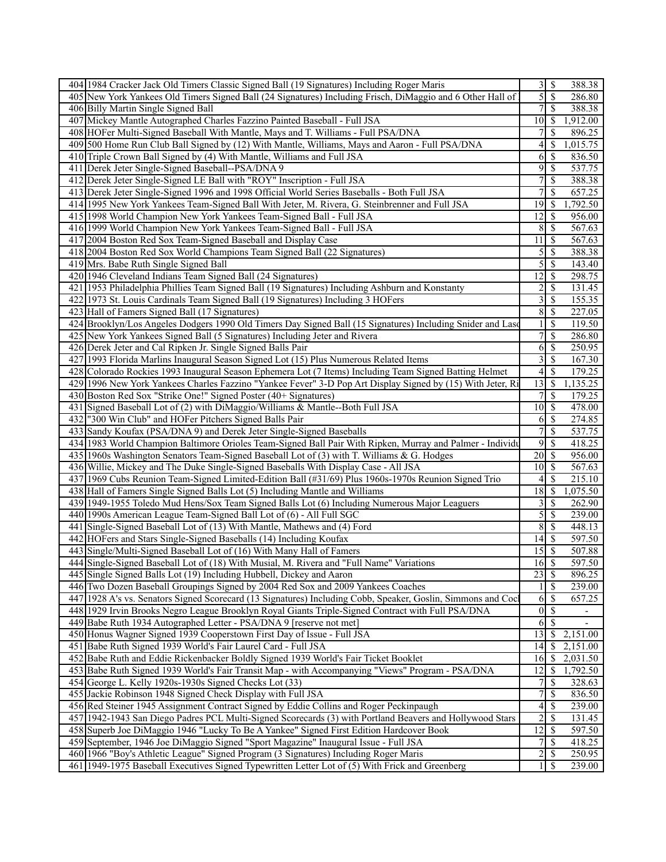| 5<br>$\overline{\mathcal{S}}$<br>405 New York Yankees Old Timers Signed Ball (24 Signatures) Including Frisch, DiMaggio and 6 Other Hall of<br>286.80<br>7<br>$\mathcal{S}$<br>388.38<br>406 Billy Martin Single Signed Ball<br>407 Mickey Mantle Autographed Charles Fazzino Painted Baseball - Full JSA<br>1,912.00<br>10<br>-\$<br>408 HOFer Multi-Signed Baseball With Mantle, Mays and T. Williams - Full PSA/DNA<br>7<br>\$<br>896.25<br>4<br>409 500 Home Run Club Ball Signed by (12) With Mantle, Williams, Mays and Aaron - Full PSA/DNA<br>-S<br>1,015.75<br>410 Triple Crown Ball Signed by (4) With Mantle, Williams and Full JSA<br>6<br>$\mathcal{S}$<br>836.50<br>$\overline{9}$<br>$\overline{\mathcal{S}}$<br>537.75<br>411 Derek Jeter Single-Signed Baseball--PSA/DNA 9<br>7<br>412 Derek Jeter Single-Signed LE Ball with "ROY" Inscription - Full JSA<br>$\mathbb{S}$<br>388.38<br>413 Derek Jeter Single-Signed 1996 and 1998 Official World Series Baseballs - Both Full JSA<br>7<br>\$<br>657.25<br>$\mathcal{S}$<br>1,792.50<br>414 1995 New York Yankees Team-Signed Ball With Jeter, M. Rivera, G. Steinbrenner and Full JSA<br>19<br>$\overline{12}$<br>415 1998 World Champion New York Yankees Team-Signed Ball - Full JSA<br>-\$<br>956.00<br>416 1999 World Champion New York Yankees Team-Signed Ball - Full JSA<br>8<br>$\mathcal{S}$<br>567.63<br>567.63<br>417 2004 Boston Red Sox Team-Signed Baseball and Display Case<br>11<br>$\mathcal{S}$<br>418 2004 Boston Red Sox World Champions Team Signed Ball (22 Signatures)<br>$\overline{5}$<br>$\mathcal{S}$<br>388.38<br>5<br>\$<br>143.40<br>419 Mrs. Babe Ruth Single Signed Ball<br>12<br>298.75<br>420 1946 Cleveland Indians Team Signed Ball (24 Signatures)<br>-S<br>421 1953 Philadelphia Phillies Team Signed Ball (19 Signatures) Including Ashburn and Konstanty<br>$\overline{c}$<br>$\mathcal{S}$<br>131.45<br>3<br>422 1973 St. Louis Cardinals Team Signed Ball (19 Signatures) Including 3 HOFers<br>$\mathcal{S}$<br>155.35<br>8<br>423 Hall of Famers Signed Ball (17 Signatures)<br>$\mathcal{S}$<br>227.05<br>424 Brooklyn/Los Angeles Dodgers 1990 Old Timers Day Signed Ball (15 Signatures) Including Snider and Lase<br><sup>\$</sup><br>119.50<br>7<br>425 New York Yankees Signed Ball (5 Signatures) Including Jeter and Rivera<br>\$<br>286.80<br>6<br>$\mathbb{S}$<br>426 Derek Jeter and Cal Ripken Jr. Single Signed Balls Pair<br>250.95<br>3<br>$\mathbb{S}$<br>167.30<br>427 1993 Florida Marlins Inaugural Season Signed Lot (15) Plus Numerous Related Items<br>428 Colorado Rockies 1993 Inaugural Season Ephemera Lot (7 Items) Including Team Signed Batting Helmet<br>\$<br>179.25<br>4<br>429 1996 New York Yankees Charles Fazzino "Yankee Fever" 3-D Pop Art Display Signed by (15) With Jeter, Ri<br>13<br>$\mathsf{S}$<br>1,135.25<br>430 Boston Red Sox "Strike One!" Signed Poster (40+ Signatures)<br>\$<br>179.25<br>478.00<br>431 Signed Baseball Lot of (2) with DiMaggio/Williams & Mantle--Both Full JSA<br>10<br>-S<br>432 "300 Win Club" and HOFer Pitchers Signed Balls Pair<br>$\mathbb{S}$<br>274.85<br>6<br>7<br>\$<br>433 Sandy Koufax (PSA/DNA 9) and Derek Jeter Single-Signed Baseballs<br>537.75<br>9<br>434 1983 World Champion Baltimore Orioles Team-Signed Ball Pair With Ripken, Murray and Palmer - Individu<br>$\mathcal{S}$<br>418.25<br>435 1960s Washington Senators Team-Signed Baseball Lot of (3) with T. Williams & G. Hodges<br>20<br>$\mathsf{S}$<br>956.00<br>436 Willie, Mickey and The Duke Single-Signed Baseballs With Display Case - All JSA<br>$\mathsf{S}$<br>567.63<br>10 <sup>1</sup><br>215.10<br>437 1969 Cubs Reunion Team-Signed Limited-Edition Ball (#31/69) Plus 1960s-1970s Reunion Signed Trio<br>-S<br>4<br>18<br>1,075.50<br>438 Hall of Famers Single Signed Balls Lot (5) Including Mantle and Williams<br>-\$<br>439 1949-1955 Toledo Mud Hens/Sox Team Signed Balls Lot (6) Including Numerous Major Leaguers<br>3<br>\$<br>262.90<br>5<br>440 1990s American League Team-Signed Ball Lot of (6) - All Full SGC<br>239.00<br>-\$<br>448.13<br>441 Single-Signed Baseball Lot of (13) With Mantle, Mathews and (4) Ford<br>8<br>$\mathcal{S}$<br>$\overline{\mathcal{S}}$<br>HOFers and Stars Single-Signed Baseballs (14) Including Koufax<br>597.50<br>442<br>14<br>443 Single/Multi-Signed Baseball Lot of (16) With Many Hall of Famers<br>15<br>-S<br>507.88<br>$16\overline{\smash{)}\,}$<br>444 Single-Signed Baseball Lot of (18) With Musial, M. Rivera and "Full Name" Variations<br>$\overline{597.50}$<br>445 Single Signed Balls Lot (19) Including Hubbell, Dickey and Aaron<br>$23 \mid$ \$<br>896.25<br>$\overline{\mathcal{S}}$<br>446 Two Dozen Baseball Groupings Signed by 2004 Red Sox and 2009 Yankees Coaches<br>239.00<br>447 1928 A's vs. Senators Signed Scorecard (13 Signatures) Including Cobb, Speaker, Goslin, Simmons and Cocl<br>$6 \mid$ \$<br>657.25<br>$\boldsymbol{0}$<br>$\mathcal{S}$<br>448 1929 Irvin Brooks Negro League Brooklyn Royal Giants Triple-Signed Contract with Full PSA/DNA<br>$\overline{\phantom{a}}$<br>449 Babe Ruth 1934 Autographed Letter - PSA/DNA 9 [reserve not met]<br>6<br>-S<br>13<br>450 Honus Wagner Signed 1939 Cooperstown First Day of Issue - Full JSA<br>2,151.00<br>-\$<br>$\mathcal{S}$<br>451 Babe Ruth Signed 1939 World's Fair Laurel Card - Full JSA<br>14<br>2,151.00<br>$\mathcal{S}$<br>452 Babe Ruth and Eddie Rickenbacker Boldly Signed 1939 World's Fair Ticket Booklet<br>16<br>2,031.50<br>453 Babe Ruth Signed 1939 World's Fair Transit Map - with Accompanying "Views" Program - PSA/DNA<br>12<br>$\mathcal{S}$<br>1,792.50<br>454 George L. Kelly 1920s-1930s Signed Checks Lot (33)<br>$\mathbb{S}$<br>7<br>328.63<br>7<br>\$<br>455 Jackie Robinson 1948 Signed Check Display with Full JSA<br>836.50<br>4<br>456 Red Steiner 1945 Assignment Contract Signed by Eddie Collins and Roger Peckinpaugh<br>-S<br>239.00<br>$\overline{c}$<br>457 1942-1943 San Diego Padres PCL Multi-Signed Scorecards (3) with Portland Beavers and Hollywood Stars<br>$\mathcal{S}$<br>131.45<br>597.50<br>458 Superb Joe DiMaggio 1946 "Lucky To Be A Yankee" Signed First Edition Hardcover Book<br>12<br>-S<br>459 September, 1946 Joe DiMaggio Signed "Sport Magazine" Inaugural Issue - Full JSA<br>418.25<br>7<br>-S<br>$\overline{c}$<br>460 1966 "Boy's Athletic League" Signed Program (3 Signatures) Including Roger Maris<br>$\mathbb{S}$<br>250.95<br>$1\vert \bar{\mathbb{S}}$ | 404 1984 Cracker Jack Old Timers Classic Signed Ball (19 Signatures) Including Roger Maris      | $\overline{3}$ s | 388.38 |
|----------------------------------------------------------------------------------------------------------------------------------------------------------------------------------------------------------------------------------------------------------------------------------------------------------------------------------------------------------------------------------------------------------------------------------------------------------------------------------------------------------------------------------------------------------------------------------------------------------------------------------------------------------------------------------------------------------------------------------------------------------------------------------------------------------------------------------------------------------------------------------------------------------------------------------------------------------------------------------------------------------------------------------------------------------------------------------------------------------------------------------------------------------------------------------------------------------------------------------------------------------------------------------------------------------------------------------------------------------------------------------------------------------------------------------------------------------------------------------------------------------------------------------------------------------------------------------------------------------------------------------------------------------------------------------------------------------------------------------------------------------------------------------------------------------------------------------------------------------------------------------------------------------------------------------------------------------------------------------------------------------------------------------------------------------------------------------------------------------------------------------------------------------------------------------------------------------------------------------------------------------------------------------------------------------------------------------------------------------------------------------------------------------------------------------------------------------------------------------------------------------------------------------------------------------------------------------------------------------------------------------------------------------------------------------------------------------------------------------------------------------------------------------------------------------------------------------------------------------------------------------------------------------------------------------------------------------------------------------------------------------------------------------------------------------------------------------------------------------------------------------------------------------------------------------------------------------------------------------------------------------------------------------------------------------------------------------------------------------------------------------------------------------------------------------------------------------------------------------------------------------------------------------------------------------------------------------------------------------------------------------------------------------------------------------------------------------------------------------------------------------------------------------------------------------------------------------------------------------------------------------------------------------------------------------------------------------------------------------------------------------------------------------------------------------------------------------------------------------------------------------------------------------------------------------------------------------------------------------------------------------------------------------------------------------------------------------------------------------------------------------------------------------------------------------------------------------------------------------------------------------------------------------------------------------------------------------------------------------------------------------------------------------------------------------------------------------------------------------------------------------------------------------------------------------------------------------------------------------------------------------------------------------------------------------------------------------------------------------------------------------------------------------------------------------------------------------------------------------------------------------------------------------------------------------------------------------------------------------------------------------------------------------------------------------------------------------------------------------------------------------------------------------------------------------------------------------------------------------------------------------------------------------------------------------------------------------------------------------------------------------------------------------------------------------------------------------------------------------------------------------------------------------------------------------------------------------------------------------------------------------------------------------------------------------------------------------------------------------------------------------------------------------------------------------------------------------------------------------------------------------------------------------------------------------------------------------------------------------------------------------------------------------------------------------------------------------------------------------------------------------------------------------------------------------------------------------------------------------------------------------------------------------------------------------------------------|-------------------------------------------------------------------------------------------------|------------------|--------|
|                                                                                                                                                                                                                                                                                                                                                                                                                                                                                                                                                                                                                                                                                                                                                                                                                                                                                                                                                                                                                                                                                                                                                                                                                                                                                                                                                                                                                                                                                                                                                                                                                                                                                                                                                                                                                                                                                                                                                                                                                                                                                                                                                                                                                                                                                                                                                                                                                                                                                                                                                                                                                                                                                                                                                                                                                                                                                                                                                                                                                                                                                                                                                                                                                                                                                                                                                                                                                                                                                                                                                                                                                                                                                                                                                                                                                                                                                                                                                                                                                                                                                                                                                                                                                                                                                                                                                                                                                                                                                                                                                                                                                                                                                                                                                                                                                                                                                                                                                                                                                                                                                                                                                                                                                                                                                                                                                                                                                                                                                                                                                                                                                                                                                                                                                                                                                                                                                                                                                                                                                                                                                                                                                                                                                                                                                                                                                                                                                                                                                                                                                                            |                                                                                                 |                  |        |
|                                                                                                                                                                                                                                                                                                                                                                                                                                                                                                                                                                                                                                                                                                                                                                                                                                                                                                                                                                                                                                                                                                                                                                                                                                                                                                                                                                                                                                                                                                                                                                                                                                                                                                                                                                                                                                                                                                                                                                                                                                                                                                                                                                                                                                                                                                                                                                                                                                                                                                                                                                                                                                                                                                                                                                                                                                                                                                                                                                                                                                                                                                                                                                                                                                                                                                                                                                                                                                                                                                                                                                                                                                                                                                                                                                                                                                                                                                                                                                                                                                                                                                                                                                                                                                                                                                                                                                                                                                                                                                                                                                                                                                                                                                                                                                                                                                                                                                                                                                                                                                                                                                                                                                                                                                                                                                                                                                                                                                                                                                                                                                                                                                                                                                                                                                                                                                                                                                                                                                                                                                                                                                                                                                                                                                                                                                                                                                                                                                                                                                                                                                            |                                                                                                 |                  |        |
|                                                                                                                                                                                                                                                                                                                                                                                                                                                                                                                                                                                                                                                                                                                                                                                                                                                                                                                                                                                                                                                                                                                                                                                                                                                                                                                                                                                                                                                                                                                                                                                                                                                                                                                                                                                                                                                                                                                                                                                                                                                                                                                                                                                                                                                                                                                                                                                                                                                                                                                                                                                                                                                                                                                                                                                                                                                                                                                                                                                                                                                                                                                                                                                                                                                                                                                                                                                                                                                                                                                                                                                                                                                                                                                                                                                                                                                                                                                                                                                                                                                                                                                                                                                                                                                                                                                                                                                                                                                                                                                                                                                                                                                                                                                                                                                                                                                                                                                                                                                                                                                                                                                                                                                                                                                                                                                                                                                                                                                                                                                                                                                                                                                                                                                                                                                                                                                                                                                                                                                                                                                                                                                                                                                                                                                                                                                                                                                                                                                                                                                                                                            |                                                                                                 |                  |        |
|                                                                                                                                                                                                                                                                                                                                                                                                                                                                                                                                                                                                                                                                                                                                                                                                                                                                                                                                                                                                                                                                                                                                                                                                                                                                                                                                                                                                                                                                                                                                                                                                                                                                                                                                                                                                                                                                                                                                                                                                                                                                                                                                                                                                                                                                                                                                                                                                                                                                                                                                                                                                                                                                                                                                                                                                                                                                                                                                                                                                                                                                                                                                                                                                                                                                                                                                                                                                                                                                                                                                                                                                                                                                                                                                                                                                                                                                                                                                                                                                                                                                                                                                                                                                                                                                                                                                                                                                                                                                                                                                                                                                                                                                                                                                                                                                                                                                                                                                                                                                                                                                                                                                                                                                                                                                                                                                                                                                                                                                                                                                                                                                                                                                                                                                                                                                                                                                                                                                                                                                                                                                                                                                                                                                                                                                                                                                                                                                                                                                                                                                                                            |                                                                                                 |                  |        |
|                                                                                                                                                                                                                                                                                                                                                                                                                                                                                                                                                                                                                                                                                                                                                                                                                                                                                                                                                                                                                                                                                                                                                                                                                                                                                                                                                                                                                                                                                                                                                                                                                                                                                                                                                                                                                                                                                                                                                                                                                                                                                                                                                                                                                                                                                                                                                                                                                                                                                                                                                                                                                                                                                                                                                                                                                                                                                                                                                                                                                                                                                                                                                                                                                                                                                                                                                                                                                                                                                                                                                                                                                                                                                                                                                                                                                                                                                                                                                                                                                                                                                                                                                                                                                                                                                                                                                                                                                                                                                                                                                                                                                                                                                                                                                                                                                                                                                                                                                                                                                                                                                                                                                                                                                                                                                                                                                                                                                                                                                                                                                                                                                                                                                                                                                                                                                                                                                                                                                                                                                                                                                                                                                                                                                                                                                                                                                                                                                                                                                                                                                                            |                                                                                                 |                  |        |
|                                                                                                                                                                                                                                                                                                                                                                                                                                                                                                                                                                                                                                                                                                                                                                                                                                                                                                                                                                                                                                                                                                                                                                                                                                                                                                                                                                                                                                                                                                                                                                                                                                                                                                                                                                                                                                                                                                                                                                                                                                                                                                                                                                                                                                                                                                                                                                                                                                                                                                                                                                                                                                                                                                                                                                                                                                                                                                                                                                                                                                                                                                                                                                                                                                                                                                                                                                                                                                                                                                                                                                                                                                                                                                                                                                                                                                                                                                                                                                                                                                                                                                                                                                                                                                                                                                                                                                                                                                                                                                                                                                                                                                                                                                                                                                                                                                                                                                                                                                                                                                                                                                                                                                                                                                                                                                                                                                                                                                                                                                                                                                                                                                                                                                                                                                                                                                                                                                                                                                                                                                                                                                                                                                                                                                                                                                                                                                                                                                                                                                                                                                            |                                                                                                 |                  |        |
|                                                                                                                                                                                                                                                                                                                                                                                                                                                                                                                                                                                                                                                                                                                                                                                                                                                                                                                                                                                                                                                                                                                                                                                                                                                                                                                                                                                                                                                                                                                                                                                                                                                                                                                                                                                                                                                                                                                                                                                                                                                                                                                                                                                                                                                                                                                                                                                                                                                                                                                                                                                                                                                                                                                                                                                                                                                                                                                                                                                                                                                                                                                                                                                                                                                                                                                                                                                                                                                                                                                                                                                                                                                                                                                                                                                                                                                                                                                                                                                                                                                                                                                                                                                                                                                                                                                                                                                                                                                                                                                                                                                                                                                                                                                                                                                                                                                                                                                                                                                                                                                                                                                                                                                                                                                                                                                                                                                                                                                                                                                                                                                                                                                                                                                                                                                                                                                                                                                                                                                                                                                                                                                                                                                                                                                                                                                                                                                                                                                                                                                                                                            |                                                                                                 |                  |        |
|                                                                                                                                                                                                                                                                                                                                                                                                                                                                                                                                                                                                                                                                                                                                                                                                                                                                                                                                                                                                                                                                                                                                                                                                                                                                                                                                                                                                                                                                                                                                                                                                                                                                                                                                                                                                                                                                                                                                                                                                                                                                                                                                                                                                                                                                                                                                                                                                                                                                                                                                                                                                                                                                                                                                                                                                                                                                                                                                                                                                                                                                                                                                                                                                                                                                                                                                                                                                                                                                                                                                                                                                                                                                                                                                                                                                                                                                                                                                                                                                                                                                                                                                                                                                                                                                                                                                                                                                                                                                                                                                                                                                                                                                                                                                                                                                                                                                                                                                                                                                                                                                                                                                                                                                                                                                                                                                                                                                                                                                                                                                                                                                                                                                                                                                                                                                                                                                                                                                                                                                                                                                                                                                                                                                                                                                                                                                                                                                                                                                                                                                                                            |                                                                                                 |                  |        |
|                                                                                                                                                                                                                                                                                                                                                                                                                                                                                                                                                                                                                                                                                                                                                                                                                                                                                                                                                                                                                                                                                                                                                                                                                                                                                                                                                                                                                                                                                                                                                                                                                                                                                                                                                                                                                                                                                                                                                                                                                                                                                                                                                                                                                                                                                                                                                                                                                                                                                                                                                                                                                                                                                                                                                                                                                                                                                                                                                                                                                                                                                                                                                                                                                                                                                                                                                                                                                                                                                                                                                                                                                                                                                                                                                                                                                                                                                                                                                                                                                                                                                                                                                                                                                                                                                                                                                                                                                                                                                                                                                                                                                                                                                                                                                                                                                                                                                                                                                                                                                                                                                                                                                                                                                                                                                                                                                                                                                                                                                                                                                                                                                                                                                                                                                                                                                                                                                                                                                                                                                                                                                                                                                                                                                                                                                                                                                                                                                                                                                                                                                                            |                                                                                                 |                  |        |
|                                                                                                                                                                                                                                                                                                                                                                                                                                                                                                                                                                                                                                                                                                                                                                                                                                                                                                                                                                                                                                                                                                                                                                                                                                                                                                                                                                                                                                                                                                                                                                                                                                                                                                                                                                                                                                                                                                                                                                                                                                                                                                                                                                                                                                                                                                                                                                                                                                                                                                                                                                                                                                                                                                                                                                                                                                                                                                                                                                                                                                                                                                                                                                                                                                                                                                                                                                                                                                                                                                                                                                                                                                                                                                                                                                                                                                                                                                                                                                                                                                                                                                                                                                                                                                                                                                                                                                                                                                                                                                                                                                                                                                                                                                                                                                                                                                                                                                                                                                                                                                                                                                                                                                                                                                                                                                                                                                                                                                                                                                                                                                                                                                                                                                                                                                                                                                                                                                                                                                                                                                                                                                                                                                                                                                                                                                                                                                                                                                                                                                                                                                            |                                                                                                 |                  |        |
|                                                                                                                                                                                                                                                                                                                                                                                                                                                                                                                                                                                                                                                                                                                                                                                                                                                                                                                                                                                                                                                                                                                                                                                                                                                                                                                                                                                                                                                                                                                                                                                                                                                                                                                                                                                                                                                                                                                                                                                                                                                                                                                                                                                                                                                                                                                                                                                                                                                                                                                                                                                                                                                                                                                                                                                                                                                                                                                                                                                                                                                                                                                                                                                                                                                                                                                                                                                                                                                                                                                                                                                                                                                                                                                                                                                                                                                                                                                                                                                                                                                                                                                                                                                                                                                                                                                                                                                                                                                                                                                                                                                                                                                                                                                                                                                                                                                                                                                                                                                                                                                                                                                                                                                                                                                                                                                                                                                                                                                                                                                                                                                                                                                                                                                                                                                                                                                                                                                                                                                                                                                                                                                                                                                                                                                                                                                                                                                                                                                                                                                                                                            |                                                                                                 |                  |        |
|                                                                                                                                                                                                                                                                                                                                                                                                                                                                                                                                                                                                                                                                                                                                                                                                                                                                                                                                                                                                                                                                                                                                                                                                                                                                                                                                                                                                                                                                                                                                                                                                                                                                                                                                                                                                                                                                                                                                                                                                                                                                                                                                                                                                                                                                                                                                                                                                                                                                                                                                                                                                                                                                                                                                                                                                                                                                                                                                                                                                                                                                                                                                                                                                                                                                                                                                                                                                                                                                                                                                                                                                                                                                                                                                                                                                                                                                                                                                                                                                                                                                                                                                                                                                                                                                                                                                                                                                                                                                                                                                                                                                                                                                                                                                                                                                                                                                                                                                                                                                                                                                                                                                                                                                                                                                                                                                                                                                                                                                                                                                                                                                                                                                                                                                                                                                                                                                                                                                                                                                                                                                                                                                                                                                                                                                                                                                                                                                                                                                                                                                                                            |                                                                                                 |                  |        |
|                                                                                                                                                                                                                                                                                                                                                                                                                                                                                                                                                                                                                                                                                                                                                                                                                                                                                                                                                                                                                                                                                                                                                                                                                                                                                                                                                                                                                                                                                                                                                                                                                                                                                                                                                                                                                                                                                                                                                                                                                                                                                                                                                                                                                                                                                                                                                                                                                                                                                                                                                                                                                                                                                                                                                                                                                                                                                                                                                                                                                                                                                                                                                                                                                                                                                                                                                                                                                                                                                                                                                                                                                                                                                                                                                                                                                                                                                                                                                                                                                                                                                                                                                                                                                                                                                                                                                                                                                                                                                                                                                                                                                                                                                                                                                                                                                                                                                                                                                                                                                                                                                                                                                                                                                                                                                                                                                                                                                                                                                                                                                                                                                                                                                                                                                                                                                                                                                                                                                                                                                                                                                                                                                                                                                                                                                                                                                                                                                                                                                                                                                                            |                                                                                                 |                  |        |
|                                                                                                                                                                                                                                                                                                                                                                                                                                                                                                                                                                                                                                                                                                                                                                                                                                                                                                                                                                                                                                                                                                                                                                                                                                                                                                                                                                                                                                                                                                                                                                                                                                                                                                                                                                                                                                                                                                                                                                                                                                                                                                                                                                                                                                                                                                                                                                                                                                                                                                                                                                                                                                                                                                                                                                                                                                                                                                                                                                                                                                                                                                                                                                                                                                                                                                                                                                                                                                                                                                                                                                                                                                                                                                                                                                                                                                                                                                                                                                                                                                                                                                                                                                                                                                                                                                                                                                                                                                                                                                                                                                                                                                                                                                                                                                                                                                                                                                                                                                                                                                                                                                                                                                                                                                                                                                                                                                                                                                                                                                                                                                                                                                                                                                                                                                                                                                                                                                                                                                                                                                                                                                                                                                                                                                                                                                                                                                                                                                                                                                                                                                            |                                                                                                 |                  |        |
|                                                                                                                                                                                                                                                                                                                                                                                                                                                                                                                                                                                                                                                                                                                                                                                                                                                                                                                                                                                                                                                                                                                                                                                                                                                                                                                                                                                                                                                                                                                                                                                                                                                                                                                                                                                                                                                                                                                                                                                                                                                                                                                                                                                                                                                                                                                                                                                                                                                                                                                                                                                                                                                                                                                                                                                                                                                                                                                                                                                                                                                                                                                                                                                                                                                                                                                                                                                                                                                                                                                                                                                                                                                                                                                                                                                                                                                                                                                                                                                                                                                                                                                                                                                                                                                                                                                                                                                                                                                                                                                                                                                                                                                                                                                                                                                                                                                                                                                                                                                                                                                                                                                                                                                                                                                                                                                                                                                                                                                                                                                                                                                                                                                                                                                                                                                                                                                                                                                                                                                                                                                                                                                                                                                                                                                                                                                                                                                                                                                                                                                                                                            |                                                                                                 |                  |        |
|                                                                                                                                                                                                                                                                                                                                                                                                                                                                                                                                                                                                                                                                                                                                                                                                                                                                                                                                                                                                                                                                                                                                                                                                                                                                                                                                                                                                                                                                                                                                                                                                                                                                                                                                                                                                                                                                                                                                                                                                                                                                                                                                                                                                                                                                                                                                                                                                                                                                                                                                                                                                                                                                                                                                                                                                                                                                                                                                                                                                                                                                                                                                                                                                                                                                                                                                                                                                                                                                                                                                                                                                                                                                                                                                                                                                                                                                                                                                                                                                                                                                                                                                                                                                                                                                                                                                                                                                                                                                                                                                                                                                                                                                                                                                                                                                                                                                                                                                                                                                                                                                                                                                                                                                                                                                                                                                                                                                                                                                                                                                                                                                                                                                                                                                                                                                                                                                                                                                                                                                                                                                                                                                                                                                                                                                                                                                                                                                                                                                                                                                                                            |                                                                                                 |                  |        |
|                                                                                                                                                                                                                                                                                                                                                                                                                                                                                                                                                                                                                                                                                                                                                                                                                                                                                                                                                                                                                                                                                                                                                                                                                                                                                                                                                                                                                                                                                                                                                                                                                                                                                                                                                                                                                                                                                                                                                                                                                                                                                                                                                                                                                                                                                                                                                                                                                                                                                                                                                                                                                                                                                                                                                                                                                                                                                                                                                                                                                                                                                                                                                                                                                                                                                                                                                                                                                                                                                                                                                                                                                                                                                                                                                                                                                                                                                                                                                                                                                                                                                                                                                                                                                                                                                                                                                                                                                                                                                                                                                                                                                                                                                                                                                                                                                                                                                                                                                                                                                                                                                                                                                                                                                                                                                                                                                                                                                                                                                                                                                                                                                                                                                                                                                                                                                                                                                                                                                                                                                                                                                                                                                                                                                                                                                                                                                                                                                                                                                                                                                                            |                                                                                                 |                  |        |
|                                                                                                                                                                                                                                                                                                                                                                                                                                                                                                                                                                                                                                                                                                                                                                                                                                                                                                                                                                                                                                                                                                                                                                                                                                                                                                                                                                                                                                                                                                                                                                                                                                                                                                                                                                                                                                                                                                                                                                                                                                                                                                                                                                                                                                                                                                                                                                                                                                                                                                                                                                                                                                                                                                                                                                                                                                                                                                                                                                                                                                                                                                                                                                                                                                                                                                                                                                                                                                                                                                                                                                                                                                                                                                                                                                                                                                                                                                                                                                                                                                                                                                                                                                                                                                                                                                                                                                                                                                                                                                                                                                                                                                                                                                                                                                                                                                                                                                                                                                                                                                                                                                                                                                                                                                                                                                                                                                                                                                                                                                                                                                                                                                                                                                                                                                                                                                                                                                                                                                                                                                                                                                                                                                                                                                                                                                                                                                                                                                                                                                                                                                            |                                                                                                 |                  |        |
|                                                                                                                                                                                                                                                                                                                                                                                                                                                                                                                                                                                                                                                                                                                                                                                                                                                                                                                                                                                                                                                                                                                                                                                                                                                                                                                                                                                                                                                                                                                                                                                                                                                                                                                                                                                                                                                                                                                                                                                                                                                                                                                                                                                                                                                                                                                                                                                                                                                                                                                                                                                                                                                                                                                                                                                                                                                                                                                                                                                                                                                                                                                                                                                                                                                                                                                                                                                                                                                                                                                                                                                                                                                                                                                                                                                                                                                                                                                                                                                                                                                                                                                                                                                                                                                                                                                                                                                                                                                                                                                                                                                                                                                                                                                                                                                                                                                                                                                                                                                                                                                                                                                                                                                                                                                                                                                                                                                                                                                                                                                                                                                                                                                                                                                                                                                                                                                                                                                                                                                                                                                                                                                                                                                                                                                                                                                                                                                                                                                                                                                                                                            |                                                                                                 |                  |        |
|                                                                                                                                                                                                                                                                                                                                                                                                                                                                                                                                                                                                                                                                                                                                                                                                                                                                                                                                                                                                                                                                                                                                                                                                                                                                                                                                                                                                                                                                                                                                                                                                                                                                                                                                                                                                                                                                                                                                                                                                                                                                                                                                                                                                                                                                                                                                                                                                                                                                                                                                                                                                                                                                                                                                                                                                                                                                                                                                                                                                                                                                                                                                                                                                                                                                                                                                                                                                                                                                                                                                                                                                                                                                                                                                                                                                                                                                                                                                                                                                                                                                                                                                                                                                                                                                                                                                                                                                                                                                                                                                                                                                                                                                                                                                                                                                                                                                                                                                                                                                                                                                                                                                                                                                                                                                                                                                                                                                                                                                                                                                                                                                                                                                                                                                                                                                                                                                                                                                                                                                                                                                                                                                                                                                                                                                                                                                                                                                                                                                                                                                                                            |                                                                                                 |                  |        |
|                                                                                                                                                                                                                                                                                                                                                                                                                                                                                                                                                                                                                                                                                                                                                                                                                                                                                                                                                                                                                                                                                                                                                                                                                                                                                                                                                                                                                                                                                                                                                                                                                                                                                                                                                                                                                                                                                                                                                                                                                                                                                                                                                                                                                                                                                                                                                                                                                                                                                                                                                                                                                                                                                                                                                                                                                                                                                                                                                                                                                                                                                                                                                                                                                                                                                                                                                                                                                                                                                                                                                                                                                                                                                                                                                                                                                                                                                                                                                                                                                                                                                                                                                                                                                                                                                                                                                                                                                                                                                                                                                                                                                                                                                                                                                                                                                                                                                                                                                                                                                                                                                                                                                                                                                                                                                                                                                                                                                                                                                                                                                                                                                                                                                                                                                                                                                                                                                                                                                                                                                                                                                                                                                                                                                                                                                                                                                                                                                                                                                                                                                                            |                                                                                                 |                  |        |
|                                                                                                                                                                                                                                                                                                                                                                                                                                                                                                                                                                                                                                                                                                                                                                                                                                                                                                                                                                                                                                                                                                                                                                                                                                                                                                                                                                                                                                                                                                                                                                                                                                                                                                                                                                                                                                                                                                                                                                                                                                                                                                                                                                                                                                                                                                                                                                                                                                                                                                                                                                                                                                                                                                                                                                                                                                                                                                                                                                                                                                                                                                                                                                                                                                                                                                                                                                                                                                                                                                                                                                                                                                                                                                                                                                                                                                                                                                                                                                                                                                                                                                                                                                                                                                                                                                                                                                                                                                                                                                                                                                                                                                                                                                                                                                                                                                                                                                                                                                                                                                                                                                                                                                                                                                                                                                                                                                                                                                                                                                                                                                                                                                                                                                                                                                                                                                                                                                                                                                                                                                                                                                                                                                                                                                                                                                                                                                                                                                                                                                                                                                            |                                                                                                 |                  |        |
|                                                                                                                                                                                                                                                                                                                                                                                                                                                                                                                                                                                                                                                                                                                                                                                                                                                                                                                                                                                                                                                                                                                                                                                                                                                                                                                                                                                                                                                                                                                                                                                                                                                                                                                                                                                                                                                                                                                                                                                                                                                                                                                                                                                                                                                                                                                                                                                                                                                                                                                                                                                                                                                                                                                                                                                                                                                                                                                                                                                                                                                                                                                                                                                                                                                                                                                                                                                                                                                                                                                                                                                                                                                                                                                                                                                                                                                                                                                                                                                                                                                                                                                                                                                                                                                                                                                                                                                                                                                                                                                                                                                                                                                                                                                                                                                                                                                                                                                                                                                                                                                                                                                                                                                                                                                                                                                                                                                                                                                                                                                                                                                                                                                                                                                                                                                                                                                                                                                                                                                                                                                                                                                                                                                                                                                                                                                                                                                                                                                                                                                                                                            |                                                                                                 |                  |        |
|                                                                                                                                                                                                                                                                                                                                                                                                                                                                                                                                                                                                                                                                                                                                                                                                                                                                                                                                                                                                                                                                                                                                                                                                                                                                                                                                                                                                                                                                                                                                                                                                                                                                                                                                                                                                                                                                                                                                                                                                                                                                                                                                                                                                                                                                                                                                                                                                                                                                                                                                                                                                                                                                                                                                                                                                                                                                                                                                                                                                                                                                                                                                                                                                                                                                                                                                                                                                                                                                                                                                                                                                                                                                                                                                                                                                                                                                                                                                                                                                                                                                                                                                                                                                                                                                                                                                                                                                                                                                                                                                                                                                                                                                                                                                                                                                                                                                                                                                                                                                                                                                                                                                                                                                                                                                                                                                                                                                                                                                                                                                                                                                                                                                                                                                                                                                                                                                                                                                                                                                                                                                                                                                                                                                                                                                                                                                                                                                                                                                                                                                                                            |                                                                                                 |                  |        |
|                                                                                                                                                                                                                                                                                                                                                                                                                                                                                                                                                                                                                                                                                                                                                                                                                                                                                                                                                                                                                                                                                                                                                                                                                                                                                                                                                                                                                                                                                                                                                                                                                                                                                                                                                                                                                                                                                                                                                                                                                                                                                                                                                                                                                                                                                                                                                                                                                                                                                                                                                                                                                                                                                                                                                                                                                                                                                                                                                                                                                                                                                                                                                                                                                                                                                                                                                                                                                                                                                                                                                                                                                                                                                                                                                                                                                                                                                                                                                                                                                                                                                                                                                                                                                                                                                                                                                                                                                                                                                                                                                                                                                                                                                                                                                                                                                                                                                                                                                                                                                                                                                                                                                                                                                                                                                                                                                                                                                                                                                                                                                                                                                                                                                                                                                                                                                                                                                                                                                                                                                                                                                                                                                                                                                                                                                                                                                                                                                                                                                                                                                                            |                                                                                                 |                  |        |
|                                                                                                                                                                                                                                                                                                                                                                                                                                                                                                                                                                                                                                                                                                                                                                                                                                                                                                                                                                                                                                                                                                                                                                                                                                                                                                                                                                                                                                                                                                                                                                                                                                                                                                                                                                                                                                                                                                                                                                                                                                                                                                                                                                                                                                                                                                                                                                                                                                                                                                                                                                                                                                                                                                                                                                                                                                                                                                                                                                                                                                                                                                                                                                                                                                                                                                                                                                                                                                                                                                                                                                                                                                                                                                                                                                                                                                                                                                                                                                                                                                                                                                                                                                                                                                                                                                                                                                                                                                                                                                                                                                                                                                                                                                                                                                                                                                                                                                                                                                                                                                                                                                                                                                                                                                                                                                                                                                                                                                                                                                                                                                                                                                                                                                                                                                                                                                                                                                                                                                                                                                                                                                                                                                                                                                                                                                                                                                                                                                                                                                                                                                            |                                                                                                 |                  |        |
|                                                                                                                                                                                                                                                                                                                                                                                                                                                                                                                                                                                                                                                                                                                                                                                                                                                                                                                                                                                                                                                                                                                                                                                                                                                                                                                                                                                                                                                                                                                                                                                                                                                                                                                                                                                                                                                                                                                                                                                                                                                                                                                                                                                                                                                                                                                                                                                                                                                                                                                                                                                                                                                                                                                                                                                                                                                                                                                                                                                                                                                                                                                                                                                                                                                                                                                                                                                                                                                                                                                                                                                                                                                                                                                                                                                                                                                                                                                                                                                                                                                                                                                                                                                                                                                                                                                                                                                                                                                                                                                                                                                                                                                                                                                                                                                                                                                                                                                                                                                                                                                                                                                                                                                                                                                                                                                                                                                                                                                                                                                                                                                                                                                                                                                                                                                                                                                                                                                                                                                                                                                                                                                                                                                                                                                                                                                                                                                                                                                                                                                                                                            |                                                                                                 |                  |        |
|                                                                                                                                                                                                                                                                                                                                                                                                                                                                                                                                                                                                                                                                                                                                                                                                                                                                                                                                                                                                                                                                                                                                                                                                                                                                                                                                                                                                                                                                                                                                                                                                                                                                                                                                                                                                                                                                                                                                                                                                                                                                                                                                                                                                                                                                                                                                                                                                                                                                                                                                                                                                                                                                                                                                                                                                                                                                                                                                                                                                                                                                                                                                                                                                                                                                                                                                                                                                                                                                                                                                                                                                                                                                                                                                                                                                                                                                                                                                                                                                                                                                                                                                                                                                                                                                                                                                                                                                                                                                                                                                                                                                                                                                                                                                                                                                                                                                                                                                                                                                                                                                                                                                                                                                                                                                                                                                                                                                                                                                                                                                                                                                                                                                                                                                                                                                                                                                                                                                                                                                                                                                                                                                                                                                                                                                                                                                                                                                                                                                                                                                                                            |                                                                                                 |                  |        |
|                                                                                                                                                                                                                                                                                                                                                                                                                                                                                                                                                                                                                                                                                                                                                                                                                                                                                                                                                                                                                                                                                                                                                                                                                                                                                                                                                                                                                                                                                                                                                                                                                                                                                                                                                                                                                                                                                                                                                                                                                                                                                                                                                                                                                                                                                                                                                                                                                                                                                                                                                                                                                                                                                                                                                                                                                                                                                                                                                                                                                                                                                                                                                                                                                                                                                                                                                                                                                                                                                                                                                                                                                                                                                                                                                                                                                                                                                                                                                                                                                                                                                                                                                                                                                                                                                                                                                                                                                                                                                                                                                                                                                                                                                                                                                                                                                                                                                                                                                                                                                                                                                                                                                                                                                                                                                                                                                                                                                                                                                                                                                                                                                                                                                                                                                                                                                                                                                                                                                                                                                                                                                                                                                                                                                                                                                                                                                                                                                                                                                                                                                                            |                                                                                                 |                  |        |
|                                                                                                                                                                                                                                                                                                                                                                                                                                                                                                                                                                                                                                                                                                                                                                                                                                                                                                                                                                                                                                                                                                                                                                                                                                                                                                                                                                                                                                                                                                                                                                                                                                                                                                                                                                                                                                                                                                                                                                                                                                                                                                                                                                                                                                                                                                                                                                                                                                                                                                                                                                                                                                                                                                                                                                                                                                                                                                                                                                                                                                                                                                                                                                                                                                                                                                                                                                                                                                                                                                                                                                                                                                                                                                                                                                                                                                                                                                                                                                                                                                                                                                                                                                                                                                                                                                                                                                                                                                                                                                                                                                                                                                                                                                                                                                                                                                                                                                                                                                                                                                                                                                                                                                                                                                                                                                                                                                                                                                                                                                                                                                                                                                                                                                                                                                                                                                                                                                                                                                                                                                                                                                                                                                                                                                                                                                                                                                                                                                                                                                                                                                            |                                                                                                 |                  |        |
|                                                                                                                                                                                                                                                                                                                                                                                                                                                                                                                                                                                                                                                                                                                                                                                                                                                                                                                                                                                                                                                                                                                                                                                                                                                                                                                                                                                                                                                                                                                                                                                                                                                                                                                                                                                                                                                                                                                                                                                                                                                                                                                                                                                                                                                                                                                                                                                                                                                                                                                                                                                                                                                                                                                                                                                                                                                                                                                                                                                                                                                                                                                                                                                                                                                                                                                                                                                                                                                                                                                                                                                                                                                                                                                                                                                                                                                                                                                                                                                                                                                                                                                                                                                                                                                                                                                                                                                                                                                                                                                                                                                                                                                                                                                                                                                                                                                                                                                                                                                                                                                                                                                                                                                                                                                                                                                                                                                                                                                                                                                                                                                                                                                                                                                                                                                                                                                                                                                                                                                                                                                                                                                                                                                                                                                                                                                                                                                                                                                                                                                                                                            |                                                                                                 |                  |        |
|                                                                                                                                                                                                                                                                                                                                                                                                                                                                                                                                                                                                                                                                                                                                                                                                                                                                                                                                                                                                                                                                                                                                                                                                                                                                                                                                                                                                                                                                                                                                                                                                                                                                                                                                                                                                                                                                                                                                                                                                                                                                                                                                                                                                                                                                                                                                                                                                                                                                                                                                                                                                                                                                                                                                                                                                                                                                                                                                                                                                                                                                                                                                                                                                                                                                                                                                                                                                                                                                                                                                                                                                                                                                                                                                                                                                                                                                                                                                                                                                                                                                                                                                                                                                                                                                                                                                                                                                                                                                                                                                                                                                                                                                                                                                                                                                                                                                                                                                                                                                                                                                                                                                                                                                                                                                                                                                                                                                                                                                                                                                                                                                                                                                                                                                                                                                                                                                                                                                                                                                                                                                                                                                                                                                                                                                                                                                                                                                                                                                                                                                                                            |                                                                                                 |                  |        |
|                                                                                                                                                                                                                                                                                                                                                                                                                                                                                                                                                                                                                                                                                                                                                                                                                                                                                                                                                                                                                                                                                                                                                                                                                                                                                                                                                                                                                                                                                                                                                                                                                                                                                                                                                                                                                                                                                                                                                                                                                                                                                                                                                                                                                                                                                                                                                                                                                                                                                                                                                                                                                                                                                                                                                                                                                                                                                                                                                                                                                                                                                                                                                                                                                                                                                                                                                                                                                                                                                                                                                                                                                                                                                                                                                                                                                                                                                                                                                                                                                                                                                                                                                                                                                                                                                                                                                                                                                                                                                                                                                                                                                                                                                                                                                                                                                                                                                                                                                                                                                                                                                                                                                                                                                                                                                                                                                                                                                                                                                                                                                                                                                                                                                                                                                                                                                                                                                                                                                                                                                                                                                                                                                                                                                                                                                                                                                                                                                                                                                                                                                                            |                                                                                                 |                  |        |
|                                                                                                                                                                                                                                                                                                                                                                                                                                                                                                                                                                                                                                                                                                                                                                                                                                                                                                                                                                                                                                                                                                                                                                                                                                                                                                                                                                                                                                                                                                                                                                                                                                                                                                                                                                                                                                                                                                                                                                                                                                                                                                                                                                                                                                                                                                                                                                                                                                                                                                                                                                                                                                                                                                                                                                                                                                                                                                                                                                                                                                                                                                                                                                                                                                                                                                                                                                                                                                                                                                                                                                                                                                                                                                                                                                                                                                                                                                                                                                                                                                                                                                                                                                                                                                                                                                                                                                                                                                                                                                                                                                                                                                                                                                                                                                                                                                                                                                                                                                                                                                                                                                                                                                                                                                                                                                                                                                                                                                                                                                                                                                                                                                                                                                                                                                                                                                                                                                                                                                                                                                                                                                                                                                                                                                                                                                                                                                                                                                                                                                                                                                            |                                                                                                 |                  |        |
|                                                                                                                                                                                                                                                                                                                                                                                                                                                                                                                                                                                                                                                                                                                                                                                                                                                                                                                                                                                                                                                                                                                                                                                                                                                                                                                                                                                                                                                                                                                                                                                                                                                                                                                                                                                                                                                                                                                                                                                                                                                                                                                                                                                                                                                                                                                                                                                                                                                                                                                                                                                                                                                                                                                                                                                                                                                                                                                                                                                                                                                                                                                                                                                                                                                                                                                                                                                                                                                                                                                                                                                                                                                                                                                                                                                                                                                                                                                                                                                                                                                                                                                                                                                                                                                                                                                                                                                                                                                                                                                                                                                                                                                                                                                                                                                                                                                                                                                                                                                                                                                                                                                                                                                                                                                                                                                                                                                                                                                                                                                                                                                                                                                                                                                                                                                                                                                                                                                                                                                                                                                                                                                                                                                                                                                                                                                                                                                                                                                                                                                                                                            |                                                                                                 |                  |        |
|                                                                                                                                                                                                                                                                                                                                                                                                                                                                                                                                                                                                                                                                                                                                                                                                                                                                                                                                                                                                                                                                                                                                                                                                                                                                                                                                                                                                                                                                                                                                                                                                                                                                                                                                                                                                                                                                                                                                                                                                                                                                                                                                                                                                                                                                                                                                                                                                                                                                                                                                                                                                                                                                                                                                                                                                                                                                                                                                                                                                                                                                                                                                                                                                                                                                                                                                                                                                                                                                                                                                                                                                                                                                                                                                                                                                                                                                                                                                                                                                                                                                                                                                                                                                                                                                                                                                                                                                                                                                                                                                                                                                                                                                                                                                                                                                                                                                                                                                                                                                                                                                                                                                                                                                                                                                                                                                                                                                                                                                                                                                                                                                                                                                                                                                                                                                                                                                                                                                                                                                                                                                                                                                                                                                                                                                                                                                                                                                                                                                                                                                                                            |                                                                                                 |                  |        |
|                                                                                                                                                                                                                                                                                                                                                                                                                                                                                                                                                                                                                                                                                                                                                                                                                                                                                                                                                                                                                                                                                                                                                                                                                                                                                                                                                                                                                                                                                                                                                                                                                                                                                                                                                                                                                                                                                                                                                                                                                                                                                                                                                                                                                                                                                                                                                                                                                                                                                                                                                                                                                                                                                                                                                                                                                                                                                                                                                                                                                                                                                                                                                                                                                                                                                                                                                                                                                                                                                                                                                                                                                                                                                                                                                                                                                                                                                                                                                                                                                                                                                                                                                                                                                                                                                                                                                                                                                                                                                                                                                                                                                                                                                                                                                                                                                                                                                                                                                                                                                                                                                                                                                                                                                                                                                                                                                                                                                                                                                                                                                                                                                                                                                                                                                                                                                                                                                                                                                                                                                                                                                                                                                                                                                                                                                                                                                                                                                                                                                                                                                                            |                                                                                                 |                  |        |
|                                                                                                                                                                                                                                                                                                                                                                                                                                                                                                                                                                                                                                                                                                                                                                                                                                                                                                                                                                                                                                                                                                                                                                                                                                                                                                                                                                                                                                                                                                                                                                                                                                                                                                                                                                                                                                                                                                                                                                                                                                                                                                                                                                                                                                                                                                                                                                                                                                                                                                                                                                                                                                                                                                                                                                                                                                                                                                                                                                                                                                                                                                                                                                                                                                                                                                                                                                                                                                                                                                                                                                                                                                                                                                                                                                                                                                                                                                                                                                                                                                                                                                                                                                                                                                                                                                                                                                                                                                                                                                                                                                                                                                                                                                                                                                                                                                                                                                                                                                                                                                                                                                                                                                                                                                                                                                                                                                                                                                                                                                                                                                                                                                                                                                                                                                                                                                                                                                                                                                                                                                                                                                                                                                                                                                                                                                                                                                                                                                                                                                                                                                            |                                                                                                 |                  |        |
|                                                                                                                                                                                                                                                                                                                                                                                                                                                                                                                                                                                                                                                                                                                                                                                                                                                                                                                                                                                                                                                                                                                                                                                                                                                                                                                                                                                                                                                                                                                                                                                                                                                                                                                                                                                                                                                                                                                                                                                                                                                                                                                                                                                                                                                                                                                                                                                                                                                                                                                                                                                                                                                                                                                                                                                                                                                                                                                                                                                                                                                                                                                                                                                                                                                                                                                                                                                                                                                                                                                                                                                                                                                                                                                                                                                                                                                                                                                                                                                                                                                                                                                                                                                                                                                                                                                                                                                                                                                                                                                                                                                                                                                                                                                                                                                                                                                                                                                                                                                                                                                                                                                                                                                                                                                                                                                                                                                                                                                                                                                                                                                                                                                                                                                                                                                                                                                                                                                                                                                                                                                                                                                                                                                                                                                                                                                                                                                                                                                                                                                                                                            |                                                                                                 |                  |        |
|                                                                                                                                                                                                                                                                                                                                                                                                                                                                                                                                                                                                                                                                                                                                                                                                                                                                                                                                                                                                                                                                                                                                                                                                                                                                                                                                                                                                                                                                                                                                                                                                                                                                                                                                                                                                                                                                                                                                                                                                                                                                                                                                                                                                                                                                                                                                                                                                                                                                                                                                                                                                                                                                                                                                                                                                                                                                                                                                                                                                                                                                                                                                                                                                                                                                                                                                                                                                                                                                                                                                                                                                                                                                                                                                                                                                                                                                                                                                                                                                                                                                                                                                                                                                                                                                                                                                                                                                                                                                                                                                                                                                                                                                                                                                                                                                                                                                                                                                                                                                                                                                                                                                                                                                                                                                                                                                                                                                                                                                                                                                                                                                                                                                                                                                                                                                                                                                                                                                                                                                                                                                                                                                                                                                                                                                                                                                                                                                                                                                                                                                                                            |                                                                                                 |                  |        |
|                                                                                                                                                                                                                                                                                                                                                                                                                                                                                                                                                                                                                                                                                                                                                                                                                                                                                                                                                                                                                                                                                                                                                                                                                                                                                                                                                                                                                                                                                                                                                                                                                                                                                                                                                                                                                                                                                                                                                                                                                                                                                                                                                                                                                                                                                                                                                                                                                                                                                                                                                                                                                                                                                                                                                                                                                                                                                                                                                                                                                                                                                                                                                                                                                                                                                                                                                                                                                                                                                                                                                                                                                                                                                                                                                                                                                                                                                                                                                                                                                                                                                                                                                                                                                                                                                                                                                                                                                                                                                                                                                                                                                                                                                                                                                                                                                                                                                                                                                                                                                                                                                                                                                                                                                                                                                                                                                                                                                                                                                                                                                                                                                                                                                                                                                                                                                                                                                                                                                                                                                                                                                                                                                                                                                                                                                                                                                                                                                                                                                                                                                                            |                                                                                                 |                  |        |
|                                                                                                                                                                                                                                                                                                                                                                                                                                                                                                                                                                                                                                                                                                                                                                                                                                                                                                                                                                                                                                                                                                                                                                                                                                                                                                                                                                                                                                                                                                                                                                                                                                                                                                                                                                                                                                                                                                                                                                                                                                                                                                                                                                                                                                                                                                                                                                                                                                                                                                                                                                                                                                                                                                                                                                                                                                                                                                                                                                                                                                                                                                                                                                                                                                                                                                                                                                                                                                                                                                                                                                                                                                                                                                                                                                                                                                                                                                                                                                                                                                                                                                                                                                                                                                                                                                                                                                                                                                                                                                                                                                                                                                                                                                                                                                                                                                                                                                                                                                                                                                                                                                                                                                                                                                                                                                                                                                                                                                                                                                                                                                                                                                                                                                                                                                                                                                                                                                                                                                                                                                                                                                                                                                                                                                                                                                                                                                                                                                                                                                                                                                            |                                                                                                 |                  |        |
|                                                                                                                                                                                                                                                                                                                                                                                                                                                                                                                                                                                                                                                                                                                                                                                                                                                                                                                                                                                                                                                                                                                                                                                                                                                                                                                                                                                                                                                                                                                                                                                                                                                                                                                                                                                                                                                                                                                                                                                                                                                                                                                                                                                                                                                                                                                                                                                                                                                                                                                                                                                                                                                                                                                                                                                                                                                                                                                                                                                                                                                                                                                                                                                                                                                                                                                                                                                                                                                                                                                                                                                                                                                                                                                                                                                                                                                                                                                                                                                                                                                                                                                                                                                                                                                                                                                                                                                                                                                                                                                                                                                                                                                                                                                                                                                                                                                                                                                                                                                                                                                                                                                                                                                                                                                                                                                                                                                                                                                                                                                                                                                                                                                                                                                                                                                                                                                                                                                                                                                                                                                                                                                                                                                                                                                                                                                                                                                                                                                                                                                                                                            |                                                                                                 |                  |        |
|                                                                                                                                                                                                                                                                                                                                                                                                                                                                                                                                                                                                                                                                                                                                                                                                                                                                                                                                                                                                                                                                                                                                                                                                                                                                                                                                                                                                                                                                                                                                                                                                                                                                                                                                                                                                                                                                                                                                                                                                                                                                                                                                                                                                                                                                                                                                                                                                                                                                                                                                                                                                                                                                                                                                                                                                                                                                                                                                                                                                                                                                                                                                                                                                                                                                                                                                                                                                                                                                                                                                                                                                                                                                                                                                                                                                                                                                                                                                                                                                                                                                                                                                                                                                                                                                                                                                                                                                                                                                                                                                                                                                                                                                                                                                                                                                                                                                                                                                                                                                                                                                                                                                                                                                                                                                                                                                                                                                                                                                                                                                                                                                                                                                                                                                                                                                                                                                                                                                                                                                                                                                                                                                                                                                                                                                                                                                                                                                                                                                                                                                                                            |                                                                                                 |                  |        |
|                                                                                                                                                                                                                                                                                                                                                                                                                                                                                                                                                                                                                                                                                                                                                                                                                                                                                                                                                                                                                                                                                                                                                                                                                                                                                                                                                                                                                                                                                                                                                                                                                                                                                                                                                                                                                                                                                                                                                                                                                                                                                                                                                                                                                                                                                                                                                                                                                                                                                                                                                                                                                                                                                                                                                                                                                                                                                                                                                                                                                                                                                                                                                                                                                                                                                                                                                                                                                                                                                                                                                                                                                                                                                                                                                                                                                                                                                                                                                                                                                                                                                                                                                                                                                                                                                                                                                                                                                                                                                                                                                                                                                                                                                                                                                                                                                                                                                                                                                                                                                                                                                                                                                                                                                                                                                                                                                                                                                                                                                                                                                                                                                                                                                                                                                                                                                                                                                                                                                                                                                                                                                                                                                                                                                                                                                                                                                                                                                                                                                                                                                                            |                                                                                                 |                  |        |
|                                                                                                                                                                                                                                                                                                                                                                                                                                                                                                                                                                                                                                                                                                                                                                                                                                                                                                                                                                                                                                                                                                                                                                                                                                                                                                                                                                                                                                                                                                                                                                                                                                                                                                                                                                                                                                                                                                                                                                                                                                                                                                                                                                                                                                                                                                                                                                                                                                                                                                                                                                                                                                                                                                                                                                                                                                                                                                                                                                                                                                                                                                                                                                                                                                                                                                                                                                                                                                                                                                                                                                                                                                                                                                                                                                                                                                                                                                                                                                                                                                                                                                                                                                                                                                                                                                                                                                                                                                                                                                                                                                                                                                                                                                                                                                                                                                                                                                                                                                                                                                                                                                                                                                                                                                                                                                                                                                                                                                                                                                                                                                                                                                                                                                                                                                                                                                                                                                                                                                                                                                                                                                                                                                                                                                                                                                                                                                                                                                                                                                                                                                            |                                                                                                 |                  |        |
|                                                                                                                                                                                                                                                                                                                                                                                                                                                                                                                                                                                                                                                                                                                                                                                                                                                                                                                                                                                                                                                                                                                                                                                                                                                                                                                                                                                                                                                                                                                                                                                                                                                                                                                                                                                                                                                                                                                                                                                                                                                                                                                                                                                                                                                                                                                                                                                                                                                                                                                                                                                                                                                                                                                                                                                                                                                                                                                                                                                                                                                                                                                                                                                                                                                                                                                                                                                                                                                                                                                                                                                                                                                                                                                                                                                                                                                                                                                                                                                                                                                                                                                                                                                                                                                                                                                                                                                                                                                                                                                                                                                                                                                                                                                                                                                                                                                                                                                                                                                                                                                                                                                                                                                                                                                                                                                                                                                                                                                                                                                                                                                                                                                                                                                                                                                                                                                                                                                                                                                                                                                                                                                                                                                                                                                                                                                                                                                                                                                                                                                                                                            |                                                                                                 |                  |        |
|                                                                                                                                                                                                                                                                                                                                                                                                                                                                                                                                                                                                                                                                                                                                                                                                                                                                                                                                                                                                                                                                                                                                                                                                                                                                                                                                                                                                                                                                                                                                                                                                                                                                                                                                                                                                                                                                                                                                                                                                                                                                                                                                                                                                                                                                                                                                                                                                                                                                                                                                                                                                                                                                                                                                                                                                                                                                                                                                                                                                                                                                                                                                                                                                                                                                                                                                                                                                                                                                                                                                                                                                                                                                                                                                                                                                                                                                                                                                                                                                                                                                                                                                                                                                                                                                                                                                                                                                                                                                                                                                                                                                                                                                                                                                                                                                                                                                                                                                                                                                                                                                                                                                                                                                                                                                                                                                                                                                                                                                                                                                                                                                                                                                                                                                                                                                                                                                                                                                                                                                                                                                                                                                                                                                                                                                                                                                                                                                                                                                                                                                                                            |                                                                                                 |                  |        |
|                                                                                                                                                                                                                                                                                                                                                                                                                                                                                                                                                                                                                                                                                                                                                                                                                                                                                                                                                                                                                                                                                                                                                                                                                                                                                                                                                                                                                                                                                                                                                                                                                                                                                                                                                                                                                                                                                                                                                                                                                                                                                                                                                                                                                                                                                                                                                                                                                                                                                                                                                                                                                                                                                                                                                                                                                                                                                                                                                                                                                                                                                                                                                                                                                                                                                                                                                                                                                                                                                                                                                                                                                                                                                                                                                                                                                                                                                                                                                                                                                                                                                                                                                                                                                                                                                                                                                                                                                                                                                                                                                                                                                                                                                                                                                                                                                                                                                                                                                                                                                                                                                                                                                                                                                                                                                                                                                                                                                                                                                                                                                                                                                                                                                                                                                                                                                                                                                                                                                                                                                                                                                                                                                                                                                                                                                                                                                                                                                                                                                                                                                                            |                                                                                                 |                  |        |
|                                                                                                                                                                                                                                                                                                                                                                                                                                                                                                                                                                                                                                                                                                                                                                                                                                                                                                                                                                                                                                                                                                                                                                                                                                                                                                                                                                                                                                                                                                                                                                                                                                                                                                                                                                                                                                                                                                                                                                                                                                                                                                                                                                                                                                                                                                                                                                                                                                                                                                                                                                                                                                                                                                                                                                                                                                                                                                                                                                                                                                                                                                                                                                                                                                                                                                                                                                                                                                                                                                                                                                                                                                                                                                                                                                                                                                                                                                                                                                                                                                                                                                                                                                                                                                                                                                                                                                                                                                                                                                                                                                                                                                                                                                                                                                                                                                                                                                                                                                                                                                                                                                                                                                                                                                                                                                                                                                                                                                                                                                                                                                                                                                                                                                                                                                                                                                                                                                                                                                                                                                                                                                                                                                                                                                                                                                                                                                                                                                                                                                                                                                            |                                                                                                 |                  |        |
|                                                                                                                                                                                                                                                                                                                                                                                                                                                                                                                                                                                                                                                                                                                                                                                                                                                                                                                                                                                                                                                                                                                                                                                                                                                                                                                                                                                                                                                                                                                                                                                                                                                                                                                                                                                                                                                                                                                                                                                                                                                                                                                                                                                                                                                                                                                                                                                                                                                                                                                                                                                                                                                                                                                                                                                                                                                                                                                                                                                                                                                                                                                                                                                                                                                                                                                                                                                                                                                                                                                                                                                                                                                                                                                                                                                                                                                                                                                                                                                                                                                                                                                                                                                                                                                                                                                                                                                                                                                                                                                                                                                                                                                                                                                                                                                                                                                                                                                                                                                                                                                                                                                                                                                                                                                                                                                                                                                                                                                                                                                                                                                                                                                                                                                                                                                                                                                                                                                                                                                                                                                                                                                                                                                                                                                                                                                                                                                                                                                                                                                                                                            |                                                                                                 |                  |        |
|                                                                                                                                                                                                                                                                                                                                                                                                                                                                                                                                                                                                                                                                                                                                                                                                                                                                                                                                                                                                                                                                                                                                                                                                                                                                                                                                                                                                                                                                                                                                                                                                                                                                                                                                                                                                                                                                                                                                                                                                                                                                                                                                                                                                                                                                                                                                                                                                                                                                                                                                                                                                                                                                                                                                                                                                                                                                                                                                                                                                                                                                                                                                                                                                                                                                                                                                                                                                                                                                                                                                                                                                                                                                                                                                                                                                                                                                                                                                                                                                                                                                                                                                                                                                                                                                                                                                                                                                                                                                                                                                                                                                                                                                                                                                                                                                                                                                                                                                                                                                                                                                                                                                                                                                                                                                                                                                                                                                                                                                                                                                                                                                                                                                                                                                                                                                                                                                                                                                                                                                                                                                                                                                                                                                                                                                                                                                                                                                                                                                                                                                                                            |                                                                                                 |                  |        |
|                                                                                                                                                                                                                                                                                                                                                                                                                                                                                                                                                                                                                                                                                                                                                                                                                                                                                                                                                                                                                                                                                                                                                                                                                                                                                                                                                                                                                                                                                                                                                                                                                                                                                                                                                                                                                                                                                                                                                                                                                                                                                                                                                                                                                                                                                                                                                                                                                                                                                                                                                                                                                                                                                                                                                                                                                                                                                                                                                                                                                                                                                                                                                                                                                                                                                                                                                                                                                                                                                                                                                                                                                                                                                                                                                                                                                                                                                                                                                                                                                                                                                                                                                                                                                                                                                                                                                                                                                                                                                                                                                                                                                                                                                                                                                                                                                                                                                                                                                                                                                                                                                                                                                                                                                                                                                                                                                                                                                                                                                                                                                                                                                                                                                                                                                                                                                                                                                                                                                                                                                                                                                                                                                                                                                                                                                                                                                                                                                                                                                                                                                                            |                                                                                                 |                  |        |
|                                                                                                                                                                                                                                                                                                                                                                                                                                                                                                                                                                                                                                                                                                                                                                                                                                                                                                                                                                                                                                                                                                                                                                                                                                                                                                                                                                                                                                                                                                                                                                                                                                                                                                                                                                                                                                                                                                                                                                                                                                                                                                                                                                                                                                                                                                                                                                                                                                                                                                                                                                                                                                                                                                                                                                                                                                                                                                                                                                                                                                                                                                                                                                                                                                                                                                                                                                                                                                                                                                                                                                                                                                                                                                                                                                                                                                                                                                                                                                                                                                                                                                                                                                                                                                                                                                                                                                                                                                                                                                                                                                                                                                                                                                                                                                                                                                                                                                                                                                                                                                                                                                                                                                                                                                                                                                                                                                                                                                                                                                                                                                                                                                                                                                                                                                                                                                                                                                                                                                                                                                                                                                                                                                                                                                                                                                                                                                                                                                                                                                                                                                            |                                                                                                 |                  |        |
|                                                                                                                                                                                                                                                                                                                                                                                                                                                                                                                                                                                                                                                                                                                                                                                                                                                                                                                                                                                                                                                                                                                                                                                                                                                                                                                                                                                                                                                                                                                                                                                                                                                                                                                                                                                                                                                                                                                                                                                                                                                                                                                                                                                                                                                                                                                                                                                                                                                                                                                                                                                                                                                                                                                                                                                                                                                                                                                                                                                                                                                                                                                                                                                                                                                                                                                                                                                                                                                                                                                                                                                                                                                                                                                                                                                                                                                                                                                                                                                                                                                                                                                                                                                                                                                                                                                                                                                                                                                                                                                                                                                                                                                                                                                                                                                                                                                                                                                                                                                                                                                                                                                                                                                                                                                                                                                                                                                                                                                                                                                                                                                                                                                                                                                                                                                                                                                                                                                                                                                                                                                                                                                                                                                                                                                                                                                                                                                                                                                                                                                                                                            |                                                                                                 |                  |        |
|                                                                                                                                                                                                                                                                                                                                                                                                                                                                                                                                                                                                                                                                                                                                                                                                                                                                                                                                                                                                                                                                                                                                                                                                                                                                                                                                                                                                                                                                                                                                                                                                                                                                                                                                                                                                                                                                                                                                                                                                                                                                                                                                                                                                                                                                                                                                                                                                                                                                                                                                                                                                                                                                                                                                                                                                                                                                                                                                                                                                                                                                                                                                                                                                                                                                                                                                                                                                                                                                                                                                                                                                                                                                                                                                                                                                                                                                                                                                                                                                                                                                                                                                                                                                                                                                                                                                                                                                                                                                                                                                                                                                                                                                                                                                                                                                                                                                                                                                                                                                                                                                                                                                                                                                                                                                                                                                                                                                                                                                                                                                                                                                                                                                                                                                                                                                                                                                                                                                                                                                                                                                                                                                                                                                                                                                                                                                                                                                                                                                                                                                                                            |                                                                                                 |                  |        |
|                                                                                                                                                                                                                                                                                                                                                                                                                                                                                                                                                                                                                                                                                                                                                                                                                                                                                                                                                                                                                                                                                                                                                                                                                                                                                                                                                                                                                                                                                                                                                                                                                                                                                                                                                                                                                                                                                                                                                                                                                                                                                                                                                                                                                                                                                                                                                                                                                                                                                                                                                                                                                                                                                                                                                                                                                                                                                                                                                                                                                                                                                                                                                                                                                                                                                                                                                                                                                                                                                                                                                                                                                                                                                                                                                                                                                                                                                                                                                                                                                                                                                                                                                                                                                                                                                                                                                                                                                                                                                                                                                                                                                                                                                                                                                                                                                                                                                                                                                                                                                                                                                                                                                                                                                                                                                                                                                                                                                                                                                                                                                                                                                                                                                                                                                                                                                                                                                                                                                                                                                                                                                                                                                                                                                                                                                                                                                                                                                                                                                                                                                                            | 461 1949-1975 Baseball Executives Signed Typewritten Letter Lot of (5) With Frick and Greenberg |                  | 239.00 |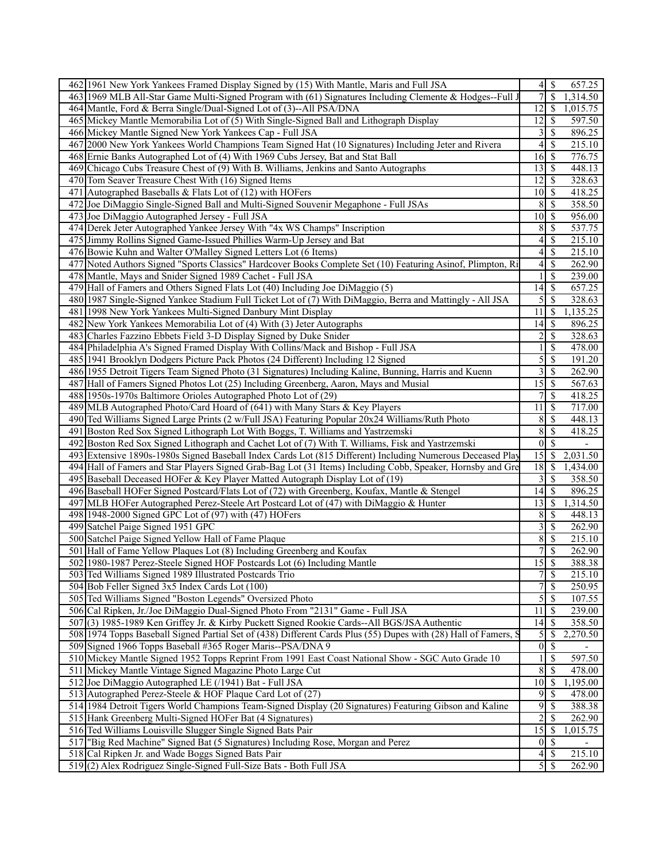| 462 1961 New York Yankees Framed Display Signed by (15) With Mantle, Maris and Full JSA                         |                 | $4\sqrt{3}$               | 657.25                   |
|-----------------------------------------------------------------------------------------------------------------|-----------------|---------------------------|--------------------------|
| 463 1969 MLB All-Star Game Multi-Signed Program with (61) Signatures Including Clemente & Hodges--Full J        | 7               | \$                        | 1,314.50                 |
| 464 Mantle, Ford & Berra Single/Dual-Signed Lot of (3)--All PSA/DNA                                             | 12              | <b>S</b>                  | 1,015.75                 |
| 465 Mickey Mantle Memorabilia Lot of (5) With Single-Signed Ball and Lithograph Display                         | 12              | $\mathcal{S}$             | 597.50                   |
| 466 Mickey Mantle Signed New York Yankees Cap - Full JSA                                                        | 3               | -\$                       | 896.25                   |
| 467 2000 New York Yankees World Champions Team Signed Hat (10 Signatures) Including Jeter and Rivera            | $\overline{4}$  | $\mathbb{S}$              | 215.10                   |
|                                                                                                                 |                 |                           |                          |
| 468 Ernie Banks Autographed Lot of (4) With 1969 Cubs Jersey, Bat and Stat Ball                                 |                 |                           | 776.75                   |
| Chicago Cubs Treasure Chest of (9) With B. Williams, Jenkins and Santo Autographs<br>469                        |                 |                           | 448.13                   |
| 470<br>Tom Seaver Treasure Chest With (16) Signed Items                                                         | 12              | $\sqrt{S}$                | 328.63                   |
| 471<br>Autographed Baseballs & Flats Lot of (12) with HOFers                                                    | 10              | $\mathbf{\hat{s}}$        | 418.25                   |
| Joe DiMaggio Single-Signed Ball and Multi-Signed Souvenir Megaphone - Full JSAs<br>472                          | 8               | $\mathcal{S}$             | 358.50                   |
| 473 Joe DiMaggio Autographed Jersey - Full JSA                                                                  | 10 <sup>1</sup> | $\sqrt{S}$                | 956.00                   |
| 474 Derek Jeter Autographed Yankee Jersey With "4x WS Champs" Inscription                                       | 8               | $\mathbb{S}$              | 537.75                   |
| 475 Jimmy Rollins Signed Game-Issued Phillies Warm-Up Jersey and Bat                                            | 4               | $\mathcal{S}$             | 215.10                   |
| 476 Bowie Kuhn and Walter O'Malley Signed Letters Lot (6 Items)                                                 | $\overline{4}$  | -\$                       | 215.10                   |
| Noted Authors Signed "Sports Classics" Hardcover Books Complete Set (10) Featuring Asinof, Plimpton, Ri<br>477  | 4               | $\mathbb{S}$              | 262.90                   |
| 478 Mantle, Mays and Snider Signed 1989 Cachet - Full JSA                                                       |                 | \$                        | 239.00                   |
| 479 Hall of Famers and Others Signed Flats Lot (40) Including Joe DiMaggio (5)                                  | 14              | - \$                      | $\overline{657.25}$      |
| 480 1987 Single-Signed Yankee Stadium Full Ticket Lot of (7) With DiMaggio, Berra and Mattingly - All JSA       | 5               | \$                        | 328.63                   |
| 481 1998 New York Yankees Multi-Signed Danbury Mint Display                                                     | 11              | $\mathcal{S}$             | 1,135.25                 |
| 482<br>New York Yankees Memorabilia Lot of (4) With (3) Jeter Autographs                                        | 14              | <sup>5</sup>              | 896.25                   |
| Charles Fazzino Ebbets Field 3-D Display Signed by Duke Snider<br>483                                           | 2               | $\overline{\mathcal{S}}$  | 328.63                   |
|                                                                                                                 |                 |                           |                          |
| 484 Philadelphia A's Signed Framed Display With Collins/Mack and Bishop - Full JSA                              |                 | \$                        | 478.00                   |
| 485 1941 Brooklyn Dodgers Picture Pack Photos (24 Different) Including 12 Signed                                | 5               | $\mathcal{S}$             | 191.20                   |
| 486 1955 Detroit Tigers Team Signed Photo (31 Signatures) Including Kaline, Bunning, Harris and Kuenn           | 3               | $\overline{\mathcal{S}}$  | 262.90                   |
| 487 Hall of Famers Signed Photos Lot (25) Including Greenberg, Aaron, Mays and Musial                           | 15              | $\overline{\mathcal{S}}$  | 567.63                   |
| 488 1950s-1970s Baltimore Orioles Autographed Photo Lot of (29)                                                 | 7               | $\mathcal{S}$             | 418.25                   |
| MLB Autographed Photo/Card Hoard of (641) with Many Stars & Key Players<br>489                                  | 11              | $\mathcal{S}$             | 717.00                   |
| 490 Ted Williams Signed Large Prints (2 w/Full JSA) Featuring Popular 20x24 Williams/Ruth Photo                 | 8               | $\mathcal{S}$             | 448.13                   |
| 491<br>Boston Red Sox Signed Lithograph Lot With Boggs, T. Williams and Yastrzemski                             | 8               | $\mathcal{S}$             | 418.25                   |
| 492 Boston Red Sox Signed Lithograph and Cachet Lot of (7) With T. Williams, Fisk and Yastrzemski               | $\vert 0 \vert$ | $\overline{\mathcal{S}}$  | $\overline{\phantom{a}}$ |
| 493<br>Extensive 1890s-1980s Signed Baseball Index Cards Lot (815 Different) Including Numerous Deceased Play   | 15              | $\mathbb{S}$              | 2,031.50                 |
| 494 Hall of Famers and Star Players Signed Grab-Bag Lot (31 Items) Including Cobb, Speaker, Hornsby and Gre     | 18              | S                         | 1,434.00                 |
| Baseball Deceased HOFer & Key Player Matted Autograph Display Lot of (19)<br>495                                | 3               | $\mathcal{S}$             | 358.50                   |
| 496 Baseball HOFer Signed Postcard/Flats Lot of (72) with Greenberg, Koufax, Mantle & Stengel                   | 14              | $\mathbf{\hat{s}}$        | 896.25                   |
| 497 MLB HOFer Autographed Perez-Steele Art Postcard Lot of (47) with DiMaggio & Hunter                          | 13              | 8                         | 1,314.50                 |
| 1948-2000 Signed GPC Lot of (97) with (47) HOFers<br>498                                                        | 8               | $\mathcal{S}$             | 448.13                   |
| 499 Satchel Paige Signed 1951 GPC                                                                               | 3               | $\mathbb{S}$              | 262.90                   |
|                                                                                                                 |                 |                           |                          |
| 500 Satchel Paige Signed Yellow Hall of Fame Plaque                                                             | 8               | $\mathcal{S}$             | 215.10                   |
| Hall of Fame Yellow Plaques Lot (8) Including Greenberg and Koufax<br>501                                       | 7               | \$                        | 262.90                   |
| 502 1980-1987 Perez-Steele Signed HOF Postcards Lot (6) Including Mantle                                        | $\overline{15}$ | $\sqrt{s}$                | 388.38                   |
| 503 Ted Williams Signed 1989 Illustrated Postcards Trio                                                         | $\overline{7}$  | $\overline{\mathcal{S}}$  | 215.10                   |
| 504 Bob Feller Signed 3x5 Index Cards Lot (100)                                                                 | 7               | \$                        | 250.95                   |
| 505 Ted Williams Signed "Boston Legends" Oversized Photo                                                        | 5               | $\mathbb{S}$              | 107.55                   |
| 506 Cal Ripken, Jr./Joe DiMaggio Dual-Signed Photo From "2131" Game - Full JSA                                  | 11              | $\mathcal{S}$             | 239.00                   |
| 507<br>(3) 1985-1989 Ken Griffey Jr. & Kirby Puckett Signed Rookie Cards--All BGS/JSA Authentic                 | 14              | $\mathcal{S}$             | 358.50                   |
| 508 1974 Topps Baseball Signed Partial Set of (438) Different Cards Plus (55) Dupes with (28) Hall of Famers, S | 5               | -S                        | 2,270.50                 |
| 509 Signed 1966 Topps Baseball #365 Roger Maris--PSA/DNA 9                                                      | $\vert 0 \vert$ | -\$                       |                          |
| 510 Mickey Mantle Signed 1952 Topps Reprint From 1991 East Coast National Show - SGC Auto Grade 10              | 1               | $\mathcal{S}$             | 597.50                   |
| 511 Mickey Mantle Vintage Signed Magazine Photo Large Cut                                                       | 8               | -\$                       | 478.00                   |
| 512 Joe DiMaggio Autographed LE (/1941) Bat - Full JSA                                                          | 10              | <sup>5</sup>              | 1,195.00                 |
| 513 Autographed Perez-Steele & HOF Plaque Card Lot of (27)                                                      | 9               | -S                        | 478.00                   |
| 514 1984 Detroit Tigers World Champions Team-Signed Display (20 Signatures) Featuring Gibson and Kaline         | 9               | -S                        | 388.38                   |
| 515 Hank Greenberg Multi-Signed HOFer Bat (4 Signatures)                                                        | $\overline{c}$  | $\mathcal{S}$             | 262.90                   |
|                                                                                                                 |                 |                           |                          |
| 516 Ted Williams Louisville Slugger Single Signed Bats Pair                                                     | 15              | 8                         | 1,015.75                 |
| 517 Big Red Machine" Signed Bat (5 Signatures) Including Rose, Morgan and Perez                                 | $\vert 0 \vert$ | $\sqrt{S}$                |                          |
| 518 Cal Ripken Jr. and Wade Boggs Signed Bats Pair                                                              | $\vert 4 \vert$ | $\mathcal{S}$             | 215.10                   |
| 519(2) Alex Rodriguez Single-Signed Full-Size Bats - Both Full JSA                                              |                 | $5\overline{\smash{)}\,}$ | 262.90                   |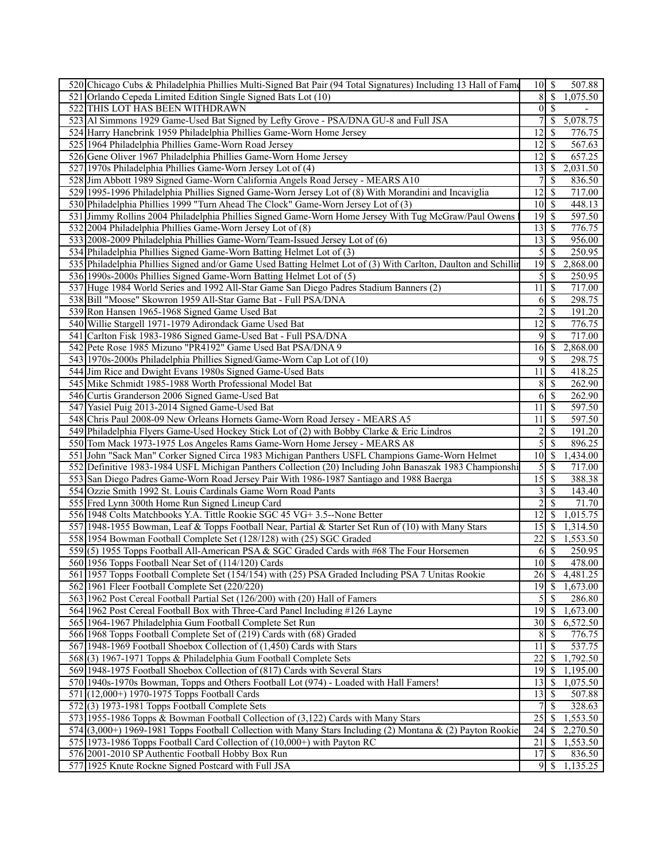| 520 Chicago Cubs & Philadelphia Phillies Multi-Signed Bat Pair (94 Total Signatures) Including 13 Hall of Fame | $10$   \$                  |                          | 507.88   |
|----------------------------------------------------------------------------------------------------------------|----------------------------|--------------------------|----------|
| 521 Orlando Cepeda Limited Edition Single Signed Bats Lot (10)                                                 | 8                          | $\overline{\mathcal{S}}$ | 1,075.50 |
| 522 THIS LOT HAS BEEN WITHDRAWN                                                                                | $\vert 0 \vert$            | $\sqrt{S}$               |          |
| 523 Al Simmons 1929 Game-Used Bat Signed by Lefty Grove - PSA/DNA GU-8 and Full JSA                            |                            | S                        | 5,078.75 |
| 524 Harry Hanebrink 1959 Philadelphia Phillies Game-Worn Home Jersey                                           | 12                         | -S                       | 776.75   |
| 525 1964 Philadelphia Phillies Game-Worn Road Jersey                                                           | 12                         | -S                       | 567.63   |
| 526 Gene Oliver 1967 Philadelphia Phillies Game-Worn Home Jersey                                               | 12                         | -S                       | 657.25   |
| 527 1970s Philadelphia Phillies Game-Worn Jersey Lot of (4)                                                    | 13                         | -S                       | 2,031.50 |
| 528 Jim Abbott 1989 Signed Game-Worn California Angels Road Jersey - MEARS A10                                 | 7                          | -S                       | 836.50   |
| 529 1995-1996 Philadelphia Phillies Signed Game-Worn Jersey Lot of (8) With Morandini and Incaviglia           | 12                         | -S                       | 717.00   |
| 530 Philadelphia Phillies 1999 "Turn Ahead The Clock" Game-Worn Jersey Lot of (3)                              | <sup>10</sup>              | <b>S</b>                 | 448.13   |
| 531 Jimmy Rollins 2004 Philadelphia Phillies Signed Game-Worn Home Jersey With Tug McGraw/Paul Owens           | 19                         | \$                       | 597.50   |
|                                                                                                                | 13                         |                          |          |
| 532 2004 Philadelphia Phillies Game-Worn Jersey Lot of (8)                                                     |                            | l S                      | 776.75   |
| 533 2008-2009 Philadelphia Phillies Game-Worn/Team-Issued Jersey Lot of (6)                                    | 13                         | S                        | 956.00   |
| 534 Philadelphia Phillies Signed Game-Worn Batting Helmet Lot of (3)                                           | 5                          | $\mathcal{S}$            | 250.95   |
| 535 Philadelphia Phillies Signed and/or Game Used Batting Helmet Lot of (3) With Carlton, Daulton and Schillir | 19                         | -S                       | 2,868.00 |
| 536 1990s-2000s Phillies Signed Game-Worn Batting Helmet Lot of (5)                                            | 5                          | \$                       | 250.95   |
| 537 Huge 1984 World Series and 1992 All-Star Game San Diego Padres Stadium Banners (2)                         | 11                         | -\$                      | 717.00   |
| 538 Bill "Moose" Skowron 1959 All-Star Game Bat - Full PSA/DNA                                                 | 6                          | -\$                      | 298.75   |
| 539 Ron Hansen 1965-1968 Signed Game Used Bat                                                                  | 2                          | \$                       | 191.20   |
| 540 Willie Stargell 1971-1979 Adirondack Game Used Bat                                                         | 12                         | -S                       | 776.75   |
| 541 Carlton Fisk 1983-1986 Signed Game-Used Bat - Full PSA/DNA                                                 | 9                          | $\mathcal{S}$            | 717.00   |
| 542 Pete Rose 1985 Mizuno "PR4192" Game Used Bat PSA/DNA 9                                                     | 16                         | -\$                      | 2,868.00 |
| 543 1970s-2000s Philadelphia Phillies Signed/Game-Worn Cap Lot of (10)                                         | 9                          | -\$                      | 298.75   |
| 544 Jim Rice and Dwight Evans 1980s Signed Game-Used Bats                                                      | 11                         | -\$                      | 418.25   |
| 545 Mike Schmidt 1985-1988 Worth Professional Model Bat                                                        | 8                          | 8                        | 262.90   |
| 546 Curtis Granderson 2006 Signed Game-Used Bat                                                                | 6                          | -\$                      | 262.90   |
| 547 Yasiel Puig 2013-2014 Signed Game-Used Bat                                                                 | 11                         | -\$                      | 597.50   |
| 548 Chris Paul 2008-09 New Orleans Hornets Game-Worn Road Jersey - MEARS A5                                    | 11                         | S                        | 597.50   |
| 549 Philadelphia Flyers Game-Used Hockey Stick Lot of (2) with Bobby Clarke & Eric Lindros                     | $\overline{2}$             | -S                       | 191.20   |
| 550 Tom Mack 1973-1975 Los Angeles Rams Game-Worn Home Jersey - MEARS A8                                       | 5                          | $\mathcal{S}$            | 896.25   |
| 551 John "Sack Man" Corker Signed Circa 1983 Michigan Panthers USFL Champions Game-Worn Helmet                 | 10                         | -S                       | 1,434.00 |
| 552 Definitive 1983-1984 USFL Michigan Panthers Collection (20) Including John Banaszak 1983 Championshi       | 5                          | -S                       | 717.00   |
| 553 San Diego Padres Game-Worn Road Jersey Pair With 1986-1987 Santiago and 1988 Baerga                        | 15                         | $\mathcal{S}$            | 388.38   |
| 554 Ozzie Smith 1992 St. Louis Cardinals Game Worn Road Pants                                                  | 3                          | -S                       | 143.40   |
| 555 Fred Lynn 300th Home Run Signed Lineup Card                                                                | $\overline{2}$             | -S                       | 71.70    |
| 556 1948 Colts Matchbooks Y.A. Tittle Rookie SGC 45 VG+ 3.5--None Better                                       | 12                         | <sup>\$</sup>            | 1,015.75 |
| 557 1948-1955 Bowman, Leaf & Topps Football Near, Partial & Starter Set Run of (10) with Many Stars            | 15                         | $\mathcal{S}$            | 1,314.50 |
| 558 1954 Bowman Football Complete Set (128/128) with (25) SGC Graded                                           | 22                         | -S                       | 1,553.50 |
| 559(5) 1955 Topps Football All-American PSA & SGC Graded Cards with #68 The Four Horsemen                      | <sup>6</sup>               | $\overline{\mathcal{S}}$ | 250.95   |
| 560 1956 Topps Football Near Set of (114/120) Cards                                                            | $10\overline{\smash{)}\,}$ |                          | 478.00   |
| 561 1957 Topps Football Complete Set (154/154) with (25) PSA Graded Including PSA 7 Unitas Rookie              | 26                         | ∣\$.                     | 4,481.25 |
| 562 1961 Fleer Football Complete Set (220/220)                                                                 | 19                         | $\mathcal{S}$            | 1,673.00 |
| 563 1962 Post Cereal Football Partial Set (126/200) with (20) Hall of Famers                                   | 5                          | $\mathcal{S}$            | 286.80   |
| 564 1962 Post Cereal Football Box with Three-Card Panel Including #126 Layne                                   | 19                         | -\$                      | 1,673.00 |
| 565 1964-1967 Philadelphia Gum Football Complete Set Run                                                       | 30                         | <b>S</b>                 | 6,572.50 |
| 566 1968 Topps Football Complete Set of (219) Cards with (68) Graded                                           | 8                          | -\$                      | 776.75   |
| 567 1948-1969 Football Shoebox Collection of (1,450) Cards with Stars                                          | 11                         | -S                       | 537.75   |
| 568(3) 1967-1971 Topps & Philadelphia Gum Football Complete Sets                                               | 22                         | -S                       | 1,792.50 |
| 569 1948-1975 Football Shoebox Collection of (817) Cards with Several Stars                                    | 19                         | $\sqrt{S}$               | 1,195.00 |
| 570 1940s-1970s Bowman, Topps and Others Football Lot (974) - Loaded with Hall Famers!                         | 13                         | - \$                     | 1,075.50 |
| 571 (12,000+) 1970-1975 Topps Football Cards                                                                   | 13                         | \$                       | 507.88   |
| $572(3)$ 1973-1981 Topps Football Complete Sets                                                                | $\overline{7}$             | -S                       | 328.63   |
| 573 1955-1986 Topps & Bowman Football Collection of (3,122) Cards with Many Stars                              | 25                         | -S                       | 1,553.50 |
| $574$ (3,000+) 1969-1981 Topps Football Collection with Many Stars Including (2) Montana & (2) Payton Rookie   | 24                         | -S                       | 2,270.50 |
| 575 1973-1986 Topps Football Card Collection of (10,000+) with Payton RC                                       | $\overline{21}$            | -\$                      | 1,553.50 |
| 576 2001-2010 SP Authentic Football Hobby Box Run                                                              | 17                         | $\mathcal{S}$            | 836.50   |
| 577 1925 Knute Rockne Signed Postcard with Full JSA                                                            | $9 \mid$ \$                |                          | 1,135.25 |
|                                                                                                                |                            |                          |          |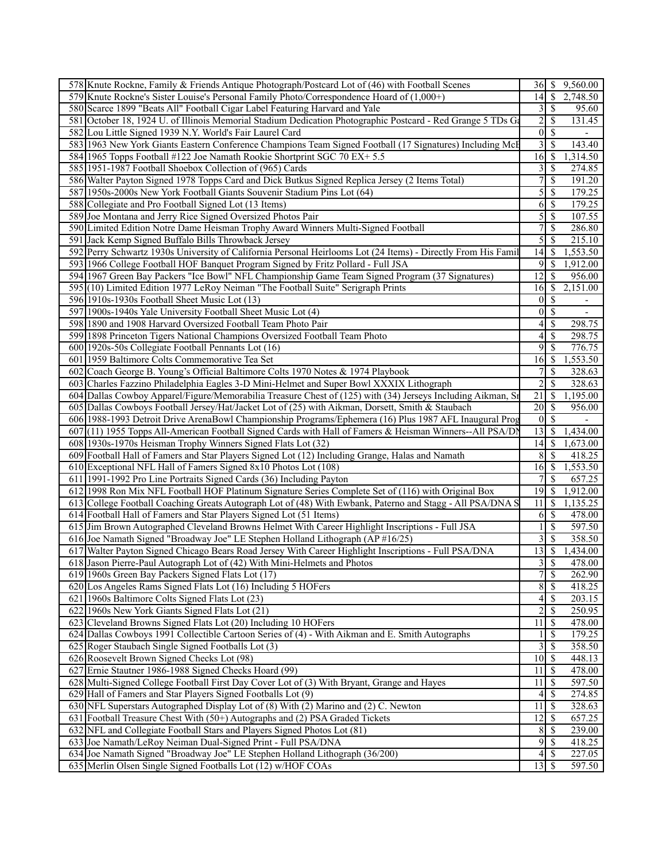|     | 578 Knute Rockne, Family & Friends Antique Photograph/Postcard Lot of (46) with Football Scenes                                                                                 | 36   S                     |                          | 9,560.00                 |
|-----|---------------------------------------------------------------------------------------------------------------------------------------------------------------------------------|----------------------------|--------------------------|--------------------------|
|     | 579 Knute Rockne's Sister Louise's Personal Family Photo/Correspondence Hoard of (1,000+)                                                                                       | 14                         | -\$                      | 2,748.50                 |
|     | 580 Scarce 1899 "Beats All" Football Cigar Label Featuring Harvard and Yale                                                                                                     | 3                          | $\sqrt{S}$               | 95.60                    |
| 581 | October 18, 1924 U. of Illinois Memorial Stadium Dedication Photographic Postcard - Red Grange 5 TDs Ga                                                                         | $\overline{c}$             | <sup>\$</sup>            | 131.45                   |
|     | 582 Lou Little Signed 1939 N.Y. World's Fair Laurel Card                                                                                                                        | $\boldsymbol{0}$           | -S                       |                          |
|     | 583 1963 New York Giants Eastern Conference Champions Team Signed Football (17 Signatures) Including McF                                                                        | 3                          | -\$                      | 143.40                   |
|     | 584 1965 Topps Football #122 Joe Namath Rookie Shortprint SGC 70 EX+ 5.5                                                                                                        | 16                         | S                        | 1,314.50                 |
|     | 585 1951-1987 Football Shoebox Collection of (965) Cards                                                                                                                        | 3                          | -\$                      | 274.85                   |
|     | 586 Walter Payton Signed 1978 Topps Card and Dick Butkus Signed Replica Jersey (2 Items Total)                                                                                  | 7                          | $\mathcal{S}$            | 191.20                   |
|     | 587 1950s-2000s New York Football Giants Souvenir Stadium Pins Lot (64)                                                                                                         | 5                          | $\mathcal{S}$            | 179.25                   |
|     | 588 Collegiate and Pro Football Signed Lot (13 Items)                                                                                                                           | 6                          | -S                       | 179.25                   |
|     | 589 Joe Montana and Jerry Rice Signed Oversized Photos Pair                                                                                                                     | 5                          | -S                       | 107.55                   |
|     | 590 Limited Edition Notre Dame Heisman Trophy Award Winners Multi-Signed Football                                                                                               | 7                          | $\mathbb{S}$             | 286.80                   |
|     | 591 Jack Kemp Signed Buffalo Bills Throwback Jersey                                                                                                                             | 5                          | $\mathcal{S}$            | 215.10                   |
| 592 | Perry Schwartz 1930s University of California Personal Heirlooms Lot (24 Items) - Directly From His Famil                                                                       | 14                         | <sup>5</sup>             | 1,553.50                 |
|     | 593 1966 College Football HOF Banquet Program Signed by Fritz Pollard - Full JSA                                                                                                | 9                          | -S                       | 1,912.00                 |
|     | 594 1967 Green Bay Packers "Ice Bowl" NFL Championship Game Team Signed Program (37 Signatures)                                                                                 | 12                         | S                        | 956.00                   |
|     | 595 (10) Limited Edition 1977 LeRoy Neiman "The Football Suite" Serigraph Prints                                                                                                | 16                         | -\$                      | 2,151.00                 |
|     | 596 1910s-1930s Football Sheet Music Lot (13)                                                                                                                                   | $\bf{0}$                   | $\mathcal{S}$            | $\overline{\phantom{a}}$ |
|     | 597 1900s-1940s Yale University Football Sheet Music Lot (4)                                                                                                                    | $\boldsymbol{0}$           | \$                       |                          |
|     | 598 1890 and 1908 Harvard Oversized Football Team Photo Pair                                                                                                                    | 4                          | -\$                      | 298.75                   |
|     | 599 1898 Princeton Tigers National Champions Oversized Football Team Photo                                                                                                      | 4                          | \$                       | 298.75                   |
|     | 600 1920s-50s Collegiate Football Pennants Lot (16)                                                                                                                             | 9                          | $\mathbb{S}$             | 776.75                   |
|     | 601 1959 Baltimore Colts Commemorative Tea Set                                                                                                                                  | 16                         | S                        | 1,553.50                 |
| 602 | Coach George B. Young's Official Baltimore Colts 1970 Notes & 1974 Playbook                                                                                                     | 7                          | \$                       | 328.63                   |
| 603 | Charles Fazzino Philadelphia Eagles 3-D Mini-Helmet and Super Bowl XXXIX Lithograph                                                                                             | $\overline{c}$             | <sup>\$</sup>            | 328.63                   |
|     | 604 Dallas Cowboy Apparel/Figure/Memorabilia Treasure Chest of (125) with (34) Jerseys Including Aikman, Sr                                                                     | 21                         | -S                       | 1,195.00                 |
| 605 | Dallas Cowboys Football Jersey/Hat/Jacket Lot of (25) with Aikman, Dorsett, Smith & Staubach                                                                                    | 20                         | -\$                      | 956.00                   |
|     | 606 1988-1993 Detroit Drive ArenaBowl Championship Programs/Ephemera (16) Plus 1987 AFL Inaugural Prog                                                                          | $\vert 0 \vert$            | -S                       |                          |
|     | 607 (11) 1955 Topps All-American Football Signed Cards with Hall of Famers & Heisman Winners--All PSA/DN                                                                        | $13$ $\sqrt{5}$            |                          | 1,434.00                 |
|     | 608 1930s-1970s Heisman Trophy Winners Signed Flats Lot (32)                                                                                                                    | 14                         | -\$                      | 1,673.00                 |
|     | 609 Football Hall of Famers and Star Players Signed Lot (12) Including Grange, Halas and Namath                                                                                 | 8                          | -S                       | 418.25                   |
| 610 | Exceptional NFL Hall of Famers Signed 8x10 Photos Lot (108)                                                                                                                     | 16                         | -\$                      | 1,553.50                 |
| 611 | 1991-1992 Pro Line Portraits Signed Cards (36) Including Payton<br>612 1998 Ron Mix NFL Football HOF Platinum Signature Series Complete Set of (116) with Original Box          | 19                         | \$<br>-S                 | 657.25<br>1,912.00       |
|     |                                                                                                                                                                                 |                            | - \$                     |                          |
|     | 613 College Football Coaching Greats Autograph Lot of (48) With Ewbank, Paterno and Stagg - All PSA/DNA S<br>614 Football Hall of Famers and Star Players Signed Lot (51 Items) | 11<br>6                    | $\mathcal{S}$            | 1,135.25<br>478.00       |
|     | 615 Jim Brown Autographed Cleveland Browns Helmet With Career Highlight Inscriptions - Full JSA                                                                                 | 1                          | $\mathcal{S}$            | $\overline{597.50}$      |
|     | 616 Joe Namath Signed "Broadway Joe" LE Stephen Holland Lithograph (AP #16/25)                                                                                                  | 3                          | $\overline{\mathcal{S}}$ | 358.50                   |
|     | 617 Walter Payton Signed Chicago Bears Road Jersey With Career Highlight Inscriptions - Full PSA/DNA                                                                            | $\overline{13}$ \$         |                          | 1,434.00                 |
|     | 618 Jason Pierre-Paul Autograph Lot of (42) With Mini-Helmets and Photos                                                                                                        | $\overline{\mathbf{3}}$    | $\overline{\mathcal{S}}$ | 478.00                   |
|     | 619 1960s Green Bay Packers Signed Flats Lot (17)                                                                                                                               | 7                          | $\mathbb{S}$             | 262.90                   |
|     | 620 Los Angeles Rams Signed Flats Lot (16) Including 5 HOFers                                                                                                                   | 8                          | $\mathcal{S}$            | 418.25                   |
|     | 621 1960s Baltimore Colts Signed Flats Lot (23)                                                                                                                                 | 4                          | -\$                      | 203.15                   |
|     | 622 1960s New York Giants Signed Flats Lot (21)                                                                                                                                 | 2                          | \$                       | 250.95                   |
|     | 623 Cleveland Browns Signed Flats Lot (20) Including 10 HOFers                                                                                                                  | 11                         | $\mathcal{S}$            | 478.00                   |
|     | 624 Dallas Cowboys 1991 Collectible Cartoon Series of (4) - With Aikman and E. Smith Autographs                                                                                 | 1                          | -S                       | 179.25                   |
|     | 625 Roger Staubach Single Signed Footballs Lot (3)                                                                                                                              | 3                          | $\mathcal{S}$            | 358.50                   |
|     | 626 Roosevelt Brown Signed Checks Lot (98)                                                                                                                                      | 10 <sup>1</sup>            | 8                        | 448.13                   |
|     | 627 Ernie Stautner 1986-1988 Signed Checks Hoard (99)                                                                                                                           | 11                         | <sup>5</sup>             | 478.00                   |
|     | 628 Multi-Signed College Football First Day Cover Lot of (3) With Bryant, Grange and Hayes                                                                                      | 11                         | $\mathcal{S}$            | 597.50                   |
|     | 629 Hall of Famers and Star Players Signed Footballs Lot (9)                                                                                                                    | 4                          | -\$                      | 274.85                   |
|     | 630 NFL Superstars Autographed Display Lot of (8) With (2) Marino and (2) C. Newton                                                                                             | 11                         | 8                        | 328.63                   |
|     | 631 Football Treasure Chest With (50+) Autographs and (2) PSA Graded Tickets                                                                                                    | 12                         | -S                       | 657.25                   |
|     | 632 NFL and Collegiate Football Stars and Players Signed Photos Lot (81)                                                                                                        | 8                          | 8                        | 239.00                   |
|     | 633 Joe Namath/LeRoy Neiman Dual-Signed Print - Full PSA/DNA                                                                                                                    | $9 \overline{\smash{)}\,}$ |                          | 418.25                   |
|     | 634 Joe Namath Signed "Broadway Joe" LE Stephen Holland Lithograph (36/200)                                                                                                     | $\left 4\right $           | $\sqrt{S}$               | 227.05                   |
|     | 635 Merlin Olsen Single Signed Footballs Lot (12) w/HOF COAs                                                                                                                    |                            |                          | 597.50                   |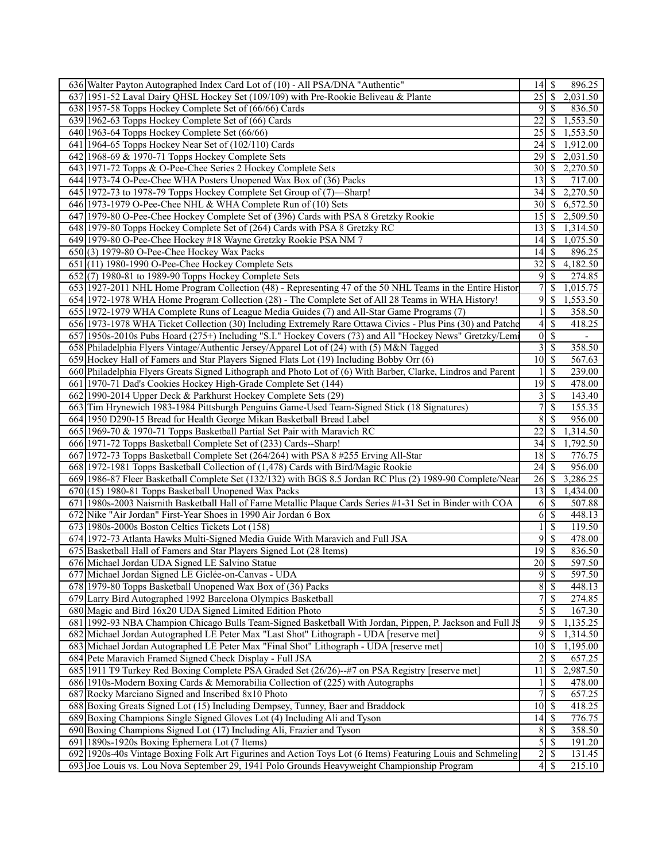| 2,031.50<br>637 1951-52 Laval Dairy QHSL Hockey Set (109/109) with Pre-Rookie Beliveau & Plante<br>638 1957-58 Topps Hockey Complete Set of (66/66) Cards<br>9<br>- \$<br>836.50<br>22<br>\$<br>1,553.50<br>639 1962-63 Topps Hockey Complete Set of (66) Cards<br>25<br>640 1963-64 Topps Hockey Complete Set (66/66)<br>1,553.50<br>-S<br>641 1964-65 Topps Hockey Near Set of (102/110) Cards<br>24<br>1,912.00<br>\$<br>642 1968-69 & 1970-71 Topps Hockey Complete Sets<br>2,031.50<br>29<br><sup>\$</sup><br>2,270.50<br>643 1971-72 Topps & O-Pee-Chee Series 2 Hockey Complete Sets<br>$30 \mid \text{\$}$<br>644 1973-74 O-Pee-Chee WHA Posters Unopened Wax Box of (36) Packs<br>717.00<br>13 <sup>1</sup><br>-S<br>645 1972-73 to 1978-79 Topps Hockey Complete Set Group of (7)—Sharp!<br>34<br>S<br>2,270.50<br>$30 \mid \text{\$}$<br>646 1973-1979 O-Pee-Chee NHL & WHA Complete Run of (10) Sets<br>6,572.50<br>647 1979-80 O-Pee-Chee Hockey Complete Set of (396) Cards with PSA 8 Gretzky Rookie<br>2,509.50<br>648 1979-80 Topps Hockey Complete Set of (264) Cards with PSA 8 Gretzky RC<br>13 <sup>1</sup><br>-\$<br>1,314.50<br>649 1979-80 O-Pee-Chee Hockey #18 Wayne Gretzky Rookie PSA NM 7<br>$14 \mid$ \$<br>1,075.50<br>$650(3)$ 1979-80 O-Pee-Chee Hockey Wax Packs<br>$14\overline{3}$<br>896.25<br>4,182.50<br>651 (11) 1980-1990 O-Pee-Chee Hockey Complete Sets<br>32<br>S<br>$\overline{9}$<br>652(7) 1980-81 to 1989-90 Topps Hockey Complete Sets<br>- \$<br>274.85<br>$\overline{7}$<br>653 1927-2011 NHL Home Program Collection (48) - Representing 47 of the 50 NHL Teams in the Entire Histor<br>\$<br>1,015.75<br>$\overline{9}$<br>654 1972-1978 WHA Home Program Collection (28) - The Complete Set of All 28 Teams in WHA History!<br>S<br>1,553.50<br>655 1972-1979 WHA Complete Runs of League Media Guides (7) and All-Star Game Programs (7)<br>\$<br>358.50<br><sup>\$</sup><br>656 1973-1978 WHA Ticket Collection (30) Including Extremely Rare Ottawa Civics - Plus Pins (30) and Patche<br>$\left 4\right $<br>418.25<br>657 1950s-2010s Pubs Hoard (275+) Including "S.I." Hockey Covers (73) and All "Hockey News" Gretzky/Lemi<br>$\vert 0 \vert$<br>\$<br>3S<br>358.50<br>658 Philadelphia Flyers Vintage/Authentic Jersey/Apparel Lot of (24) with (5) M&N Tagged<br>$10\overline{\smash{)}\,}$<br>567.63<br>659 Hockey Hall of Famers and Star Players Signed Flats Lot (19) Including Bobby Orr (6)<br>660 Philadelphia Flyers Greats Signed Lithograph and Photo Lot of (6) With Barber, Clarke, Lindros and Parent<br>\$<br>239.00<br>$\overline{19}$ \$<br>661 1970-71 Dad's Cookies Hockey High-Grade Complete Set (144)<br>478.00<br>$3\vert$<br>-\$<br>662 1990-2014 Upper Deck & Parkhurst Hockey Complete Sets (29)<br>143.40<br>$\overline{7}$<br>155.35<br>663 Tim Hrynewich 1983-1984 Pittsburgh Penguins Game-Used Team-Signed Stick (18 Signatures)<br>\$<br>8<br>664 1950 D290-15 Bread for Health George Mikan Basketball Bread Label<br>S<br>956.00<br>22<br><sup>\$</sup><br>1,314.50<br>665 1969-70 & 1970-71 Topps Basketball Partial Set Pair with Maravich RC<br>666 1971-72 Topps Basketball Complete Set of (233) Cards--Sharp!<br>$34$ \ $\frac{1}{3}$<br>1,792.50<br>667 1972-73 Topps Basketball Complete Set (264/264) with PSA 8 #255 Erving All-Star<br>776.75<br>668 1972-1981 Topps Basketball Collection of (1,478) Cards with Bird/Magic Rookie<br>\$<br>956.00<br>24<br>669 1986-87 Fleer Basketball Complete Set (132/132) with BGS 8.5 Jordan RC Plus (2) 1989-90 Complete/Near<br>3,286.25<br>26<br>\$<br>$\overline{13}$ \$<br>670 (15) 1980-81 Topps Basketball Unopened Wax Packs<br>1,434.00<br>671 1980s-2003 Naismith Basketball Hall of Fame Metallic Plaque Cards Series #1-31 Set in Binder with COA<br>$\mathcal{S}$<br>6<br>507.88<br>6<br>$\mathcal{S}$<br>448.13<br>672 Nike "Air Jordan" First-Year Shoes in 1990 Air Jordan 6 Box<br>\$<br>673 1980s-2000s Boston Celtics Tickets Lot (158)<br>119.50<br>9<br>674 1972-73 Atlanta Hawks Multi-Signed Media Guide With Maravich and Full JSA<br>\$<br>478.00<br>19<br>675 Basketball Hall of Famers and Star Players Signed Lot (28 Items)<br>-S<br>836.50<br>$\overline{20}$ \$<br>676 Michael Jordan UDA Signed LE Salvino Statue<br>597.50<br>$9 \mid S$<br>677 Michael Jordan Signed LE Giclée-on-Canvas - UDA<br>597.50<br>$\overline{8}$<br>678 1979-80 Topps Basketball Unopened Wax Box of (36) Packs<br><sup>\$</sup><br>448.13<br>7 <sup>1</sup><br>679 Larry Bird Autographed 1992 Barcelona Olympics Basketball<br>-\$<br>274.85<br>$\mathfrak{S}$<br>680 Magic and Bird 16x20 UDA Signed Limited Edition Photo<br>\$<br>167.30<br>9<br>1,135.25<br>681 1992-93 NBA Champion Chicago Bulls Team-Signed Basketball With Jordan, Pippen, P. Jackson and Full JS<br>\$<br>$\overline{9}$<br>682 Michael Jordan Autographed LE Peter Max "Last Shot" Lithograph - UDA [reserve met]<br>-S<br>1,314.50<br>683 Michael Jordan Autographed LE Peter Max "Final Shot" Lithograph - UDA [reserve met]<br>10 <sup>1</sup><br>$\mathcal{S}$<br>1,195.00<br><sup>\$</sup><br>684 Pete Maravich Framed Signed Check Display - Full JSA<br>$\overline{2}$<br>657.25<br>\$<br>2,987.50<br>685 1911 T9 Turkey Red Boxing Complete PSA Graded Set (26/26)--#7 on PSA Registry [reserve met]<br>11<br>686 1910s-Modern Boxing Cards & Memorabilia Collection of (225) with Autographs<br>\$<br>478.00<br>7<br>\$<br>657.25<br>687 Rocky Marciano Signed and Inscribed 8x10 Photo<br>688 Boxing Greats Signed Lot (15) Including Dempsey, Tunney, Baer and Braddock<br>$10\overline{\smash{)}\,}$<br>418.25<br>689 Boxing Champions Single Signed Gloves Lot (4) Including Ali and Tyson<br>776.75<br>$14$ $\sqrt{5}$<br>8S<br>358.50<br>690 Boxing Champions Signed Lot (17) Including Ali, Frazier and Tyson<br>5<br>691 1890s-1920s Boxing Ephemera Lot (7 Items)<br>$\mathcal{S}$<br>191.20<br>$\overline{2}$<br>692 1920s-40s Vintage Boxing Folk Art Figurines and Action Toys Lot (6 Items) Featuring Louis and Schmeling<br>-\$<br>131.45<br>4S<br>215.10<br>693 Joe Louis vs. Lou Nova September 29, 1941 Polo Grounds Heavyweight Championship Program | 636 Walter Payton Autographed Index Card Lot of (10) - All PSA/DNA "Authentic" | $14 \mid$ \$<br>896.25 |
|-----------------------------------------------------------------------------------------------------------------------------------------------------------------------------------------------------------------------------------------------------------------------------------------------------------------------------------------------------------------------------------------------------------------------------------------------------------------------------------------------------------------------------------------------------------------------------------------------------------------------------------------------------------------------------------------------------------------------------------------------------------------------------------------------------------------------------------------------------------------------------------------------------------------------------------------------------------------------------------------------------------------------------------------------------------------------------------------------------------------------------------------------------------------------------------------------------------------------------------------------------------------------------------------------------------------------------------------------------------------------------------------------------------------------------------------------------------------------------------------------------------------------------------------------------------------------------------------------------------------------------------------------------------------------------------------------------------------------------------------------------------------------------------------------------------------------------------------------------------------------------------------------------------------------------------------------------------------------------------------------------------------------------------------------------------------------------------------------------------------------------------------------------------------------------------------------------------------------------------------------------------------------------------------------------------------------------------------------------------------------------------------------------------------------------------------------------------------------------------------------------------------------------------------------------------------------------------------------------------------------------------------------------------------------------------------------------------------------------------------------------------------------------------------------------------------------------------------------------------------------------------------------------------------------------------------------------------------------------------------------------------------------------------------------------------------------------------------------------------------------------------------------------------------------------------------------------------------------------------------------------------------------------------------------------------------------------------------------------------------------------------------------------------------------------------------------------------------------------------------------------------------------------------------------------------------------------------------------------------------------------------------------------------------------------------------------------------------------------------------------------------------------------------------------------------------------------------------------------------------------------------------------------------------------------------------------------------------------------------------------------------------------------------------------------------------------------------------------------------------------------------------------------------------------------------------------------------------------------------------------------------------------------------------------------------------------------------------------------------------------------------------------------------------------------------------------------------------------------------------------------------------------------------------------------------------------------------------------------------------------------------------------------------------------------------------------------------------------------------------------------------------------------------------------------------------------------------------------------------------------------------------------------------------------------------------------------------------------------------------------------------------------------------------------------------------------------------------------------------------------------------------------------------------------------------------------------------------------------------------------------------------------------------------------------------------------------------------------------------------------------------------------------------------------------------------------------------------------------------------------------------------------------------------------------------------------------------------------------------------------------------------------------------------------------------------------------------------------------------------------------------------------------------------------------------------------------------------------------------------------------------------------------------------------------------------------------------------------------------------------------------------------------------------------------------------------------------------------------------------------------------------------------------------------------------------------------------------------------|--------------------------------------------------------------------------------|------------------------|
|                                                                                                                                                                                                                                                                                                                                                                                                                                                                                                                                                                                                                                                                                                                                                                                                                                                                                                                                                                                                                                                                                                                                                                                                                                                                                                                                                                                                                                                                                                                                                                                                                                                                                                                                                                                                                                                                                                                                                                                                                                                                                                                                                                                                                                                                                                                                                                                                                                                                                                                                                                                                                                                                                                                                                                                                                                                                                                                                                                                                                                                                                                                                                                                                                                                                                                                                                                                                                                                                                                                                                                                                                                                                                                                                                                                                                                                                                                                                                                                                                                                                                                                                                                                                                                                                                                                                                                                                                                                                                                                                                                                                                                                                                                                                                                                                                                                                                                                                                                                                                                                                                                                                                                                                                                                                                                                                                                                                                                                                                                                                                                                                                                                                                                                                                                                                                                                                                                                                                                                                                                                                                                                                                                                                                             |                                                                                |                        |
|                                                                                                                                                                                                                                                                                                                                                                                                                                                                                                                                                                                                                                                                                                                                                                                                                                                                                                                                                                                                                                                                                                                                                                                                                                                                                                                                                                                                                                                                                                                                                                                                                                                                                                                                                                                                                                                                                                                                                                                                                                                                                                                                                                                                                                                                                                                                                                                                                                                                                                                                                                                                                                                                                                                                                                                                                                                                                                                                                                                                                                                                                                                                                                                                                                                                                                                                                                                                                                                                                                                                                                                                                                                                                                                                                                                                                                                                                                                                                                                                                                                                                                                                                                                                                                                                                                                                                                                                                                                                                                                                                                                                                                                                                                                                                                                                                                                                                                                                                                                                                                                                                                                                                                                                                                                                                                                                                                                                                                                                                                                                                                                                                                                                                                                                                                                                                                                                                                                                                                                                                                                                                                                                                                                                                             |                                                                                |                        |
|                                                                                                                                                                                                                                                                                                                                                                                                                                                                                                                                                                                                                                                                                                                                                                                                                                                                                                                                                                                                                                                                                                                                                                                                                                                                                                                                                                                                                                                                                                                                                                                                                                                                                                                                                                                                                                                                                                                                                                                                                                                                                                                                                                                                                                                                                                                                                                                                                                                                                                                                                                                                                                                                                                                                                                                                                                                                                                                                                                                                                                                                                                                                                                                                                                                                                                                                                                                                                                                                                                                                                                                                                                                                                                                                                                                                                                                                                                                                                                                                                                                                                                                                                                                                                                                                                                                                                                                                                                                                                                                                                                                                                                                                                                                                                                                                                                                                                                                                                                                                                                                                                                                                                                                                                                                                                                                                                                                                                                                                                                                                                                                                                                                                                                                                                                                                                                                                                                                                                                                                                                                                                                                                                                                                                             |                                                                                |                        |
|                                                                                                                                                                                                                                                                                                                                                                                                                                                                                                                                                                                                                                                                                                                                                                                                                                                                                                                                                                                                                                                                                                                                                                                                                                                                                                                                                                                                                                                                                                                                                                                                                                                                                                                                                                                                                                                                                                                                                                                                                                                                                                                                                                                                                                                                                                                                                                                                                                                                                                                                                                                                                                                                                                                                                                                                                                                                                                                                                                                                                                                                                                                                                                                                                                                                                                                                                                                                                                                                                                                                                                                                                                                                                                                                                                                                                                                                                                                                                                                                                                                                                                                                                                                                                                                                                                                                                                                                                                                                                                                                                                                                                                                                                                                                                                                                                                                                                                                                                                                                                                                                                                                                                                                                                                                                                                                                                                                                                                                                                                                                                                                                                                                                                                                                                                                                                                                                                                                                                                                                                                                                                                                                                                                                                             |                                                                                |                        |
|                                                                                                                                                                                                                                                                                                                                                                                                                                                                                                                                                                                                                                                                                                                                                                                                                                                                                                                                                                                                                                                                                                                                                                                                                                                                                                                                                                                                                                                                                                                                                                                                                                                                                                                                                                                                                                                                                                                                                                                                                                                                                                                                                                                                                                                                                                                                                                                                                                                                                                                                                                                                                                                                                                                                                                                                                                                                                                                                                                                                                                                                                                                                                                                                                                                                                                                                                                                                                                                                                                                                                                                                                                                                                                                                                                                                                                                                                                                                                                                                                                                                                                                                                                                                                                                                                                                                                                                                                                                                                                                                                                                                                                                                                                                                                                                                                                                                                                                                                                                                                                                                                                                                                                                                                                                                                                                                                                                                                                                                                                                                                                                                                                                                                                                                                                                                                                                                                                                                                                                                                                                                                                                                                                                                                             |                                                                                |                        |
|                                                                                                                                                                                                                                                                                                                                                                                                                                                                                                                                                                                                                                                                                                                                                                                                                                                                                                                                                                                                                                                                                                                                                                                                                                                                                                                                                                                                                                                                                                                                                                                                                                                                                                                                                                                                                                                                                                                                                                                                                                                                                                                                                                                                                                                                                                                                                                                                                                                                                                                                                                                                                                                                                                                                                                                                                                                                                                                                                                                                                                                                                                                                                                                                                                                                                                                                                                                                                                                                                                                                                                                                                                                                                                                                                                                                                                                                                                                                                                                                                                                                                                                                                                                                                                                                                                                                                                                                                                                                                                                                                                                                                                                                                                                                                                                                                                                                                                                                                                                                                                                                                                                                                                                                                                                                                                                                                                                                                                                                                                                                                                                                                                                                                                                                                                                                                                                                                                                                                                                                                                                                                                                                                                                                                             |                                                                                |                        |
|                                                                                                                                                                                                                                                                                                                                                                                                                                                                                                                                                                                                                                                                                                                                                                                                                                                                                                                                                                                                                                                                                                                                                                                                                                                                                                                                                                                                                                                                                                                                                                                                                                                                                                                                                                                                                                                                                                                                                                                                                                                                                                                                                                                                                                                                                                                                                                                                                                                                                                                                                                                                                                                                                                                                                                                                                                                                                                                                                                                                                                                                                                                                                                                                                                                                                                                                                                                                                                                                                                                                                                                                                                                                                                                                                                                                                                                                                                                                                                                                                                                                                                                                                                                                                                                                                                                                                                                                                                                                                                                                                                                                                                                                                                                                                                                                                                                                                                                                                                                                                                                                                                                                                                                                                                                                                                                                                                                                                                                                                                                                                                                                                                                                                                                                                                                                                                                                                                                                                                                                                                                                                                                                                                                                                             |                                                                                |                        |
|                                                                                                                                                                                                                                                                                                                                                                                                                                                                                                                                                                                                                                                                                                                                                                                                                                                                                                                                                                                                                                                                                                                                                                                                                                                                                                                                                                                                                                                                                                                                                                                                                                                                                                                                                                                                                                                                                                                                                                                                                                                                                                                                                                                                                                                                                                                                                                                                                                                                                                                                                                                                                                                                                                                                                                                                                                                                                                                                                                                                                                                                                                                                                                                                                                                                                                                                                                                                                                                                                                                                                                                                                                                                                                                                                                                                                                                                                                                                                                                                                                                                                                                                                                                                                                                                                                                                                                                                                                                                                                                                                                                                                                                                                                                                                                                                                                                                                                                                                                                                                                                                                                                                                                                                                                                                                                                                                                                                                                                                                                                                                                                                                                                                                                                                                                                                                                                                                                                                                                                                                                                                                                                                                                                                                             |                                                                                |                        |
|                                                                                                                                                                                                                                                                                                                                                                                                                                                                                                                                                                                                                                                                                                                                                                                                                                                                                                                                                                                                                                                                                                                                                                                                                                                                                                                                                                                                                                                                                                                                                                                                                                                                                                                                                                                                                                                                                                                                                                                                                                                                                                                                                                                                                                                                                                                                                                                                                                                                                                                                                                                                                                                                                                                                                                                                                                                                                                                                                                                                                                                                                                                                                                                                                                                                                                                                                                                                                                                                                                                                                                                                                                                                                                                                                                                                                                                                                                                                                                                                                                                                                                                                                                                                                                                                                                                                                                                                                                                                                                                                                                                                                                                                                                                                                                                                                                                                                                                                                                                                                                                                                                                                                                                                                                                                                                                                                                                                                                                                                                                                                                                                                                                                                                                                                                                                                                                                                                                                                                                                                                                                                                                                                                                                                             |                                                                                |                        |
|                                                                                                                                                                                                                                                                                                                                                                                                                                                                                                                                                                                                                                                                                                                                                                                                                                                                                                                                                                                                                                                                                                                                                                                                                                                                                                                                                                                                                                                                                                                                                                                                                                                                                                                                                                                                                                                                                                                                                                                                                                                                                                                                                                                                                                                                                                                                                                                                                                                                                                                                                                                                                                                                                                                                                                                                                                                                                                                                                                                                                                                                                                                                                                                                                                                                                                                                                                                                                                                                                                                                                                                                                                                                                                                                                                                                                                                                                                                                                                                                                                                                                                                                                                                                                                                                                                                                                                                                                                                                                                                                                                                                                                                                                                                                                                                                                                                                                                                                                                                                                                                                                                                                                                                                                                                                                                                                                                                                                                                                                                                                                                                                                                                                                                                                                                                                                                                                                                                                                                                                                                                                                                                                                                                                                             |                                                                                |                        |
|                                                                                                                                                                                                                                                                                                                                                                                                                                                                                                                                                                                                                                                                                                                                                                                                                                                                                                                                                                                                                                                                                                                                                                                                                                                                                                                                                                                                                                                                                                                                                                                                                                                                                                                                                                                                                                                                                                                                                                                                                                                                                                                                                                                                                                                                                                                                                                                                                                                                                                                                                                                                                                                                                                                                                                                                                                                                                                                                                                                                                                                                                                                                                                                                                                                                                                                                                                                                                                                                                                                                                                                                                                                                                                                                                                                                                                                                                                                                                                                                                                                                                                                                                                                                                                                                                                                                                                                                                                                                                                                                                                                                                                                                                                                                                                                                                                                                                                                                                                                                                                                                                                                                                                                                                                                                                                                                                                                                                                                                                                                                                                                                                                                                                                                                                                                                                                                                                                                                                                                                                                                                                                                                                                                                                             |                                                                                |                        |
|                                                                                                                                                                                                                                                                                                                                                                                                                                                                                                                                                                                                                                                                                                                                                                                                                                                                                                                                                                                                                                                                                                                                                                                                                                                                                                                                                                                                                                                                                                                                                                                                                                                                                                                                                                                                                                                                                                                                                                                                                                                                                                                                                                                                                                                                                                                                                                                                                                                                                                                                                                                                                                                                                                                                                                                                                                                                                                                                                                                                                                                                                                                                                                                                                                                                                                                                                                                                                                                                                                                                                                                                                                                                                                                                                                                                                                                                                                                                                                                                                                                                                                                                                                                                                                                                                                                                                                                                                                                                                                                                                                                                                                                                                                                                                                                                                                                                                                                                                                                                                                                                                                                                                                                                                                                                                                                                                                                                                                                                                                                                                                                                                                                                                                                                                                                                                                                                                                                                                                                                                                                                                                                                                                                                                             |                                                                                |                        |
|                                                                                                                                                                                                                                                                                                                                                                                                                                                                                                                                                                                                                                                                                                                                                                                                                                                                                                                                                                                                                                                                                                                                                                                                                                                                                                                                                                                                                                                                                                                                                                                                                                                                                                                                                                                                                                                                                                                                                                                                                                                                                                                                                                                                                                                                                                                                                                                                                                                                                                                                                                                                                                                                                                                                                                                                                                                                                                                                                                                                                                                                                                                                                                                                                                                                                                                                                                                                                                                                                                                                                                                                                                                                                                                                                                                                                                                                                                                                                                                                                                                                                                                                                                                                                                                                                                                                                                                                                                                                                                                                                                                                                                                                                                                                                                                                                                                                                                                                                                                                                                                                                                                                                                                                                                                                                                                                                                                                                                                                                                                                                                                                                                                                                                                                                                                                                                                                                                                                                                                                                                                                                                                                                                                                                             |                                                                                |                        |
|                                                                                                                                                                                                                                                                                                                                                                                                                                                                                                                                                                                                                                                                                                                                                                                                                                                                                                                                                                                                                                                                                                                                                                                                                                                                                                                                                                                                                                                                                                                                                                                                                                                                                                                                                                                                                                                                                                                                                                                                                                                                                                                                                                                                                                                                                                                                                                                                                                                                                                                                                                                                                                                                                                                                                                                                                                                                                                                                                                                                                                                                                                                                                                                                                                                                                                                                                                                                                                                                                                                                                                                                                                                                                                                                                                                                                                                                                                                                                                                                                                                                                                                                                                                                                                                                                                                                                                                                                                                                                                                                                                                                                                                                                                                                                                                                                                                                                                                                                                                                                                                                                                                                                                                                                                                                                                                                                                                                                                                                                                                                                                                                                                                                                                                                                                                                                                                                                                                                                                                                                                                                                                                                                                                                                             |                                                                                |                        |
|                                                                                                                                                                                                                                                                                                                                                                                                                                                                                                                                                                                                                                                                                                                                                                                                                                                                                                                                                                                                                                                                                                                                                                                                                                                                                                                                                                                                                                                                                                                                                                                                                                                                                                                                                                                                                                                                                                                                                                                                                                                                                                                                                                                                                                                                                                                                                                                                                                                                                                                                                                                                                                                                                                                                                                                                                                                                                                                                                                                                                                                                                                                                                                                                                                                                                                                                                                                                                                                                                                                                                                                                                                                                                                                                                                                                                                                                                                                                                                                                                                                                                                                                                                                                                                                                                                                                                                                                                                                                                                                                                                                                                                                                                                                                                                                                                                                                                                                                                                                                                                                                                                                                                                                                                                                                                                                                                                                                                                                                                                                                                                                                                                                                                                                                                                                                                                                                                                                                                                                                                                                                                                                                                                                                                             |                                                                                |                        |
|                                                                                                                                                                                                                                                                                                                                                                                                                                                                                                                                                                                                                                                                                                                                                                                                                                                                                                                                                                                                                                                                                                                                                                                                                                                                                                                                                                                                                                                                                                                                                                                                                                                                                                                                                                                                                                                                                                                                                                                                                                                                                                                                                                                                                                                                                                                                                                                                                                                                                                                                                                                                                                                                                                                                                                                                                                                                                                                                                                                                                                                                                                                                                                                                                                                                                                                                                                                                                                                                                                                                                                                                                                                                                                                                                                                                                                                                                                                                                                                                                                                                                                                                                                                                                                                                                                                                                                                                                                                                                                                                                                                                                                                                                                                                                                                                                                                                                                                                                                                                                                                                                                                                                                                                                                                                                                                                                                                                                                                                                                                                                                                                                                                                                                                                                                                                                                                                                                                                                                                                                                                                                                                                                                                                                             |                                                                                |                        |
|                                                                                                                                                                                                                                                                                                                                                                                                                                                                                                                                                                                                                                                                                                                                                                                                                                                                                                                                                                                                                                                                                                                                                                                                                                                                                                                                                                                                                                                                                                                                                                                                                                                                                                                                                                                                                                                                                                                                                                                                                                                                                                                                                                                                                                                                                                                                                                                                                                                                                                                                                                                                                                                                                                                                                                                                                                                                                                                                                                                                                                                                                                                                                                                                                                                                                                                                                                                                                                                                                                                                                                                                                                                                                                                                                                                                                                                                                                                                                                                                                                                                                                                                                                                                                                                                                                                                                                                                                                                                                                                                                                                                                                                                                                                                                                                                                                                                                                                                                                                                                                                                                                                                                                                                                                                                                                                                                                                                                                                                                                                                                                                                                                                                                                                                                                                                                                                                                                                                                                                                                                                                                                                                                                                                                             |                                                                                |                        |
|                                                                                                                                                                                                                                                                                                                                                                                                                                                                                                                                                                                                                                                                                                                                                                                                                                                                                                                                                                                                                                                                                                                                                                                                                                                                                                                                                                                                                                                                                                                                                                                                                                                                                                                                                                                                                                                                                                                                                                                                                                                                                                                                                                                                                                                                                                                                                                                                                                                                                                                                                                                                                                                                                                                                                                                                                                                                                                                                                                                                                                                                                                                                                                                                                                                                                                                                                                                                                                                                                                                                                                                                                                                                                                                                                                                                                                                                                                                                                                                                                                                                                                                                                                                                                                                                                                                                                                                                                                                                                                                                                                                                                                                                                                                                                                                                                                                                                                                                                                                                                                                                                                                                                                                                                                                                                                                                                                                                                                                                                                                                                                                                                                                                                                                                                                                                                                                                                                                                                                                                                                                                                                                                                                                                                             |                                                                                |                        |
|                                                                                                                                                                                                                                                                                                                                                                                                                                                                                                                                                                                                                                                                                                                                                                                                                                                                                                                                                                                                                                                                                                                                                                                                                                                                                                                                                                                                                                                                                                                                                                                                                                                                                                                                                                                                                                                                                                                                                                                                                                                                                                                                                                                                                                                                                                                                                                                                                                                                                                                                                                                                                                                                                                                                                                                                                                                                                                                                                                                                                                                                                                                                                                                                                                                                                                                                                                                                                                                                                                                                                                                                                                                                                                                                                                                                                                                                                                                                                                                                                                                                                                                                                                                                                                                                                                                                                                                                                                                                                                                                                                                                                                                                                                                                                                                                                                                                                                                                                                                                                                                                                                                                                                                                                                                                                                                                                                                                                                                                                                                                                                                                                                                                                                                                                                                                                                                                                                                                                                                                                                                                                                                                                                                                                             |                                                                                |                        |
|                                                                                                                                                                                                                                                                                                                                                                                                                                                                                                                                                                                                                                                                                                                                                                                                                                                                                                                                                                                                                                                                                                                                                                                                                                                                                                                                                                                                                                                                                                                                                                                                                                                                                                                                                                                                                                                                                                                                                                                                                                                                                                                                                                                                                                                                                                                                                                                                                                                                                                                                                                                                                                                                                                                                                                                                                                                                                                                                                                                                                                                                                                                                                                                                                                                                                                                                                                                                                                                                                                                                                                                                                                                                                                                                                                                                                                                                                                                                                                                                                                                                                                                                                                                                                                                                                                                                                                                                                                                                                                                                                                                                                                                                                                                                                                                                                                                                                                                                                                                                                                                                                                                                                                                                                                                                                                                                                                                                                                                                                                                                                                                                                                                                                                                                                                                                                                                                                                                                                                                                                                                                                                                                                                                                                             |                                                                                |                        |
|                                                                                                                                                                                                                                                                                                                                                                                                                                                                                                                                                                                                                                                                                                                                                                                                                                                                                                                                                                                                                                                                                                                                                                                                                                                                                                                                                                                                                                                                                                                                                                                                                                                                                                                                                                                                                                                                                                                                                                                                                                                                                                                                                                                                                                                                                                                                                                                                                                                                                                                                                                                                                                                                                                                                                                                                                                                                                                                                                                                                                                                                                                                                                                                                                                                                                                                                                                                                                                                                                                                                                                                                                                                                                                                                                                                                                                                                                                                                                                                                                                                                                                                                                                                                                                                                                                                                                                                                                                                                                                                                                                                                                                                                                                                                                                                                                                                                                                                                                                                                                                                                                                                                                                                                                                                                                                                                                                                                                                                                                                                                                                                                                                                                                                                                                                                                                                                                                                                                                                                                                                                                                                                                                                                                                             |                                                                                |                        |
|                                                                                                                                                                                                                                                                                                                                                                                                                                                                                                                                                                                                                                                                                                                                                                                                                                                                                                                                                                                                                                                                                                                                                                                                                                                                                                                                                                                                                                                                                                                                                                                                                                                                                                                                                                                                                                                                                                                                                                                                                                                                                                                                                                                                                                                                                                                                                                                                                                                                                                                                                                                                                                                                                                                                                                                                                                                                                                                                                                                                                                                                                                                                                                                                                                                                                                                                                                                                                                                                                                                                                                                                                                                                                                                                                                                                                                                                                                                                                                                                                                                                                                                                                                                                                                                                                                                                                                                                                                                                                                                                                                                                                                                                                                                                                                                                                                                                                                                                                                                                                                                                                                                                                                                                                                                                                                                                                                                                                                                                                                                                                                                                                                                                                                                                                                                                                                                                                                                                                                                                                                                                                                                                                                                                                             |                                                                                |                        |
|                                                                                                                                                                                                                                                                                                                                                                                                                                                                                                                                                                                                                                                                                                                                                                                                                                                                                                                                                                                                                                                                                                                                                                                                                                                                                                                                                                                                                                                                                                                                                                                                                                                                                                                                                                                                                                                                                                                                                                                                                                                                                                                                                                                                                                                                                                                                                                                                                                                                                                                                                                                                                                                                                                                                                                                                                                                                                                                                                                                                                                                                                                                                                                                                                                                                                                                                                                                                                                                                                                                                                                                                                                                                                                                                                                                                                                                                                                                                                                                                                                                                                                                                                                                                                                                                                                                                                                                                                                                                                                                                                                                                                                                                                                                                                                                                                                                                                                                                                                                                                                                                                                                                                                                                                                                                                                                                                                                                                                                                                                                                                                                                                                                                                                                                                                                                                                                                                                                                                                                                                                                                                                                                                                                                                             |                                                                                |                        |
|                                                                                                                                                                                                                                                                                                                                                                                                                                                                                                                                                                                                                                                                                                                                                                                                                                                                                                                                                                                                                                                                                                                                                                                                                                                                                                                                                                                                                                                                                                                                                                                                                                                                                                                                                                                                                                                                                                                                                                                                                                                                                                                                                                                                                                                                                                                                                                                                                                                                                                                                                                                                                                                                                                                                                                                                                                                                                                                                                                                                                                                                                                                                                                                                                                                                                                                                                                                                                                                                                                                                                                                                                                                                                                                                                                                                                                                                                                                                                                                                                                                                                                                                                                                                                                                                                                                                                                                                                                                                                                                                                                                                                                                                                                                                                                                                                                                                                                                                                                                                                                                                                                                                                                                                                                                                                                                                                                                                                                                                                                                                                                                                                                                                                                                                                                                                                                                                                                                                                                                                                                                                                                                                                                                                                             |                                                                                |                        |
|                                                                                                                                                                                                                                                                                                                                                                                                                                                                                                                                                                                                                                                                                                                                                                                                                                                                                                                                                                                                                                                                                                                                                                                                                                                                                                                                                                                                                                                                                                                                                                                                                                                                                                                                                                                                                                                                                                                                                                                                                                                                                                                                                                                                                                                                                                                                                                                                                                                                                                                                                                                                                                                                                                                                                                                                                                                                                                                                                                                                                                                                                                                                                                                                                                                                                                                                                                                                                                                                                                                                                                                                                                                                                                                                                                                                                                                                                                                                                                                                                                                                                                                                                                                                                                                                                                                                                                                                                                                                                                                                                                                                                                                                                                                                                                                                                                                                                                                                                                                                                                                                                                                                                                                                                                                                                                                                                                                                                                                                                                                                                                                                                                                                                                                                                                                                                                                                                                                                                                                                                                                                                                                                                                                                                             |                                                                                |                        |
|                                                                                                                                                                                                                                                                                                                                                                                                                                                                                                                                                                                                                                                                                                                                                                                                                                                                                                                                                                                                                                                                                                                                                                                                                                                                                                                                                                                                                                                                                                                                                                                                                                                                                                                                                                                                                                                                                                                                                                                                                                                                                                                                                                                                                                                                                                                                                                                                                                                                                                                                                                                                                                                                                                                                                                                                                                                                                                                                                                                                                                                                                                                                                                                                                                                                                                                                                                                                                                                                                                                                                                                                                                                                                                                                                                                                                                                                                                                                                                                                                                                                                                                                                                                                                                                                                                                                                                                                                                                                                                                                                                                                                                                                                                                                                                                                                                                                                                                                                                                                                                                                                                                                                                                                                                                                                                                                                                                                                                                                                                                                                                                                                                                                                                                                                                                                                                                                                                                                                                                                                                                                                                                                                                                                                             |                                                                                |                        |
|                                                                                                                                                                                                                                                                                                                                                                                                                                                                                                                                                                                                                                                                                                                                                                                                                                                                                                                                                                                                                                                                                                                                                                                                                                                                                                                                                                                                                                                                                                                                                                                                                                                                                                                                                                                                                                                                                                                                                                                                                                                                                                                                                                                                                                                                                                                                                                                                                                                                                                                                                                                                                                                                                                                                                                                                                                                                                                                                                                                                                                                                                                                                                                                                                                                                                                                                                                                                                                                                                                                                                                                                                                                                                                                                                                                                                                                                                                                                                                                                                                                                                                                                                                                                                                                                                                                                                                                                                                                                                                                                                                                                                                                                                                                                                                                                                                                                                                                                                                                                                                                                                                                                                                                                                                                                                                                                                                                                                                                                                                                                                                                                                                                                                                                                                                                                                                                                                                                                                                                                                                                                                                                                                                                                                             |                                                                                |                        |
|                                                                                                                                                                                                                                                                                                                                                                                                                                                                                                                                                                                                                                                                                                                                                                                                                                                                                                                                                                                                                                                                                                                                                                                                                                                                                                                                                                                                                                                                                                                                                                                                                                                                                                                                                                                                                                                                                                                                                                                                                                                                                                                                                                                                                                                                                                                                                                                                                                                                                                                                                                                                                                                                                                                                                                                                                                                                                                                                                                                                                                                                                                                                                                                                                                                                                                                                                                                                                                                                                                                                                                                                                                                                                                                                                                                                                                                                                                                                                                                                                                                                                                                                                                                                                                                                                                                                                                                                                                                                                                                                                                                                                                                                                                                                                                                                                                                                                                                                                                                                                                                                                                                                                                                                                                                                                                                                                                                                                                                                                                                                                                                                                                                                                                                                                                                                                                                                                                                                                                                                                                                                                                                                                                                                                             |                                                                                |                        |
|                                                                                                                                                                                                                                                                                                                                                                                                                                                                                                                                                                                                                                                                                                                                                                                                                                                                                                                                                                                                                                                                                                                                                                                                                                                                                                                                                                                                                                                                                                                                                                                                                                                                                                                                                                                                                                                                                                                                                                                                                                                                                                                                                                                                                                                                                                                                                                                                                                                                                                                                                                                                                                                                                                                                                                                                                                                                                                                                                                                                                                                                                                                                                                                                                                                                                                                                                                                                                                                                                                                                                                                                                                                                                                                                                                                                                                                                                                                                                                                                                                                                                                                                                                                                                                                                                                                                                                                                                                                                                                                                                                                                                                                                                                                                                                                                                                                                                                                                                                                                                                                                                                                                                                                                                                                                                                                                                                                                                                                                                                                                                                                                                                                                                                                                                                                                                                                                                                                                                                                                                                                                                                                                                                                                                             |                                                                                |                        |
|                                                                                                                                                                                                                                                                                                                                                                                                                                                                                                                                                                                                                                                                                                                                                                                                                                                                                                                                                                                                                                                                                                                                                                                                                                                                                                                                                                                                                                                                                                                                                                                                                                                                                                                                                                                                                                                                                                                                                                                                                                                                                                                                                                                                                                                                                                                                                                                                                                                                                                                                                                                                                                                                                                                                                                                                                                                                                                                                                                                                                                                                                                                                                                                                                                                                                                                                                                                                                                                                                                                                                                                                                                                                                                                                                                                                                                                                                                                                                                                                                                                                                                                                                                                                                                                                                                                                                                                                                                                                                                                                                                                                                                                                                                                                                                                                                                                                                                                                                                                                                                                                                                                                                                                                                                                                                                                                                                                                                                                                                                                                                                                                                                                                                                                                                                                                                                                                                                                                                                                                                                                                                                                                                                                                                             |                                                                                |                        |
|                                                                                                                                                                                                                                                                                                                                                                                                                                                                                                                                                                                                                                                                                                                                                                                                                                                                                                                                                                                                                                                                                                                                                                                                                                                                                                                                                                                                                                                                                                                                                                                                                                                                                                                                                                                                                                                                                                                                                                                                                                                                                                                                                                                                                                                                                                                                                                                                                                                                                                                                                                                                                                                                                                                                                                                                                                                                                                                                                                                                                                                                                                                                                                                                                                                                                                                                                                                                                                                                                                                                                                                                                                                                                                                                                                                                                                                                                                                                                                                                                                                                                                                                                                                                                                                                                                                                                                                                                                                                                                                                                                                                                                                                                                                                                                                                                                                                                                                                                                                                                                                                                                                                                                                                                                                                                                                                                                                                                                                                                                                                                                                                                                                                                                                                                                                                                                                                                                                                                                                                                                                                                                                                                                                                                             |                                                                                |                        |
|                                                                                                                                                                                                                                                                                                                                                                                                                                                                                                                                                                                                                                                                                                                                                                                                                                                                                                                                                                                                                                                                                                                                                                                                                                                                                                                                                                                                                                                                                                                                                                                                                                                                                                                                                                                                                                                                                                                                                                                                                                                                                                                                                                                                                                                                                                                                                                                                                                                                                                                                                                                                                                                                                                                                                                                                                                                                                                                                                                                                                                                                                                                                                                                                                                                                                                                                                                                                                                                                                                                                                                                                                                                                                                                                                                                                                                                                                                                                                                                                                                                                                                                                                                                                                                                                                                                                                                                                                                                                                                                                                                                                                                                                                                                                                                                                                                                                                                                                                                                                                                                                                                                                                                                                                                                                                                                                                                                                                                                                                                                                                                                                                                                                                                                                                                                                                                                                                                                                                                                                                                                                                                                                                                                                                             |                                                                                |                        |
|                                                                                                                                                                                                                                                                                                                                                                                                                                                                                                                                                                                                                                                                                                                                                                                                                                                                                                                                                                                                                                                                                                                                                                                                                                                                                                                                                                                                                                                                                                                                                                                                                                                                                                                                                                                                                                                                                                                                                                                                                                                                                                                                                                                                                                                                                                                                                                                                                                                                                                                                                                                                                                                                                                                                                                                                                                                                                                                                                                                                                                                                                                                                                                                                                                                                                                                                                                                                                                                                                                                                                                                                                                                                                                                                                                                                                                                                                                                                                                                                                                                                                                                                                                                                                                                                                                                                                                                                                                                                                                                                                                                                                                                                                                                                                                                                                                                                                                                                                                                                                                                                                                                                                                                                                                                                                                                                                                                                                                                                                                                                                                                                                                                                                                                                                                                                                                                                                                                                                                                                                                                                                                                                                                                                                             |                                                                                |                        |
|                                                                                                                                                                                                                                                                                                                                                                                                                                                                                                                                                                                                                                                                                                                                                                                                                                                                                                                                                                                                                                                                                                                                                                                                                                                                                                                                                                                                                                                                                                                                                                                                                                                                                                                                                                                                                                                                                                                                                                                                                                                                                                                                                                                                                                                                                                                                                                                                                                                                                                                                                                                                                                                                                                                                                                                                                                                                                                                                                                                                                                                                                                                                                                                                                                                                                                                                                                                                                                                                                                                                                                                                                                                                                                                                                                                                                                                                                                                                                                                                                                                                                                                                                                                                                                                                                                                                                                                                                                                                                                                                                                                                                                                                                                                                                                                                                                                                                                                                                                                                                                                                                                                                                                                                                                                                                                                                                                                                                                                                                                                                                                                                                                                                                                                                                                                                                                                                                                                                                                                                                                                                                                                                                                                                                             |                                                                                |                        |
|                                                                                                                                                                                                                                                                                                                                                                                                                                                                                                                                                                                                                                                                                                                                                                                                                                                                                                                                                                                                                                                                                                                                                                                                                                                                                                                                                                                                                                                                                                                                                                                                                                                                                                                                                                                                                                                                                                                                                                                                                                                                                                                                                                                                                                                                                                                                                                                                                                                                                                                                                                                                                                                                                                                                                                                                                                                                                                                                                                                                                                                                                                                                                                                                                                                                                                                                                                                                                                                                                                                                                                                                                                                                                                                                                                                                                                                                                                                                                                                                                                                                                                                                                                                                                                                                                                                                                                                                                                                                                                                                                                                                                                                                                                                                                                                                                                                                                                                                                                                                                                                                                                                                                                                                                                                                                                                                                                                                                                                                                                                                                                                                                                                                                                                                                                                                                                                                                                                                                                                                                                                                                                                                                                                                                             |                                                                                |                        |
|                                                                                                                                                                                                                                                                                                                                                                                                                                                                                                                                                                                                                                                                                                                                                                                                                                                                                                                                                                                                                                                                                                                                                                                                                                                                                                                                                                                                                                                                                                                                                                                                                                                                                                                                                                                                                                                                                                                                                                                                                                                                                                                                                                                                                                                                                                                                                                                                                                                                                                                                                                                                                                                                                                                                                                                                                                                                                                                                                                                                                                                                                                                                                                                                                                                                                                                                                                                                                                                                                                                                                                                                                                                                                                                                                                                                                                                                                                                                                                                                                                                                                                                                                                                                                                                                                                                                                                                                                                                                                                                                                                                                                                                                                                                                                                                                                                                                                                                                                                                                                                                                                                                                                                                                                                                                                                                                                                                                                                                                                                                                                                                                                                                                                                                                                                                                                                                                                                                                                                                                                                                                                                                                                                                                                             |                                                                                |                        |
|                                                                                                                                                                                                                                                                                                                                                                                                                                                                                                                                                                                                                                                                                                                                                                                                                                                                                                                                                                                                                                                                                                                                                                                                                                                                                                                                                                                                                                                                                                                                                                                                                                                                                                                                                                                                                                                                                                                                                                                                                                                                                                                                                                                                                                                                                                                                                                                                                                                                                                                                                                                                                                                                                                                                                                                                                                                                                                                                                                                                                                                                                                                                                                                                                                                                                                                                                                                                                                                                                                                                                                                                                                                                                                                                                                                                                                                                                                                                                                                                                                                                                                                                                                                                                                                                                                                                                                                                                                                                                                                                                                                                                                                                                                                                                                                                                                                                                                                                                                                                                                                                                                                                                                                                                                                                                                                                                                                                                                                                                                                                                                                                                                                                                                                                                                                                                                                                                                                                                                                                                                                                                                                                                                                                                             |                                                                                |                        |
|                                                                                                                                                                                                                                                                                                                                                                                                                                                                                                                                                                                                                                                                                                                                                                                                                                                                                                                                                                                                                                                                                                                                                                                                                                                                                                                                                                                                                                                                                                                                                                                                                                                                                                                                                                                                                                                                                                                                                                                                                                                                                                                                                                                                                                                                                                                                                                                                                                                                                                                                                                                                                                                                                                                                                                                                                                                                                                                                                                                                                                                                                                                                                                                                                                                                                                                                                                                                                                                                                                                                                                                                                                                                                                                                                                                                                                                                                                                                                                                                                                                                                                                                                                                                                                                                                                                                                                                                                                                                                                                                                                                                                                                                                                                                                                                                                                                                                                                                                                                                                                                                                                                                                                                                                                                                                                                                                                                                                                                                                                                                                                                                                                                                                                                                                                                                                                                                                                                                                                                                                                                                                                                                                                                                                             |                                                                                |                        |
|                                                                                                                                                                                                                                                                                                                                                                                                                                                                                                                                                                                                                                                                                                                                                                                                                                                                                                                                                                                                                                                                                                                                                                                                                                                                                                                                                                                                                                                                                                                                                                                                                                                                                                                                                                                                                                                                                                                                                                                                                                                                                                                                                                                                                                                                                                                                                                                                                                                                                                                                                                                                                                                                                                                                                                                                                                                                                                                                                                                                                                                                                                                                                                                                                                                                                                                                                                                                                                                                                                                                                                                                                                                                                                                                                                                                                                                                                                                                                                                                                                                                                                                                                                                                                                                                                                                                                                                                                                                                                                                                                                                                                                                                                                                                                                                                                                                                                                                                                                                                                                                                                                                                                                                                                                                                                                                                                                                                                                                                                                                                                                                                                                                                                                                                                                                                                                                                                                                                                                                                                                                                                                                                                                                                                             |                                                                                |                        |
|                                                                                                                                                                                                                                                                                                                                                                                                                                                                                                                                                                                                                                                                                                                                                                                                                                                                                                                                                                                                                                                                                                                                                                                                                                                                                                                                                                                                                                                                                                                                                                                                                                                                                                                                                                                                                                                                                                                                                                                                                                                                                                                                                                                                                                                                                                                                                                                                                                                                                                                                                                                                                                                                                                                                                                                                                                                                                                                                                                                                                                                                                                                                                                                                                                                                                                                                                                                                                                                                                                                                                                                                                                                                                                                                                                                                                                                                                                                                                                                                                                                                                                                                                                                                                                                                                                                                                                                                                                                                                                                                                                                                                                                                                                                                                                                                                                                                                                                                                                                                                                                                                                                                                                                                                                                                                                                                                                                                                                                                                                                                                                                                                                                                                                                                                                                                                                                                                                                                                                                                                                                                                                                                                                                                                             |                                                                                |                        |
|                                                                                                                                                                                                                                                                                                                                                                                                                                                                                                                                                                                                                                                                                                                                                                                                                                                                                                                                                                                                                                                                                                                                                                                                                                                                                                                                                                                                                                                                                                                                                                                                                                                                                                                                                                                                                                                                                                                                                                                                                                                                                                                                                                                                                                                                                                                                                                                                                                                                                                                                                                                                                                                                                                                                                                                                                                                                                                                                                                                                                                                                                                                                                                                                                                                                                                                                                                                                                                                                                                                                                                                                                                                                                                                                                                                                                                                                                                                                                                                                                                                                                                                                                                                                                                                                                                                                                                                                                                                                                                                                                                                                                                                                                                                                                                                                                                                                                                                                                                                                                                                                                                                                                                                                                                                                                                                                                                                                                                                                                                                                                                                                                                                                                                                                                                                                                                                                                                                                                                                                                                                                                                                                                                                                                             |                                                                                |                        |
|                                                                                                                                                                                                                                                                                                                                                                                                                                                                                                                                                                                                                                                                                                                                                                                                                                                                                                                                                                                                                                                                                                                                                                                                                                                                                                                                                                                                                                                                                                                                                                                                                                                                                                                                                                                                                                                                                                                                                                                                                                                                                                                                                                                                                                                                                                                                                                                                                                                                                                                                                                                                                                                                                                                                                                                                                                                                                                                                                                                                                                                                                                                                                                                                                                                                                                                                                                                                                                                                                                                                                                                                                                                                                                                                                                                                                                                                                                                                                                                                                                                                                                                                                                                                                                                                                                                                                                                                                                                                                                                                                                                                                                                                                                                                                                                                                                                                                                                                                                                                                                                                                                                                                                                                                                                                                                                                                                                                                                                                                                                                                                                                                                                                                                                                                                                                                                                                                                                                                                                                                                                                                                                                                                                                                             |                                                                                |                        |
|                                                                                                                                                                                                                                                                                                                                                                                                                                                                                                                                                                                                                                                                                                                                                                                                                                                                                                                                                                                                                                                                                                                                                                                                                                                                                                                                                                                                                                                                                                                                                                                                                                                                                                                                                                                                                                                                                                                                                                                                                                                                                                                                                                                                                                                                                                                                                                                                                                                                                                                                                                                                                                                                                                                                                                                                                                                                                                                                                                                                                                                                                                                                                                                                                                                                                                                                                                                                                                                                                                                                                                                                                                                                                                                                                                                                                                                                                                                                                                                                                                                                                                                                                                                                                                                                                                                                                                                                                                                                                                                                                                                                                                                                                                                                                                                                                                                                                                                                                                                                                                                                                                                                                                                                                                                                                                                                                                                                                                                                                                                                                                                                                                                                                                                                                                                                                                                                                                                                                                                                                                                                                                                                                                                                                             |                                                                                |                        |
|                                                                                                                                                                                                                                                                                                                                                                                                                                                                                                                                                                                                                                                                                                                                                                                                                                                                                                                                                                                                                                                                                                                                                                                                                                                                                                                                                                                                                                                                                                                                                                                                                                                                                                                                                                                                                                                                                                                                                                                                                                                                                                                                                                                                                                                                                                                                                                                                                                                                                                                                                                                                                                                                                                                                                                                                                                                                                                                                                                                                                                                                                                                                                                                                                                                                                                                                                                                                                                                                                                                                                                                                                                                                                                                                                                                                                                                                                                                                                                                                                                                                                                                                                                                                                                                                                                                                                                                                                                                                                                                                                                                                                                                                                                                                                                                                                                                                                                                                                                                                                                                                                                                                                                                                                                                                                                                                                                                                                                                                                                                                                                                                                                                                                                                                                                                                                                                                                                                                                                                                                                                                                                                                                                                                                             |                                                                                |                        |
|                                                                                                                                                                                                                                                                                                                                                                                                                                                                                                                                                                                                                                                                                                                                                                                                                                                                                                                                                                                                                                                                                                                                                                                                                                                                                                                                                                                                                                                                                                                                                                                                                                                                                                                                                                                                                                                                                                                                                                                                                                                                                                                                                                                                                                                                                                                                                                                                                                                                                                                                                                                                                                                                                                                                                                                                                                                                                                                                                                                                                                                                                                                                                                                                                                                                                                                                                                                                                                                                                                                                                                                                                                                                                                                                                                                                                                                                                                                                                                                                                                                                                                                                                                                                                                                                                                                                                                                                                                                                                                                                                                                                                                                                                                                                                                                                                                                                                                                                                                                                                                                                                                                                                                                                                                                                                                                                                                                                                                                                                                                                                                                                                                                                                                                                                                                                                                                                                                                                                                                                                                                                                                                                                                                                                             |                                                                                |                        |
|                                                                                                                                                                                                                                                                                                                                                                                                                                                                                                                                                                                                                                                                                                                                                                                                                                                                                                                                                                                                                                                                                                                                                                                                                                                                                                                                                                                                                                                                                                                                                                                                                                                                                                                                                                                                                                                                                                                                                                                                                                                                                                                                                                                                                                                                                                                                                                                                                                                                                                                                                                                                                                                                                                                                                                                                                                                                                                                                                                                                                                                                                                                                                                                                                                                                                                                                                                                                                                                                                                                                                                                                                                                                                                                                                                                                                                                                                                                                                                                                                                                                                                                                                                                                                                                                                                                                                                                                                                                                                                                                                                                                                                                                                                                                                                                                                                                                                                                                                                                                                                                                                                                                                                                                                                                                                                                                                                                                                                                                                                                                                                                                                                                                                                                                                                                                                                                                                                                                                                                                                                                                                                                                                                                                                             |                                                                                |                        |
|                                                                                                                                                                                                                                                                                                                                                                                                                                                                                                                                                                                                                                                                                                                                                                                                                                                                                                                                                                                                                                                                                                                                                                                                                                                                                                                                                                                                                                                                                                                                                                                                                                                                                                                                                                                                                                                                                                                                                                                                                                                                                                                                                                                                                                                                                                                                                                                                                                                                                                                                                                                                                                                                                                                                                                                                                                                                                                                                                                                                                                                                                                                                                                                                                                                                                                                                                                                                                                                                                                                                                                                                                                                                                                                                                                                                                                                                                                                                                                                                                                                                                                                                                                                                                                                                                                                                                                                                                                                                                                                                                                                                                                                                                                                                                                                                                                                                                                                                                                                                                                                                                                                                                                                                                                                                                                                                                                                                                                                                                                                                                                                                                                                                                                                                                                                                                                                                                                                                                                                                                                                                                                                                                                                                                             |                                                                                |                        |
|                                                                                                                                                                                                                                                                                                                                                                                                                                                                                                                                                                                                                                                                                                                                                                                                                                                                                                                                                                                                                                                                                                                                                                                                                                                                                                                                                                                                                                                                                                                                                                                                                                                                                                                                                                                                                                                                                                                                                                                                                                                                                                                                                                                                                                                                                                                                                                                                                                                                                                                                                                                                                                                                                                                                                                                                                                                                                                                                                                                                                                                                                                                                                                                                                                                                                                                                                                                                                                                                                                                                                                                                                                                                                                                                                                                                                                                                                                                                                                                                                                                                                                                                                                                                                                                                                                                                                                                                                                                                                                                                                                                                                                                                                                                                                                                                                                                                                                                                                                                                                                                                                                                                                                                                                                                                                                                                                                                                                                                                                                                                                                                                                                                                                                                                                                                                                                                                                                                                                                                                                                                                                                                                                                                                                             |                                                                                |                        |
|                                                                                                                                                                                                                                                                                                                                                                                                                                                                                                                                                                                                                                                                                                                                                                                                                                                                                                                                                                                                                                                                                                                                                                                                                                                                                                                                                                                                                                                                                                                                                                                                                                                                                                                                                                                                                                                                                                                                                                                                                                                                                                                                                                                                                                                                                                                                                                                                                                                                                                                                                                                                                                                                                                                                                                                                                                                                                                                                                                                                                                                                                                                                                                                                                                                                                                                                                                                                                                                                                                                                                                                                                                                                                                                                                                                                                                                                                                                                                                                                                                                                                                                                                                                                                                                                                                                                                                                                                                                                                                                                                                                                                                                                                                                                                                                                                                                                                                                                                                                                                                                                                                                                                                                                                                                                                                                                                                                                                                                                                                                                                                                                                                                                                                                                                                                                                                                                                                                                                                                                                                                                                                                                                                                                                             |                                                                                |                        |
|                                                                                                                                                                                                                                                                                                                                                                                                                                                                                                                                                                                                                                                                                                                                                                                                                                                                                                                                                                                                                                                                                                                                                                                                                                                                                                                                                                                                                                                                                                                                                                                                                                                                                                                                                                                                                                                                                                                                                                                                                                                                                                                                                                                                                                                                                                                                                                                                                                                                                                                                                                                                                                                                                                                                                                                                                                                                                                                                                                                                                                                                                                                                                                                                                                                                                                                                                                                                                                                                                                                                                                                                                                                                                                                                                                                                                                                                                                                                                                                                                                                                                                                                                                                                                                                                                                                                                                                                                                                                                                                                                                                                                                                                                                                                                                                                                                                                                                                                                                                                                                                                                                                                                                                                                                                                                                                                                                                                                                                                                                                                                                                                                                                                                                                                                                                                                                                                                                                                                                                                                                                                                                                                                                                                                             |                                                                                |                        |
|                                                                                                                                                                                                                                                                                                                                                                                                                                                                                                                                                                                                                                                                                                                                                                                                                                                                                                                                                                                                                                                                                                                                                                                                                                                                                                                                                                                                                                                                                                                                                                                                                                                                                                                                                                                                                                                                                                                                                                                                                                                                                                                                                                                                                                                                                                                                                                                                                                                                                                                                                                                                                                                                                                                                                                                                                                                                                                                                                                                                                                                                                                                                                                                                                                                                                                                                                                                                                                                                                                                                                                                                                                                                                                                                                                                                                                                                                                                                                                                                                                                                                                                                                                                                                                                                                                                                                                                                                                                                                                                                                                                                                                                                                                                                                                                                                                                                                                                                                                                                                                                                                                                                                                                                                                                                                                                                                                                                                                                                                                                                                                                                                                                                                                                                                                                                                                                                                                                                                                                                                                                                                                                                                                                                                             |                                                                                |                        |
|                                                                                                                                                                                                                                                                                                                                                                                                                                                                                                                                                                                                                                                                                                                                                                                                                                                                                                                                                                                                                                                                                                                                                                                                                                                                                                                                                                                                                                                                                                                                                                                                                                                                                                                                                                                                                                                                                                                                                                                                                                                                                                                                                                                                                                                                                                                                                                                                                                                                                                                                                                                                                                                                                                                                                                                                                                                                                                                                                                                                                                                                                                                                                                                                                                                                                                                                                                                                                                                                                                                                                                                                                                                                                                                                                                                                                                                                                                                                                                                                                                                                                                                                                                                                                                                                                                                                                                                                                                                                                                                                                                                                                                                                                                                                                                                                                                                                                                                                                                                                                                                                                                                                                                                                                                                                                                                                                                                                                                                                                                                                                                                                                                                                                                                                                                                                                                                                                                                                                                                                                                                                                                                                                                                                                             |                                                                                |                        |
|                                                                                                                                                                                                                                                                                                                                                                                                                                                                                                                                                                                                                                                                                                                                                                                                                                                                                                                                                                                                                                                                                                                                                                                                                                                                                                                                                                                                                                                                                                                                                                                                                                                                                                                                                                                                                                                                                                                                                                                                                                                                                                                                                                                                                                                                                                                                                                                                                                                                                                                                                                                                                                                                                                                                                                                                                                                                                                                                                                                                                                                                                                                                                                                                                                                                                                                                                                                                                                                                                                                                                                                                                                                                                                                                                                                                                                                                                                                                                                                                                                                                                                                                                                                                                                                                                                                                                                                                                                                                                                                                                                                                                                                                                                                                                                                                                                                                                                                                                                                                                                                                                                                                                                                                                                                                                                                                                                                                                                                                                                                                                                                                                                                                                                                                                                                                                                                                                                                                                                                                                                                                                                                                                                                                                             |                                                                                |                        |
|                                                                                                                                                                                                                                                                                                                                                                                                                                                                                                                                                                                                                                                                                                                                                                                                                                                                                                                                                                                                                                                                                                                                                                                                                                                                                                                                                                                                                                                                                                                                                                                                                                                                                                                                                                                                                                                                                                                                                                                                                                                                                                                                                                                                                                                                                                                                                                                                                                                                                                                                                                                                                                                                                                                                                                                                                                                                                                                                                                                                                                                                                                                                                                                                                                                                                                                                                                                                                                                                                                                                                                                                                                                                                                                                                                                                                                                                                                                                                                                                                                                                                                                                                                                                                                                                                                                                                                                                                                                                                                                                                                                                                                                                                                                                                                                                                                                                                                                                                                                                                                                                                                                                                                                                                                                                                                                                                                                                                                                                                                                                                                                                                                                                                                                                                                                                                                                                                                                                                                                                                                                                                                                                                                                                                             |                                                                                |                        |
|                                                                                                                                                                                                                                                                                                                                                                                                                                                                                                                                                                                                                                                                                                                                                                                                                                                                                                                                                                                                                                                                                                                                                                                                                                                                                                                                                                                                                                                                                                                                                                                                                                                                                                                                                                                                                                                                                                                                                                                                                                                                                                                                                                                                                                                                                                                                                                                                                                                                                                                                                                                                                                                                                                                                                                                                                                                                                                                                                                                                                                                                                                                                                                                                                                                                                                                                                                                                                                                                                                                                                                                                                                                                                                                                                                                                                                                                                                                                                                                                                                                                                                                                                                                                                                                                                                                                                                                                                                                                                                                                                                                                                                                                                                                                                                                                                                                                                                                                                                                                                                                                                                                                                                                                                                                                                                                                                                                                                                                                                                                                                                                                                                                                                                                                                                                                                                                                                                                                                                                                                                                                                                                                                                                                                             |                                                                                |                        |
|                                                                                                                                                                                                                                                                                                                                                                                                                                                                                                                                                                                                                                                                                                                                                                                                                                                                                                                                                                                                                                                                                                                                                                                                                                                                                                                                                                                                                                                                                                                                                                                                                                                                                                                                                                                                                                                                                                                                                                                                                                                                                                                                                                                                                                                                                                                                                                                                                                                                                                                                                                                                                                                                                                                                                                                                                                                                                                                                                                                                                                                                                                                                                                                                                                                                                                                                                                                                                                                                                                                                                                                                                                                                                                                                                                                                                                                                                                                                                                                                                                                                                                                                                                                                                                                                                                                                                                                                                                                                                                                                                                                                                                                                                                                                                                                                                                                                                                                                                                                                                                                                                                                                                                                                                                                                                                                                                                                                                                                                                                                                                                                                                                                                                                                                                                                                                                                                                                                                                                                                                                                                                                                                                                                                                             |                                                                                |                        |
|                                                                                                                                                                                                                                                                                                                                                                                                                                                                                                                                                                                                                                                                                                                                                                                                                                                                                                                                                                                                                                                                                                                                                                                                                                                                                                                                                                                                                                                                                                                                                                                                                                                                                                                                                                                                                                                                                                                                                                                                                                                                                                                                                                                                                                                                                                                                                                                                                                                                                                                                                                                                                                                                                                                                                                                                                                                                                                                                                                                                                                                                                                                                                                                                                                                                                                                                                                                                                                                                                                                                                                                                                                                                                                                                                                                                                                                                                                                                                                                                                                                                                                                                                                                                                                                                                                                                                                                                                                                                                                                                                                                                                                                                                                                                                                                                                                                                                                                                                                                                                                                                                                                                                                                                                                                                                                                                                                                                                                                                                                                                                                                                                                                                                                                                                                                                                                                                                                                                                                                                                                                                                                                                                                                                                             |                                                                                |                        |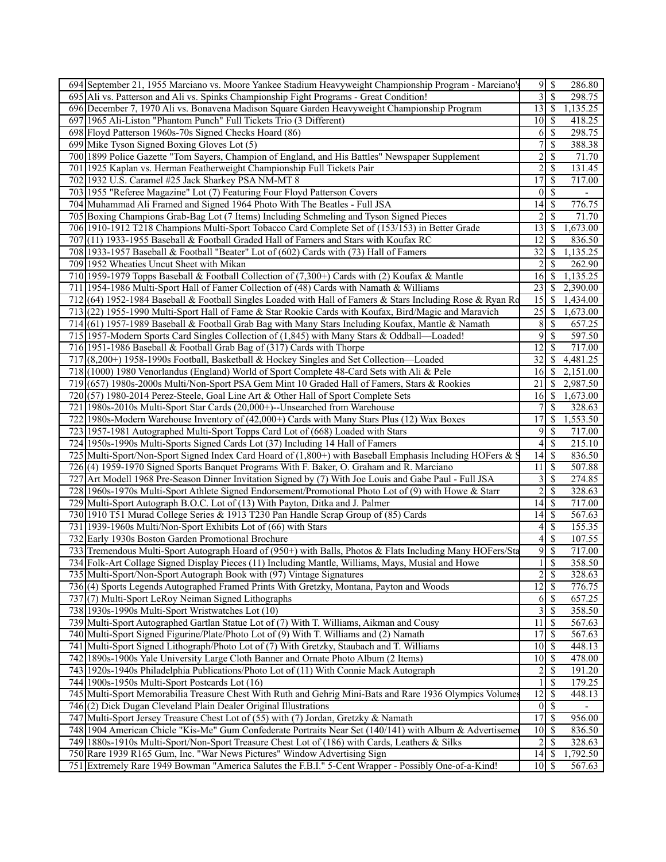|     | 694 September 21, 1955 Marciano vs. Moore Yankee Stadium Heavyweight Championship Program - Marciano'       |                 |                          | 286.80   |
|-----|-------------------------------------------------------------------------------------------------------------|-----------------|--------------------------|----------|
|     | 695 Ali vs. Patterson and Ali vs. Spinks Championship Fight Programs - Great Condition!                     | 3               | $\overline{\mathcal{S}}$ | 298.75   |
|     | 696 December 7, 1970 Ali vs. Bonavena Madison Square Garden Heavyweight Championship Program                | 13              | $\sqrt{S}$               | 1,135.25 |
| 697 | 1965 Ali-Liston "Phantom Punch" Full Tickets Trio (3 Different)                                             | 10              | 8                        | 418.25   |
| 698 | Floyd Patterson 1960s-70s Signed Checks Hoard (86)                                                          | 6               | -\$                      | 298.75   |
|     | 699 Mike Tyson Signed Boxing Gloves Lot (5)                                                                 | $\overline{7}$  | $\mathcal{S}$            | 388.38   |
|     | 700 1899 Police Gazette "Tom Sayers, Champion of England, and His Battles" Newspaper Supplement             | $\overline{2}$  | $\overline{\mathcal{S}}$ | 71.70    |
|     | 701 1925 Kaplan vs. Herman Featherweight Championship Full Tickets Pair                                     | $\overline{c}$  | $\mathcal{S}$            | 131.45   |
| 702 | 1932 U.S. Caramel #25 Jack Sharkey PSA NM-MT 8                                                              | $\overline{17}$ | $\overline{\mathcal{S}}$ | 717.00   |
|     | 703 1955 "Referee Magazine" Lot (7) Featuring Four Floyd Patterson Covers                                   | 0               | $\mathcal{S}$            |          |
|     | 704 Muhammad Ali Framed and Signed 1964 Photo With The Beatles - Full JSA                                   | 14              | -S                       | 776.75   |
|     | 705 Boxing Champions Grab-Bag Lot (7 Items) Including Schmeling and Tyson Signed Pieces                     | 2               | $\mathcal{S}$            | 71.70    |
|     | 706 1910-1912 T218 Champions Multi-Sport Tobacco Card Complete Set of (153/153) in Better Grade             | 13              | <b>S</b>                 | 1,673.00 |
| 707 | $(11)$ 1933-1955 Baseball & Football Graded Hall of Famers and Stars with Koufax RC                         | 12              | -S                       | 836.50   |
|     | 708 1933-1957 Baseball & Football "Beater" Lot of (602) Cards with (73) Hall of Famers                      | 32              | -S                       | 1,135.25 |
|     | 709 1952 Wheaties Uncut Sheet with Mikan                                                                    | 2               | <sup>\$</sup>            | 262.90   |
|     | 710 1959-1979 Topps Baseball & Football Collection of (7,300+) Cards with (2) Koufax & Mantle               | 16              | -S                       | 1,135.25 |
|     | 711 1954-1986 Multi-Sport Hall of Famer Collection of (48) Cards with Namath & Williams                     | $\overline{23}$ | -S                       | 2,390.00 |
|     | 712(64) 1952-1984 Baseball & Football Singles Loaded with Hall of Famers & Stars Including Rose & Ryan Ro   | 15              | -S                       | 1,434.00 |
| 713 | (22) 1955-1990 Multi-Sport Hall of Fame & Star Rookie Cards with Koufax, Bird/Magic and Maravich            | 25              | -S                       | 1,673.00 |
|     | 714 (61) 1957-1989 Baseball & Football Grab Bag with Many Stars Including Koufax, Mantle & Namath           | 8               | $\mathcal{S}$            | 657.25   |
|     | 715   1957-Modern Sports Card Singles Collection of (1,845) with Many Stars & Oddball—Loaded!               | 9               | $\mathbb{S}$             | 597.50   |
|     | 716 1951-1986 Baseball & Football Grab Bag of (317) Cards with Thorpe                                       | 12              | <sup>\$</sup>            | 717.00   |
|     | 717 (8,200+) 1958-1990s Football, Basketball & Hockey Singles and Set Collection—Loaded                     | 32              | -S                       | 4,481.25 |
|     | 718 (1000) 1980 Venorlandus (England) World of Sport Complete 48-Card Sets with Ali & Pele                  | 16              | -S                       | 2,151.00 |
|     | 719 (657) 1980s-2000s Multi/Non-Sport PSA Gem Mint 10 Graded Hall of Famers, Stars & Rookies                | 21              | -S                       | 2,987.50 |
| 720 | (57) 1980-2014 Perez-Steele, Goal Line Art & Other Hall of Sport Complete Sets                              | 16              | l \$                     | 1,673.00 |
| 721 | 1980s-2010s Multi-Sport Star Cards (20,000+)--Unsearched from Warehouse                                     | 7               | \$                       | 328.63   |
| 722 | 1980s-Modern Warehouse Inventory of (42,000+) Cards with Many Stars Plus (12) Wax Boxes                     | 17              | <sup>\$</sup>            | 1,553.50 |
|     | 723 1957-1981 Autographed Multi-Sport Topps Card Lot of (668) Loaded with Stars                             | 9               | -S                       | 717.00   |
|     | 724 1950s-1990s Multi-Sports Signed Cards Lot (37) Including 14 Hall of Famers                              | 4               | $\mathcal{S}$            | 215.10   |
|     | 725 Multi-Sport/Non-Sport Signed Index Card Hoard of $(1,800+)$ with Baseball Emphasis Including HOFers & S | 14              | $\sqrt{S}$               | 836.50   |
|     | 726(4) 1959-1970 Signed Sports Banquet Programs With F. Baker, O. Graham and R. Marciano                    | $\overline{11}$ | -\$                      | 507.88   |
| 727 | Art Modell 1968 Pre-Season Dinner Invitation Signed by (7) With Joe Louis and Gabe Paul - Full JSA          | 3               | $\mathcal{S}$            | 274.85   |
|     | 728 1960s-1970s Multi-Sport Athlete Signed Endorsement/Promotional Photo Lot of (9) with Howe & Starr       | $\overline{2}$  | $\mathbb{S}$             | 328.63   |
| 729 | Multi-Sport Autograph B.O.C. Lot of (13) With Payton, Ditka and J. Palmer                                   | 14              | S                        | 717.00   |
|     | 730 1910 T51 Murad College Series & 1913 T230 Pan Handle Scrap Group of (85) Cards                          | 14              | $\sqrt{S}$               | 567.63   |
|     | 731 1939-1960s Multi/Non-Sport Exhibits Lot of (66) with Stars                                              | 4               | -\$                      | 155.35   |
|     | 732 Early 1930s Boston Garden Promotional Brochure                                                          | 4               | $\overline{\mathcal{S}}$ | 107.55   |
|     | 733 Tremendous Multi-Sport Autograph Hoard of (950+) with Balls, Photos & Flats Including Many HOFers/Sta   | $9\sqrt{5}$     |                          | 717.00   |
|     | 734 Folk-Art Collage Signed Display Pieces (11) Including Mantle, Williams, Mays, Musial and Howe           | 1               | $\overline{\mathcal{S}}$ | 358.50   |
|     | 735 Multi-Sport/Non-Sport Autograph Book with (97) Vintage Signatures                                       | $\overline{c}$  | $\mathcal{S}$            | 328.63   |
|     | 736 (4) Sports Legends Autographed Framed Prints With Gretzky, Montana, Payton and Woods                    | 12              | $\mathcal{S}$            | 776.75   |
|     | 737 (7) Multi-Sport LeRoy Neiman Signed Lithographs                                                         | 6               | <sup>5</sup>             | 657.25   |
|     | 738 1930s-1990s Multi-Sport Wristwatches Lot (10)                                                           | 3               | $\mathcal{S}$            | 358.50   |
|     | 739 Multi-Sport Autographed Gartlan Statue Lot of (7) With T. Williams, Aikman and Cousy                    | 11              | $\mathcal{S}$            | 567.63   |
|     | 740 Multi-Sport Signed Figurine/Plate/Photo Lot of (9) With T. Williams and (2) Namath                      | 17              | -\$                      | 567.63   |
|     | 741 Multi-Sport Signed Lithograph/Photo Lot of (7) With Gretzky, Staubach and T. Williams                   | 10              | \$                       | 448.13   |
|     | 742 1890s-1900s Yale University Large Cloth Banner and Ornate Photo Album (2 Items)                         | 10              | - \$                     | 478.00   |
|     | 743 1920s-1940s Philadelphia Publications/Photo Lot of (11) With Connie Mack Autograph                      | $\overline{c}$  | $\mathcal{S}$            | 191.20   |
|     | 744 1900s-1950s Multi-Sport Postcards Lot (16)                                                              |                 | \$                       | 179.25   |
|     | 745 Multi-Sport Memorabilia Treasure Chest With Ruth and Gehrig Mini-Bats and Rare 1936 Olympics Volumes    | 12              | <b>S</b>                 | 448.13   |
|     | $746(2)$ Dick Dugan Cleveland Plain Dealer Original Illustrations                                           | $0 \simeq$      |                          |          |
|     | 747 Multi-Sport Jersey Treasure Chest Lot of (55) with (7) Jordan, Gretzky & Namath                         | 17              | $\mathbb{S}$             | 956.00   |
|     | 748 1904 American Chicle "Kis-Me" Gum Confederate Portraits Near Set (140/141) with Album & Advertiseme     | $10$   \$       |                          | 836.50   |
|     | 749 1880s-1910s Multi-Sport/Non-Sport Treasure Chest Lot of (186) with Cards, Leathers & Silks              | $\overline{c}$  | $\sqrt{S}$               | 328.63   |
|     | 750 Rare 1939 R165 Gum, Inc. "War News Pictures" Window Advertising Sign                                    | $14 \mid$ \$    |                          | 1,792.50 |
|     | 751 Extremely Rare 1949 Bowman "America Salutes the F.B.I." 5-Cent Wrapper - Possibly One-of-a-Kind!        | $10$   \$       |                          | 567.63   |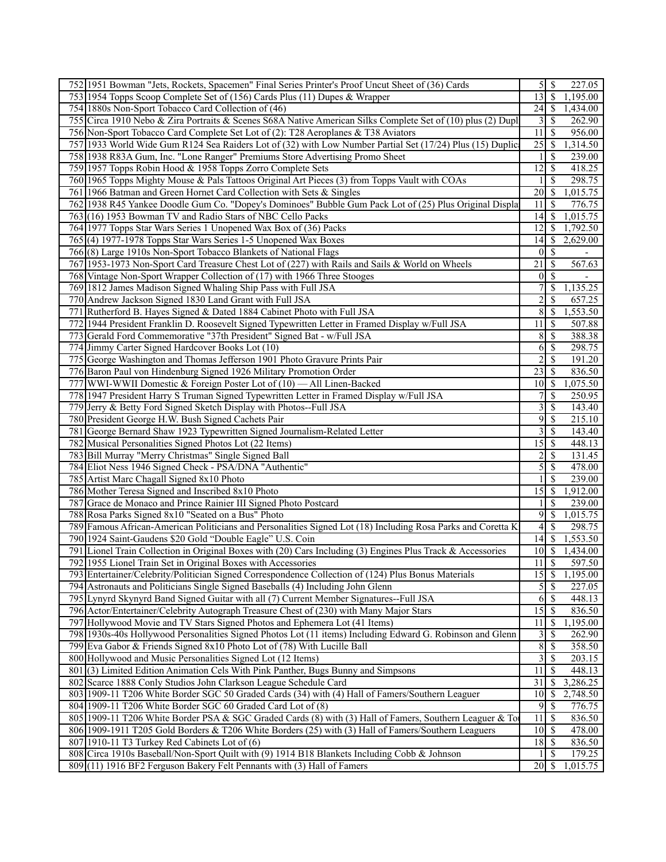|     | 752 1951 Bowman "Jets, Rockets, Spacemen" Final Series Printer's Proof Uncut Sheet of (36) Cards                                                                       | $\mathfrak{z}$       | 8                             | 227.05             |
|-----|------------------------------------------------------------------------------------------------------------------------------------------------------------------------|----------------------|-------------------------------|--------------------|
|     | 753 1954 Topps Scoop Complete Set of (156) Cards Plus (11) Dupes & Wrapper                                                                                             | 13                   | $\overline{\mathcal{S}}$      | 1,195.00           |
|     | 754 1880s Non-Sport Tobacco Card Collection of (46)                                                                                                                    |                      |                               | 1,434.00           |
|     | 755 Circa 1910 Nebo & Zira Portraits & Scenes S68A Native American Silks Complete Set of (10) plus (2) Dupl                                                            | 3                    | <sup>S</sup>                  | 262.90             |
|     | 756 Non-Sport Tobacco Card Complete Set Lot of (2): T28 Aeroplanes & T38 Aviators                                                                                      | 11                   | -S                            | 956.00             |
|     | 757 1933 World Wide Gum R124 Sea Raiders Lot of (32) with Low Number Partial Set (17/24) Plus (15) Duplic                                                              | 25                   | -S                            | 1,314.50           |
|     | 758 1938 R83A Gum, Inc. "Lone Ranger" Premiums Store Advertising Promo Sheet                                                                                           |                      | <sup>\$</sup>                 | 239.00             |
|     | 759 1957 Topps Robin Hood & 1958 Topps Zorro Complete Sets                                                                                                             | 12                   | -S                            | 418.25             |
|     | 760 1965 Topps Mighty Mouse & Pals Tattoos Original Art Pieces (3) from Topps Vault with COAs                                                                          |                      | $\mathcal{S}$                 | 298.75             |
|     | 761 1966 Batman and Green Hornet Card Collection with Sets & Singles                                                                                                   | 20                   | -\$                           | 1,015.75           |
|     | 762 1938 R45 Yankee Doodle Gum Co. "Dopey's Dominoes" Bubble Gum Pack Lot of (25) Plus Original Displa                                                                 | 11                   | -S                            | 776.75             |
|     | 763 (16) 1953 Bowman TV and Radio Stars of NBC Cello Packs                                                                                                             | 14                   | 8                             | 1,015.75           |
|     | 764 1977 Topps Star Wars Series 1 Unopened Wax Box of (36) Packs                                                                                                       | 12                   | -S                            | 1,792.50           |
|     | 765(4) 1977-1978 Topps Star Wars Series 1-5 Unopened Wax Boxes                                                                                                         | 14                   | -\$                           | 2,629.00           |
|     | 766(8) Large 1910s Non-Sport Tobacco Blankets of National Flags                                                                                                        | $\theta$             | -\$                           |                    |
|     | 767 1953-1973 Non-Sport Card Treasure Chest Lot of (227) with Rails and Sails & World on Wheels                                                                        | 21                   | $\mathbb{S}$                  | 567.63             |
|     | 768 Vintage Non-Sport Wrapper Collection of (17) with 1966 Three Stooges                                                                                               | $\bf{0}$             | -S                            |                    |
|     | 769 1812 James Madison Signed Whaling Ship Pass with Full JSA                                                                                                          | 7                    | -S                            | 1,135.25           |
|     | 770 Andrew Jackson Signed 1830 Land Grant with Full JSA                                                                                                                | $\overline{c}$       | $\mathcal{S}$                 | 657.25             |
|     | 771 Rutherford B. Hayes Signed & Dated 1884 Cabinet Photo with Full JSA                                                                                                | 8                    | -\$                           | 1,553.50           |
| 772 | 1944 President Franklin D. Roosevelt Signed Typewritten Letter in Framed Display w/Full JSA                                                                            | 11                   | -\$                           | 507.88             |
| 773 | Gerald Ford Commemorative "37th President" Signed Bat - w/Full JSA                                                                                                     | 8                    | $\mathcal{S}$                 | 388.38             |
|     | 774 Jimmy Carter Signed Hardcover Books Lot (10)                                                                                                                       | 6                    | $\mathbb{S}$                  | 298.75             |
|     | 775 George Washington and Thomas Jefferson 1901 Photo Gravure Prints Pair                                                                                              | $\overline{2}$       | -S                            | 191.20             |
|     | 776 Baron Paul von Hindenburg Signed 1926 Military Promotion Order                                                                                                     | 23                   | -S                            | 836.50             |
|     | 777 WWI-WWII Domestic & Foreign Poster Lot of (10) — All Linen-Backed                                                                                                  | 10                   | -S                            | 1,075.50           |
|     | 778 1947 President Harry S Truman Signed Typewritten Letter in Framed Display w/Full JSA                                                                               | 7                    | -S                            | 250.95             |
|     | 779 Jerry & Betty Ford Signed Sketch Display with Photos--Full JSA                                                                                                     | 3                    | $\mathbb{S}$                  | 143.40             |
|     | 780 President George H.W. Bush Signed Cachets Pair                                                                                                                     | 9                    | <sup>\$</sup>                 | 215.10             |
|     | 781 George Bernard Shaw 1923 Typewritten Signed Journalism-Related Letter                                                                                              | 3                    | S                             | 143.40             |
|     | 782 Musical Personalities Signed Photos Lot (22 Items)                                                                                                                 | 15                   | -S                            | 448.13             |
|     | 783 Bill Murray "Merry Christmas" Single Signed Ball                                                                                                                   | 2                    | $\mathcal{S}$                 | 131.45             |
|     | 784 Eliot Ness 1946 Signed Check - PSA/DNA "Authentic"                                                                                                                 | 5                    | -S                            | 478.00             |
|     | 785 Artist Marc Chagall Signed 8x10 Photo                                                                                                                              |                      | $\mathbb{S}$                  | 239.00             |
|     | 786 Mother Teresa Signed and Inscribed 8x10 Photo                                                                                                                      | 15                   | -\$                           | 1,912.00           |
| 787 | Grace de Monaco and Prince Rainier III Signed Photo Postcard                                                                                                           |                      | <sup>\$</sup>                 | 239.00             |
|     | 788 Rosa Parks Signed 8x10 "Seated on a Bus" Photo                                                                                                                     | 9                    | -\$                           | 1,015.75           |
|     | 789 Famous African-American Politicians and Personalities Signed Lot (18) Including Rosa Parks and Coretta K                                                           | 4                    | -S                            | 298.75             |
|     | 790 1924 Saint-Gaudens \$20 Gold "Double Eagle" U.S. Coin                                                                                                              | 14                   | $\sqrt{S}$                    | 1,553.50           |
|     | 791 Lionel Train Collection in Original Boxes with (20) Cars Including (3) Engines Plus Track & Accessories                                                            | $\overline{10}$ \$   |                               | 1,434.00           |
|     | 792 1955 Lionel Train Set in Original Boxes with Accessories                                                                                                           | 11                   | $\mathbb{S}$                  | 597.50             |
|     | 793 Entertainer/Celebrity/Politician Signed Correspondence Collection of (124) Plus Bonus Materials                                                                    | 15                   | $\sqrt{S}$                    | 1,195.00           |
|     | 794 Astronauts and Politicians Single Signed Baseballs (4) Including John Glenn                                                                                        | 5                    | $\mathbb{S}$                  | 227.05             |
|     | 795 Lynyrd Skynyrd Band Signed Guitar with all (7) Current Member Signatures--Full JSA                                                                                 | 6                    | $\mathbb{S}$                  | 448.13             |
|     | 796 Actor/Entertainer/Celebrity Autograph Treasure Chest of (230) with Many Major Stars                                                                                | 15                   | $\mathbb{S}$                  | 836.50             |
| 797 | Hollywood Movie and TV Stars Signed Photos and Ephemera Lot (41 Items)                                                                                                 | 11                   | -S                            | 1,195.00           |
|     | 798 1930s-40s Hollywood Personalities Signed Photos Lot (11 items) Including Edward G. Robinson and Glenn                                                              | 3                    | -S                            | 262.90             |
|     | 799 Eva Gabor & Friends Signed 8x10 Photo Lot of (78) With Lucille Ball                                                                                                | 8                    | $\mathcal{S}$                 | 358.50             |
|     | 800 Hollywood and Music Personalities Signed Lot (12 Items)                                                                                                            | 3<br>$\overline{11}$ | -\$                           | 203.15             |
|     | 801 (3) Limited Edition Animation Cels With Pink Panther, Bugs Bunny and Simpsons                                                                                      | 31                   | $\mathcal{S}$<br>$\mathbb{S}$ | 448.13<br>3,286.25 |
|     | 802 Scarce 1888 Conly Studios John Clarkson League Schedule Card<br>803 1909-11 T206 White Border SGC 50 Graded Cards (34) with (4) Hall of Famers/Southern Leaguer    | 10 <sup>1</sup>      | -\$                           | 2,748.50           |
|     |                                                                                                                                                                        | 9                    | $\mathbb{S}$                  | 776.75             |
|     | 804 1909-11 T206 White Border SGC 60 Graded Card Lot of (8)<br>805 1909-11 T206 White Border PSA & SGC Graded Cards (8) with (3) Hall of Famers, Southern Leaguer & To | 11                   | $\mathbb{S}$                  | 836.50             |
|     | 806 1909-1911 T205 Gold Borders & T206 White Borders (25) with (3) Hall of Famers/Southern Leaguers                                                                    | $10$   \$            |                               | 478.00             |
|     | 807 1910-11 T3 Turkey Red Cabinets Lot of (6)                                                                                                                          | $18$ $\sqrt{5}$      |                               | 836.50             |
|     | 808 Circa 1910s Baseball/Non-Sport Quilt with (9) 1914 B18 Blankets Including Cobb & Johnson                                                                           |                      | $\mathbb{S}$                  | 179.25             |
|     | 809 (11) 1916 BF2 Ferguson Bakery Felt Pennants with (3) Hall of Famers                                                                                                | $20$   \$            |                               | 1,015.75           |
|     |                                                                                                                                                                        |                      |                               |                    |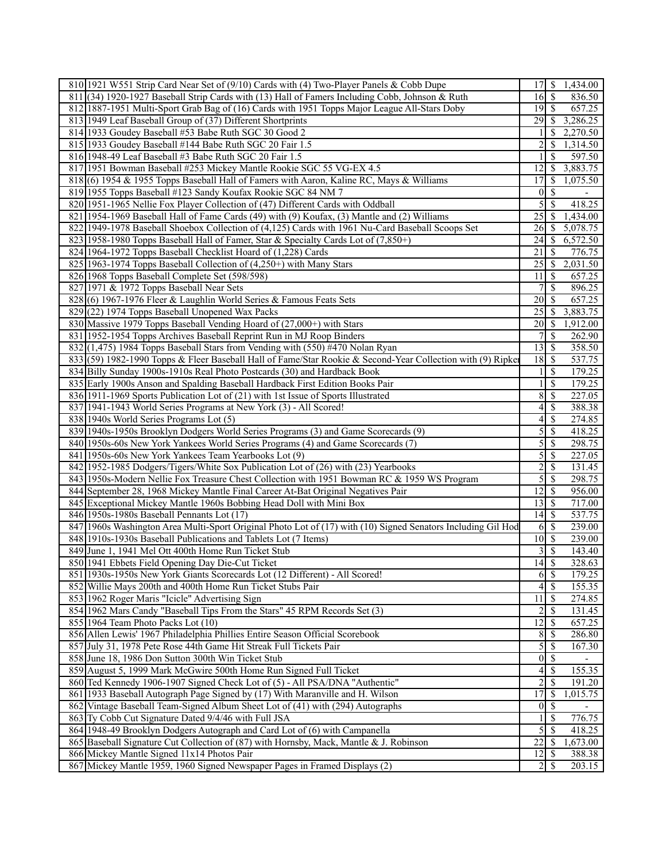|     | 810 1921 W551 Strip Card Near Set of (9/10) Cards with (4) Two-Player Panels & Cobb Dupe                     | $17$ $\sqrt{ }$    |                          | 1,434.00 |
|-----|--------------------------------------------------------------------------------------------------------------|--------------------|--------------------------|----------|
| 811 | $(34)$ 1920-1927 Baseball Strip Cards with (13) Hall of Famers Including Cobb, Johnson & Ruth                | 16                 | $\sqrt{S}$               | 836.50   |
|     | 812 1887-1951 Multi-Sport Grab Bag of (16) Cards with 1951 Topps Major League All-Stars Doby                 |                    |                          | 657.25   |
|     | 813 1949 Leaf Baseball Group of (37) Different Shortprints                                                   | 29                 | $\mathbb{S}$             | 3,286.25 |
|     | 814 1933 Goudey Baseball #53 Babe Ruth SGC 30 Good 2                                                         |                    | <sup>\$</sup>            | 2,270.50 |
|     | 815 1933 Goudey Baseball #144 Babe Ruth SGC 20 Fair 1.5                                                      | $\overline{c}$     | \$                       | 1,314.50 |
|     | 816 1948-49 Leaf Baseball #3 Babe Ruth SGC 20 Fair 1.5                                                       |                    | \$                       | 597.50   |
|     | 817 1951 Bowman Baseball #253 Mickey Mantle Rookie SGC 55 VG-EX 4.5                                          | 12                 | $\mathcal{S}$            | 3,883.75 |
|     | 818 (6) 1954 & 1955 Topps Baseball Hall of Famers with Aaron, Kaline RC, Mays & Williams                     | 17                 | \$                       | 1,075.50 |
|     | 819 1955 Topps Baseball #123 Sandy Koufax Rookie SGC 84 NM 7                                                 | $\theta$           | $\mathcal{S}$            |          |
|     |                                                                                                              |                    |                          |          |
|     | 820 1951-1965 Nellie Fox Player Collection of (47) Different Cards with Oddball                              | 5                  | $\mathbb{S}$             | 418.25   |
|     | 821 1954-1969 Baseball Hall of Fame Cards (49) with (9) Koufax, (3) Mantle and (2) Williams                  | 25                 | $\mathbb{S}$             | 1,434.00 |
|     | 822 1949-1978 Baseball Shoebox Collection of (4,125) Cards with 1961 Nu-Card Baseball Scoops Set             | 26                 | -S                       | 5,078.75 |
|     | 823 1958-1980 Topps Baseball Hall of Famer, Star & Specialty Cards Lot of (7,850+)                           | 24                 | $\sqrt{3}$               | 6,572.50 |
|     | 824 1964-1972 Topps Baseball Checklist Hoard of (1,228) Cards                                                | 21                 | \$                       | 776.75   |
|     | 825 1963-1974 Topps Baseball Collection of (4,250+) with Many Stars                                          | 25                 | -S                       | 2,031.50 |
|     | 826 1968 Topps Baseball Complete Set (598/598)                                                               | 11                 | - \$                     | 657.25   |
|     | 827 1971 & 1972 Topps Baseball Near Sets                                                                     | 7                  | $\overline{\mathcal{S}}$ | 896.25   |
|     | 828(6) 1967-1976 Fleer & Laughlin World Series & Famous Feats Sets                                           | 20                 | $\mathcal{S}$            | 657.25   |
|     | 829 (22) 1974 Topps Baseball Unopened Wax Packs                                                              | 25                 | 8                        | 3,883.75 |
|     | 830 Massive 1979 Topps Baseball Vending Hoard of (27,000+) with Stars                                        | 20                 | - \$                     | 1,912.00 |
|     | 831 1952-1954 Topps Archives Baseball Reprint Run in MJ Roop Binders                                         | 7                  | <sup>\$</sup>            | 262.90   |
|     | $832$ (1,475) 1984 Topps Baseball Stars from Vending with (550) #470 Nolan Ryan                              | 13                 | <b>S</b>                 | 358.50   |
|     | 833 (59) 1982-1990 Topps & Fleer Baseball Hall of Fame/Star Rookie & Second-Year Collection with (9) Ripker  | 18                 | $\mathbf s$              | 537.75   |
|     | 834 Billy Sunday 1900s-1910s Real Photo Postcards (30) and Hardback Book                                     |                    | $\mathbb{S}$             | 179.25   |
|     | 835 Early 1900s Anson and Spalding Baseball Hardback First Edition Books Pair                                |                    | $\mathcal{S}$            | 179.25   |
|     | 836 1911-1969 Sports Publication Lot of (21) with 1st Issue of Sports Illustrated                            | 8                  | $\mathbb{S}$             | 227.05   |
|     |                                                                                                              | 4                  |                          | 388.38   |
|     | 837 1941-1943 World Series Programs at New York (3) - All Scored!                                            |                    | \$                       |          |
|     | 838 1940s World Series Programs Lot (5)                                                                      | 4                  | -\$                      | 274.85   |
|     | 839 1940s-1950s Brooklyn Dodgers World Series Programs (3) and Game Scorecards (9)                           | 5                  | $\mathbb{S}$             | 418.25   |
|     | 840 1950s-60s New York Yankees World Series Programs (4) and Game Scorecards (7)                             | 5                  | $\mathbb{S}$             | 298.75   |
|     | 841 1950s-60s New York Yankees Team Yearbooks Lot (9)                                                        | 5                  | $\mathcal{S}$            | 227.05   |
|     | 842 1952-1985 Dodgers/Tigers/White Sox Publication Lot of (26) with (23) Yearbooks                           | $\overline{c}$     | $\mathbb{S}$             | 131.45   |
|     | 843 1950s-Modern Nellie Fox Treasure Chest Collection with 1951 Bowman RC & 1959 WS Program                  | 5                  | $\mathbb{S}$             | 298.75   |
|     | 844 September 28, 1968 Mickey Mantle Final Career At-Bat Original Negatives Pair                             | $\overline{12}$    | -\$                      | 956.00   |
|     | 845 Exceptional Mickey Mantle 1960s Bobbing Head Doll with Mini Box                                          | 13                 | $\sqrt{3}$               | 717.00   |
|     | 846 1950s-1980s Baseball Pennants Lot (17)                                                                   | 14                 | $\mathsf{S}$             | 537.75   |
|     | 847 1960s Washington Area Multi-Sport Original Photo Lot of (17) with (10) Signed Senators Including Gil Hod | 6                  | -S                       | 239.00   |
|     | 848 1910s-1930s Baseball Publications and Tablets Lot (7 Items)                                              | 10                 | $\sqrt{S}$               | 239.00   |
|     | 849 June 1, 1941 Mel Ott 400th Home Run Ticket Stub                                                          | 3                  | -S                       | 143.40   |
|     | 850 1941 Ebbets Field Opening Day Die-Cut Ticket                                                             | $\overline{14}$ \$ |                          | 328.63   |
|     | 851 1930s-1950s New York Giants Scorecards Lot (12 Different) - All Scored!                                  |                    | $6 \,$ \$                | 179.25   |
|     | 852 Willie Mays 200th and 400th Home Run Ticket Stubs Pair                                                   | $\left 4\right $   | $\overline{\mathcal{S}}$ | 155.35   |
|     | 853 1962 Roger Maris "Icicle" Advertising Sign                                                               | 11                 | $\sqrt{S}$               | 274.85   |
|     | 854 1962 Mars Candy "Baseball Tips From the Stars" 45 RPM Records Set (3)                                    | 2                  | $\mathcal{S}$            | 131.45   |
|     | 855 1964 Team Photo Packs Lot (10)                                                                           | 12                 | -S                       | 657.25   |
|     | 856 Allen Lewis' 1967 Philadelphia Phillies Entire Season Official Scorebook                                 | 8                  | -S                       | 286.80   |
|     | 857 July 31, 1978 Pete Rose 44th Game Hit Streak Full Tickets Pair                                           | 5                  | $\mathcal{S}$            | 167.30   |
|     | 858 June 18, 1986 Don Sutton 300th Win Ticket Stub                                                           | $\vert 0 \vert$    | $\sqrt{S}$               |          |
|     | 859 August 5, 1999 Mark McGwire 500th Home Run Signed Full Ticket                                            | 4                  | -\$                      | 155.35   |
|     | 860 Ted Kennedy 1906-1907 Signed Check Lot of (5) - All PSA/DNA "Authentic"                                  | 2                  | $\mathbb{S}$             | 191.20   |
|     | 861 1933 Baseball Autograph Page Signed by (17) With Maranville and H. Wilson                                | 17                 | -\$                      | 1,015.75 |
|     | 862 Vintage Baseball Team-Signed Album Sheet Lot of (41) with (294) Autographs                               | $\vert 0 \vert$    | -\$                      |          |
|     |                                                                                                              |                    |                          |          |
|     | 863 Ty Cobb Cut Signature Dated 9/4/46 with Full JSA                                                         |                    | \$                       | 776.75   |
|     | 864 1948-49 Brooklyn Dodgers Autograph and Card Lot of (6) with Campanella                                   | $\overline{5}$     | -\$                      | 418.25   |
|     | 865 Baseball Signature Cut Collection of (87) with Hornsby, Mack, Mantle & J. Robinson                       | $\overline{22}$    | $\mathcal{S}$            | 1,673.00 |
|     | 866 Mickey Mantle Signed 11x14 Photos Pair                                                                   | 12                 | \$                       | 388.38   |
|     | 867 Mickey Mantle 1959, 1960 Signed Newspaper Pages in Framed Displays (2)                                   | $\overline{2}$     | S                        | 203.15   |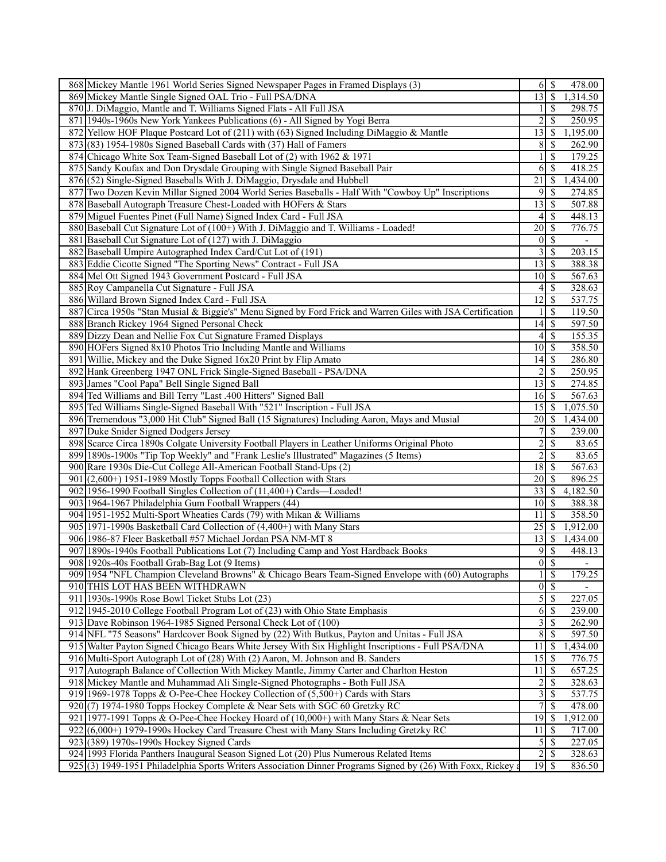|     | 868 Mickey Mantle 1961 World Series Signed Newspaper Pages in Framed Displays (3)                           |                                   | $6 \mid$ \$              | 478.00         |
|-----|-------------------------------------------------------------------------------------------------------------|-----------------------------------|--------------------------|----------------|
|     | 869 Mickey Mantle Single Signed OAL Trio - Full PSA/DNA                                                     | $\overline{13}$ \ $\overline{\$}$ |                          | 1,314.50       |
|     | 870 J. DiMaggio, Mantle and T. Williams Signed Flats - All Full JSA                                         |                                   | -S                       | 298.75         |
|     | 871 1940s-1960s New York Yankees Publications (6) - All Signed by Yogi Berra                                | 2                                 | <sup>\$</sup>            | 250.95         |
|     | 872 Yellow HOF Plaque Postcard Lot of (211) with (63) Signed Including DiMaggio & Mantle                    | 13                                | -S                       | 1,195.00       |
|     | $873$ (83) 1954-1980s Signed Baseball Cards with (37) Hall of Famers                                        | 8                                 | - \$                     | 262.90         |
|     | 874 Chicago White Sox Team-Signed Baseball Lot of (2) with 1962 & 1971                                      |                                   | $\mathbb{S}$             | 179.25         |
|     | 875 Sandy Koufax and Don Drysdale Grouping with Single Signed Baseball Pair                                 | 6                                 | $\mathcal{S}$            | 418.25         |
|     | 876(52) Single-Signed Baseballs With J. DiMaggio, Drysdale and Hubbell                                      | 21                                | $\mathbb{S}$             | 1,434.00       |
|     | 877 Two Dozen Kevin Millar Signed 2004 World Series Baseballs - Half With "Cowboy Up" Inscriptions          | 9                                 | $\mathcal{S}$            | 274.85         |
|     | 878 Baseball Autograph Treasure Chest-Loaded with HOFers & Stars                                            | 13                                | -\$                      | 507.88         |
|     | 879 Miguel Fuentes Pinet (Full Name) Signed Index Card - Full JSA                                           | 4                                 | -S                       | 448.13         |
|     | 880 Baseball Cut Signature Lot of (100+) With J. DiMaggio and T. Williams - Loaded!                         | 20                                | -S                       | 776.75         |
|     | 881 Baseball Cut Signature Lot of (127) with J. DiMaggio                                                    | $\mathbf{0}$                      | $\overline{\mathcal{S}}$ |                |
|     | 882 Baseball Umpire Autographed Index Card/Cut Lot of (191)                                                 | 3                                 | -\$                      | 203.15         |
|     | 883 Eddie Cicotte Signed "The Sporting News" Contract - Full JSA                                            | 13                                | $\mathbb{S}$             | 388.38         |
|     | 884 Mel Ott Signed 1943 Government Postcard - Full JSA                                                      | 10                                | -S                       | 567.63         |
|     | 885 Roy Campanella Cut Signature - Full JSA                                                                 | 4                                 | -S                       | 328.63         |
|     | 886 Willard Brown Signed Index Card - Full JSA                                                              | 12                                | $\mathcal{S}$            | 537.75         |
|     | 887 Circa 1950s "Stan Musial & Biggie's" Menu Signed by Ford Frick and Warren Giles with JSA Certification  |                                   | <sup>\$</sup>            | 119.50         |
|     | 888 Branch Rickey 1964 Signed Personal Check                                                                | 14                                | <sup>5</sup>             | 597.50         |
|     | 889 Dizzy Dean and Nellie Fox Cut Signature Framed Displays                                                 | 4                                 | $\mathcal{S}$            | 155.35         |
|     | 890 HOFers Signed 8x10 Photos Trio Including Mantle and Williams                                            | 10                                | -S                       | 358.50         |
|     | 891 Willie, Mickey and the Duke Signed 16x20 Print by Flip Amato                                            |                                   |                          | 286.80         |
|     | 892 Hank Greenberg 1947 ONL Frick Single-Signed Baseball - PSA/DNA                                          | 2                                 | $\mathcal{S}$            | 250.95         |
|     | 893 James "Cool Papa" Bell Single Signed Ball                                                               | 13                                | -\$                      | 274.85         |
|     | 894 Ted Williams and Bill Terry "Last .400 Hitters" Signed Ball                                             | $16$ $\sqrt{ }$                   |                          | 567.63         |
|     | 895 Ted Williams Single-Signed Baseball With "521" Inscription - Full JSA                                   | 15                                | -S                       | 1,075.50       |
|     | 896 Tremendous "3,000 Hit Club" Signed Ball (15 Signatures) Including Aaron, Mays and Musial                | 20                                | -S                       | 1,434.00       |
|     | 897 Duke Snider Signed Dodgers Jersey                                                                       | 7                                 | $\mathcal{S}$            | 239.00         |
|     | 898 Scarce Circa 1890s Colgate University Football Players in Leather Uniforms Original Photo               | $\overline{c}$                    | $\mathbb{S}$             | 83.65          |
|     | 899 1890s-1900s "Tip Top Weekly" and "Frank Leslie's Illustrated" Magazines (5 Items)                       | $\overline{c}$                    | $\overline{\mathcal{S}}$ | 83.65          |
|     | 900 Rare 1930s Die-Cut College All-American Football Stand-Ups (2)                                          | 18                                | 8                        | 567.63         |
| 901 | $(2,600+)$ 1951-1989 Mostly Topps Football Collection with Stars                                            | 20                                | $\sqrt{S}$               | 896.25         |
|     | 902 1956-1990 Football Singles Collection of (11,400+) Cards—Loaded!                                        | 33                                | -S                       | 4,182.50       |
|     | 903 1964-1967 Philadelphia Gum Football Wrappers (44)                                                       | 10 <sup> </sup>                   | S                        | 388.38         |
|     | 904 1951-1952 Multi-Sport Wheaties Cards (79) with Mikan & Williams                                         | 11                                | $\mathcal{S}$            | 358.50         |
|     | 905 1971-1990s Basketball Card Collection of (4,400+) with Many Stars                                       | 25                                | $\sqrt{S}$               | 1,912.00       |
|     | 906 1986-87 Fleer Basketball #57 Michael Jordan PSA NM-MT 8                                                 | 13                                | S                        | 1,434.00       |
|     | 907 1890s-1940s Football Publications Lot (7) Including Camp and Yost Hardback Books                        | $\overline{9}$                    | $\sqrt{s}$               | 448.13         |
|     | 908 1920s-40s Football Grab-Bag Lot (9 Items)                                                               |                                   | $\overline{0 S}$         | $\blacksquare$ |
|     | 909 1954 "NFL Champion Cleveland Browns" & Chicago Bears Team-Signed Envelope with (60) Autographs          |                                   | \$                       | 179.25         |
|     | 910 THIS LOT HAS BEEN WITHDRAWN                                                                             | $\vert 0 \vert$                   | $\overline{\mathcal{S}}$ |                |
|     | 911 1930s-1990s Rose Bowl Ticket Stubs Lot (23)                                                             | 5                                 | $\mathcal{S}$            | 227.05         |
|     | 912 1945-2010 College Football Program Lot of (23) with Ohio State Emphasis                                 | 6                                 | $\mathcal{S}$            | 239.00         |
| 913 | Dave Robinson 1964-1985 Signed Personal Check Lot of (100)                                                  | 3                                 | $\mathbb{S}$             | 262.90         |
|     | 914 NFL "75 Seasons" Hardcover Book Signed by (22) With Butkus, Payton and Unitas - Full JSA                | $\,$ 8 $\,$                       | -\$                      | 597.50         |
|     | 915 Walter Payton Signed Chicago Bears White Jersey With Six Highlight Inscriptions - Full PSA/DNA          | 11                                | -\$                      | 1,434.00       |
|     | 916 Multi-Sport Autograph Lot of (28) With (2) Aaron, M. Johnson and B. Sanders                             | 15                                | -\$                      | 776.75         |
|     | 917 Autograph Balance of Collection With Mickey Mantle, Jimmy Carter and Charlton Heston                    | 11                                | $\sqrt{3}$               | 657.25         |
|     | 918 Mickey Mantle and Muhammad Ali Single-Signed Photographs - Both Full JSA                                | $\overline{c}$                    | $\mathbb{S}$             | 328.63         |
|     | 919 1969-1978 Topps & O-Pee-Chee Hockey Collection of (5,500+) Cards with Stars                             | 3                                 | -S                       | 537.75         |
|     | 920(7) 1974-1980 Topps Hockey Complete & Near Sets with SGC 60 Gretzky RC                                   | $\overline{7}$                    | $\mathcal{S}$            | 478.00         |
|     | 921 1977-1991 Topps & O-Pee-Chee Hockey Hoard of (10,000+) with Many Stars & Near Sets                      | 19                                | - \$                     | 1,912.00       |
|     | 922(6,000+) 1979-1990s Hockey Card Treasure Chest with Many Stars Including Gretzky RC                      | 11                                | <b>S</b>                 | 717.00         |
|     | 923 (389) 1970s-1990s Hockey Signed Cards                                                                   |                                   |                          | 227.05         |
|     | 924 1993 Florida Panthers Inaugural Season Signed Lot (20) Plus Numerous Related Items                      | $\overline{c}$                    | $\mathcal{S}$            | 328.63         |
|     | 925(3) 1949-1951 Philadelphia Sports Writers Association Dinner Programs Signed by (26) With Foxx, Rickey a |                                   |                          | 836.50         |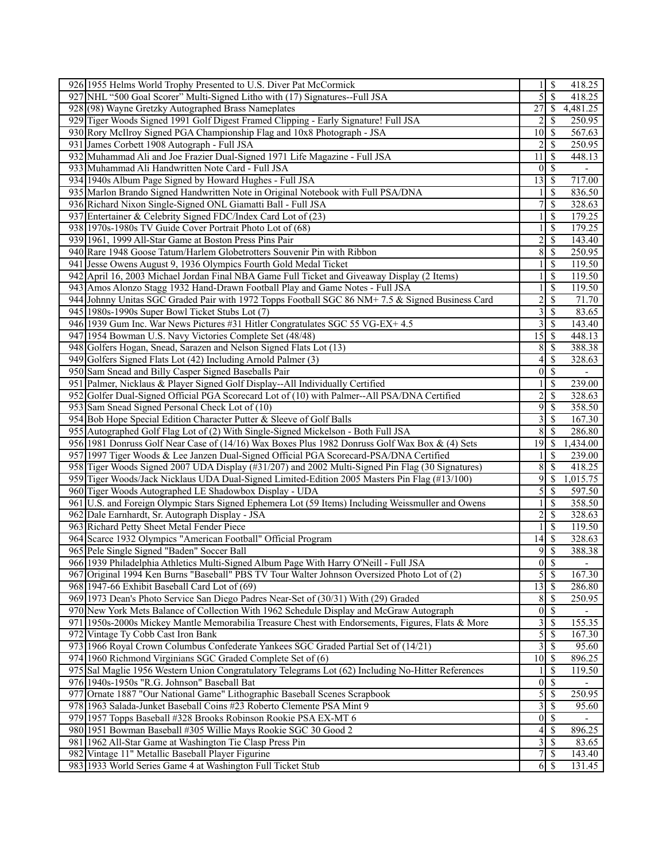|     | 926 1955 Helms World Trophy Presented to U.S. Diver Pat McCormick                                   |                         | -S                       | 418.25         |
|-----|-----------------------------------------------------------------------------------------------------|-------------------------|--------------------------|----------------|
|     | 927 NHL "500 Goal Scorer" Multi-Signed Litho with (17) Signatures--Full JSA                         | 5                       | $\overline{\mathcal{S}}$ | 418.25         |
|     | 928 (98) Wayne Gretzky Autographed Brass Nameplates                                                 | 27                      | -S                       | 4,481.25       |
|     | 929 Tiger Woods Signed 1991 Golf Digest Framed Clipping - Early Signature! Full JSA                 |                         | <sup>\$</sup>            | 250.95         |
|     | 930 Rory McIlroy Signed PGA Championship Flag and 10x8 Photograph - JSA                             | 10                      | -S                       | 567.63         |
|     | 931 James Corbett 1908 Autograph - Full JSA                                                         | 2                       | $\mathcal{S}$            | 250.95         |
|     | 932 Muhammad Ali and Joe Frazier Dual-Signed 1971 Life Magazine - Full JSA                          | 11                      | $\mathcal{S}$            | 448.13         |
|     | 933 Muhammad Ali Handwritten Note Card - Full JSA                                                   | $\theta$                | $\overline{\mathcal{S}}$ |                |
|     | 934 1940s Album Page Signed by Howard Hughes - Full JSA                                             | 13                      | $\sqrt{S}$               | 717.00         |
|     | 935 Marlon Brando Signed Handwritten Note in Original Notebook with Full PSA/DNA                    |                         | $\mathcal{S}$            | 836.50         |
|     | 936 Richard Nixon Single-Signed ONL Giamatti Ball - Full JSA                                        | 7                       | \$                       | 328.63         |
|     | 937 Entertainer & Celebrity Signed FDC/Index Card Lot of (23)                                       |                         | -S                       | 179.25         |
|     | 938 1970s-1980s TV Guide Cover Portrait Photo Lot of (68)                                           | 1                       | $\mathcal{S}$            | 179.25         |
|     | 939 1961, 1999 All-Star Game at Boston Press Pins Pair                                              | $\overline{c}$          | $\mathbb{S}$             | 143.40         |
|     | 940 Rare 1948 Goose Tatum/Harlem Globetrotters Souvenir Pin with Ribbon                             | 8                       | -\$                      | 250.95         |
|     | 941 Jesse Owens August 9, 1936 Olympics Fourth Gold Medal Ticket                                    |                         | $\mathbb{S}$             | 119.50         |
|     | 942 April 16, 2003 Michael Jordan Final NBA Game Full Ticket and Giveaway Display (2 Items)         |                         | \$                       | 119.50         |
|     | 943 Amos Alonzo Stagg 1932 Hand-Drawn Football Play and Game Notes - Full JSA                       |                         | $\mathcal{S}$            | 119.50         |
|     | 944 Johnny Unitas SGC Graded Pair with 1972 Topps Football SGC 86 NM+ 7.5 & Signed Business Card    | $\overline{c}$          | $\overline{\mathcal{S}}$ | 71.70          |
|     | 945 1980s-1990s Super Bowl Ticket Stubs Lot (7)                                                     | 3                       | \$                       | 83.65          |
|     | 946 1939 Gum Inc. War News Pictures #31 Hitler Congratulates SGC 55 VG-EX+ 4.5                      | 3                       | $\mathcal{S}$            | 143.40         |
|     | 947 1954 Bowman U.S. Navy Victories Complete Set (48/48)                                            | 15                      | $\mathbb{S}$             | 448.13         |
|     | 948 Golfers Hogan, Snead, Sarazen and Nelson Signed Flats Lot (13)                                  | 8                       | $\mathcal{S}$            | 388.38         |
|     | 949 Golfers Signed Flats Lot (42) Including Arnold Palmer (3)                                       | 4                       | -\$                      | 328.63         |
|     | 950 Sam Snead and Billy Casper Signed Baseballs Pair                                                | $\overline{0}$          | $\mathbb{S}$             |                |
|     | 951 Palmer, Nicklaus & Player Signed Golf Display--All Individually Certified                       |                         | \$                       | 239.00         |
|     | 952 Golfer Dual-Signed Official PGA Scorecard Lot of (10) with Palmer--All PSA/DNA Certified        | $\overline{c}$          | $\mathbb{S}$             | 328.63         |
| 953 | Sam Snead Signed Personal Check Lot of (10)                                                         | 9                       | $\mathcal{S}$            | 358.50         |
|     | 954 Bob Hope Special Edition Character Putter & Sleeve of Golf Balls                                | 3                       | \$                       | 167.30         |
|     | 955 Autographed Golf Flag Lot of (2) With Single-Signed Mickelson - Both Full JSA                   | 8                       | - \$                     | 286.80         |
|     | 956 1981 Donruss Golf Near Case of (14/16) Wax Boxes Plus 1982 Donruss Golf Wax Box & (4) Sets      | 19                      | -\$                      | 1,434.00       |
|     | 957 1997 Tiger Woods & Lee Janzen Dual-Signed Official PGA Scorecard-PSA/DNA Certified              |                         | $\mathbb{S}$             | 239.00         |
|     | 958 Tiger Woods Signed 2007 UDA Display (#31/207) and 2002 Multi-Signed Pin Flag (30 Signatures)    | 8                       | $\overline{\mathcal{S}}$ | 418.25         |
|     | 959 Tiger Woods/Jack Nicklaus UDA Dual-Signed Limited-Edition 2005 Masters Pin Flag (#13/100)       | 9                       | $\mathbb{S}$             | 1,015.75       |
|     | 960 Tiger Woods Autographed LE Shadowbox Display - UDA                                              | 5                       | $\mathcal{S}$            | 597.50         |
|     | 961   U.S. and Foreign Olympic Stars Signed Ephemera Lot (59 Items) Including Weissmuller and Owens |                         | $\mathbb{S}$             | 358.50         |
|     | 962 Dale Earnhardt, Sr. Autograph Display - JSA                                                     | $\overline{c}$          | $\mathcal{S}$            | 328.63         |
|     | 963 Richard Petty Sheet Metal Fender Piece                                                          | 1                       | $\mathcal{S}$            | 119.50         |
|     | 964 Scarce 1932 Olympics "American Football" Official Program                                       | 14                      | -\$                      | 328.63         |
|     | 965 Pele Single Signed "Baden" Soccer Ball                                                          | 9                       | $\sqrt{s}$               | 388.38         |
|     | 966 1939 Philadelphia Athletics Multi-Signed Album Page With Harry O'Neill - Full JSA               | $\vert 0 \vert$         | $\overline{\mathcal{S}}$ | $\blacksquare$ |
|     | 967 Original 1994 Ken Burns "Baseball" PBS TV Tour Walter Johnson Oversized Photo Lot of (2)        | 5                       | $\mathcal{S}$            | 167.30         |
|     | 968 1947-66 Exhibit Baseball Card Lot of (69)                                                       | $\overline{13}$         | $\mathbb{S}$             | 286.80         |
|     | 969 1973 Dean's Photo Service San Diego Padres Near-Set of (30/31) With (29) Graded                 | 8                       | $\sqrt{S}$               | 250.95         |
|     | 970 New York Mets Balance of Collection With 1962 Schedule Display and McGraw Autograph             | $\boldsymbol{0}$        | $\overline{\mathcal{S}}$ |                |
|     | 971 1950s-2000s Mickey Mantle Memorabilia Treasure Chest with Endorsements, Figures, Flats & More   | 3                       | $\mathbb{S}$             | 155.35         |
|     | 972 Vintage Ty Cobb Cast Iron Bank                                                                  | 5                       | -\$                      | 167.30         |
|     | 973 1966 Royal Crown Columbus Confederate Yankees SGC Graded Partial Set of (14/21)                 | 3                       | $\mathbb{S}$             | 95.60          |
|     | 974 1960 Richmond Virginians SGC Graded Complete Set of (6)                                         | 10 <sup>1</sup>         | - \$                     | 896.25         |
|     | 975 Sal Maglie 1956 Western Union Congratulatory Telegrams Lot (62) Including No-Hitter References  |                         | $\mathcal{S}$            | 119.50         |
|     | 976 1940s-1950s "R.G. Johnson" Baseball Bat                                                         | $\boldsymbol{0}$        | $\overline{\mathcal{S}}$ |                |
| 977 | Ornate 1887 "Our National Game" Lithographic Baseball Scenes Scrapbook                              | 5                       | -S                       | 250.95         |
|     | 978 1963 Salada-Junket Baseball Coins #23 Roberto Clemente PSA Mint 9                               | $\overline{\mathbf{3}}$ | $\mathbb{S}$             | 95.60          |
|     | 979 1957 Topps Baseball #328 Brooks Robinson Rookie PSA EX-MT 6                                     | $\overline{0}$          | $\sqrt{S}$               |                |
|     | 980 1951 Bowman Baseball #305 Willie Mays Rookie SGC 30 Good 2                                      | 4                       | -\$                      | 896.25         |
|     | 981 1962 All-Star Game at Washington Tie Clasp Press Pin                                            | 3                       | $\mathbf s$              | 83.65          |
|     | 982 Vintage 11" Metallic Baseball Player Figurine                                                   | 7                       | $\mathbb{S}$             | 143.40         |
|     | 983 1933 World Series Game 4 at Washington Full Ticket Stub                                         |                         | $6$   \$                 | 131.45         |
|     |                                                                                                     |                         |                          |                |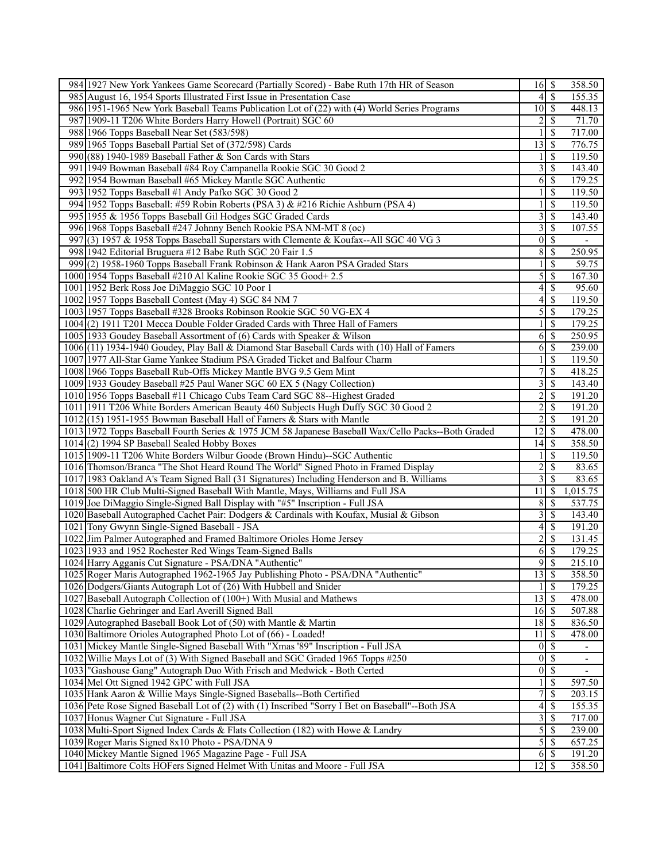|     | 984 1927 New York Yankees Game Scorecard (Partially Scored) - Babe Ruth 17th HR of Season                               |                                    |                                | 358.50                   |
|-----|-------------------------------------------------------------------------------------------------------------------------|------------------------------------|--------------------------------|--------------------------|
|     | 985 August 16, 1954 Sports Illustrated First Issue in Presentation Case                                                 | 4                                  | $\overline{\mathcal{S}}$       | 155.35                   |
|     | 986 1951-1965 New York Baseball Teams Publication Lot of (22) with (4) World Series Programs                            | $10$ $\sqrt{5}$                    |                                | 448.13                   |
|     | 987 1909-11 T206 White Borders Harry Howell (Portrait) SGC 60                                                           | 2                                  | <sup>\$</sup>                  | 71.70                    |
|     | 988 1966 Topps Baseball Near Set (583/598)                                                                              |                                    | <sup>\$</sup>                  | 717.00                   |
|     | 989 1965 Topps Baseball Partial Set of (372/598) Cards                                                                  | 13                                 | - \$                           | 776.75                   |
|     | 990(88) 1940-1989 Baseball Father & Son Cards with Stars                                                                |                                    | $\mathbb{S}$                   | 119.50                   |
|     | 991 1949 Bowman Baseball #84 Roy Campanella Rookie SGC 30 Good 2                                                        | 3                                  | -S                             | 143.40                   |
|     | 992 1954 Bowman Baseball #65 Mickey Mantle SGC Authentic                                                                | 6                                  | <sup>5</sup>                   | 179.25                   |
|     | 993 1952 Topps Baseball #1 Andy Pafko SGC 30 Good 2                                                                     |                                    | $\mathbb{S}$                   | 119.50                   |
|     | 994 1952 Topps Baseball: #59 Robin Roberts (PSA 3) & #216 Richie Ashburn (PSA 4)                                        |                                    | S                              | 119.50                   |
|     | 995 1955 & 1956 Topps Baseball Gil Hodges SGC Graded Cards                                                              | 3                                  | -S                             | 143.40                   |
|     | 996 1968 Topps Baseball #247 Johnny Bench Rookie PSA NM-MT 8 (oc)                                                       | 3                                  | $\mathcal{S}$                  | 107.55                   |
| 997 | (3) 1957 & 1958 Topps Baseball Superstars with Clemente & Koufax--All SGC 40 VG 3                                       | $\overline{0}$                     | $\mathbb{S}$                   |                          |
|     | 998 1942 Editorial Bruguera #12 Babe Ruth SGC 20 Fair 1.5                                                               | 8                                  | -\$                            | 250.95                   |
|     | 999 (2) 1958-1960 Topps Baseball Frank Robinson & Hank Aaron PSA Graded Stars                                           |                                    | $\mathbb{S}$                   | 59.75                    |
|     | 1000 1954 Topps Baseball #210 Al Kaline Rookie SGC 35 Good + 2.5                                                        | 5                                  | \$                             | 167.30                   |
|     |                                                                                                                         | 4                                  |                                |                          |
|     | 1001 1952 Berk Ross Joe DiMaggio SGC 10 Poor 1                                                                          |                                    | -S                             | 95.60                    |
|     | 1002 1957 Topps Baseball Contest (May 4) SGC 84 NM 7                                                                    | 4                                  | $\mathcal{S}$                  | 119.50                   |
|     | 1003 1957 Topps Baseball #328 Brooks Robinson Rookie SGC 50 VG-EX 4                                                     | 5                                  | \$                             | 179.25                   |
|     | 1004(2) 1911 T201 Mecca Double Folder Graded Cards with Three Hall of Famers                                            |                                    | $\mathcal{S}$                  | 179.25                   |
|     | 1005 1933 Goudey Baseball Assortment of (6) Cards with Speaker & Wilson                                                 | 6                                  | $\mathcal{S}$                  | 250.95                   |
|     | 1006 (11) 1934-1940 Goudey, Play Ball & Diamond Star Baseball Cards with (10) Hall of Famers                            | 6                                  | $\mathbb{S}$                   | 239.00                   |
|     | 1007 1977 All-Star Game Yankee Stadium PSA Graded Ticket and Balfour Charm                                              |                                    | -S                             | 119.50                   |
|     | 1008 1966 Topps Baseball Rub-Offs Mickey Mantle BVG 9.5 Gem Mint                                                        | 7                                  | $\mathbb{S}$                   | 418.25                   |
|     | 1009 1933 Goudey Baseball #25 Paul Waner SGC 60 EX 5 (Nagy Collection)                                                  | 3                                  | $\mathbb{S}$                   | 143.40                   |
|     | 1010 1956 Topps Baseball #11 Chicago Cubs Team Card SGC 88--Highest Graded                                              | 2                                  | $\mathcal{S}$                  | 191.20                   |
|     | 1011 1911 T206 White Borders American Beauty 460 Subjects Hugh Duffy SGC 30 Good 2                                      | $\overline{c}$                     | $\mathbb{S}$                   | 191.20                   |
|     | $1012(15)$ 1951-1955 Bowman Baseball Hall of Famers & Stars with Mantle                                                 | $\overline{2}$                     | \$                             | 191.20                   |
|     | 1013 1972 Topps Baseball Fourth Series & 1975 JCM 58 Japanese Baseball Wax/Cello Packs--Both Graded                     | 12                                 | - \$                           | 478.00                   |
|     | 1014 (2) 1994 SP Baseball Sealed Hobby Boxes                                                                            | 14                                 | -\$                            | 358.50                   |
|     | 1015 1909-11 T206 White Borders Wilbur Goode (Brown Hindu)--SGC Authentic                                               |                                    | $\mathbb{S}$                   | 119.50                   |
|     | 1016 Thomson/Branca "The Shot Heard Round The World" Signed Photo in Framed Display                                     | $\overline{2}$                     | $\mathbb{S}$                   | 83.65                    |
|     | 1017 1983 Oakland A's Team Signed Ball (31 Signatures) Including Henderson and B. Williams                              | 3                                  | $\mathbb{S}$                   | 83.65                    |
|     | 1018 500 HR Club Multi-Signed Baseball With Mantle, Mays, Williams and Full JSA                                         | 11                                 | -\$                            | 1,015.75                 |
|     | 1019 Joe DiMaggio Single-Signed Ball Display with "#5" Inscription - Full JSA                                           | 8                                  | -S                             | 537.75                   |
|     | 1020 Baseball Autographed Cachet Pair: Dodgers & Cardinals with Koufax, Musial & Gibson                                 | 3                                  | $\mathcal{S}$                  | 143.40                   |
|     | 1021 Tony Gwynn Single-Signed Baseball - JSA                                                                            | 4                                  | $\mathcal{S}$                  | 191.20                   |
|     | 1022 Jim Palmer Autographed and Framed Baltimore Orioles Home Jersey                                                    | 2                                  | $\mathbb{S}$                   | 131.45                   |
|     | 1023 1933 and 1952 Rochester Red Wings Team-Signed Balls                                                                | $6\sqrt{S}$                        |                                | 179.25                   |
|     | 1024 Harry Agganis Cut Signature - PSA/DNA "Authentic"                                                                  | 95                                 |                                | 215.10                   |
|     | 1025 Roger Maris Autographed 1962-1965 Jay Publishing Photo - PSA/DNA "Authentic"                                       | 13                                 | <sup>5</sup>                   | 358.50                   |
|     | 1026 Dodgers/Giants Autograph Lot of (26) With Hubbell and Snider                                                       |                                    | $\mathcal{S}$                  | 179.25                   |
|     | 1027 Baseball Autograph Collection of (100+) With Musial and Mathews                                                    | 13                                 | $\mathsf{S}$                   | 478.00                   |
|     | 1028 Charlie Gehringer and Earl Averill Signed Ball                                                                     | 16                                 | $\mathbf s$                    | 507.88                   |
|     | 1029 Autographed Baseball Book Lot of (50) with Mantle & Martin                                                         | 18                                 | <b>S</b>                       | 836.50                   |
|     | 1030 Baltimore Orioles Autographed Photo Lot of (66) - Loaded!                                                          | 11                                 | - \$                           | 478.00                   |
|     | 1031 Mickey Mantle Single-Signed Baseball With "Xmas '89" Inscription - Full JSA                                        | $\vert 0 \vert$<br>$\vert 0 \vert$ | $\sqrt{S}$                     | $\overline{\phantom{a}}$ |
|     | 1032 Willie Mays Lot of (3) With Signed Baseball and SGC Graded 1965 Topps #250                                         |                                    | -\$                            | $\overline{\phantom{a}}$ |
|     | 1033  "Gashouse Gang" Autograph Duo With Frisch and Medwick - Both Certed<br>1034 Mel Ott Signed 1942 GPC with Full JSA | $\vert 0 \vert$                    | $\overline{\mathcal{S}}$<br>\$ | ä,<br>597.50             |
|     | 1035 Hank Aaron & Willie Mays Single-Signed Baseballs--Both Certified                                                   | 7                                  | \$                             | 203.15                   |
|     | 1036 Pete Rose Signed Baseball Lot of (2) with (1) Inscribed "Sorry I Bet on Baseball"--Both JSA                        | $\overline{4}$                     | $\mathcal{S}$                  | 155.35                   |
|     | 1037 Honus Wagner Cut Signature - Full JSA                                                                              | $\overline{\mathbf{3}}$            | $\mathbb{S}$                   | 717.00                   |
|     | 1038 Multi-Sport Signed Index Cards & Flats Collection (182) with Howe & Landry                                         | 5                                  | -\$                            | 239.00                   |
|     | 1039 Roger Maris Signed 8x10 Photo - PSA/DNA 9                                                                          | 5                                  | $\mathsf{S}$                   | 657.25                   |
|     | 1040 Mickey Mantle Signed 1965 Magazine Page - Full JSA                                                                 | 6                                  | <sup>5</sup>                   | 191.20                   |
|     | 1041 Baltimore Colts HOFers Signed Helmet With Unitas and Moore - Full JSA                                              | $12 \mid$ \$                       |                                | 358.50                   |
|     |                                                                                                                         |                                    |                                |                          |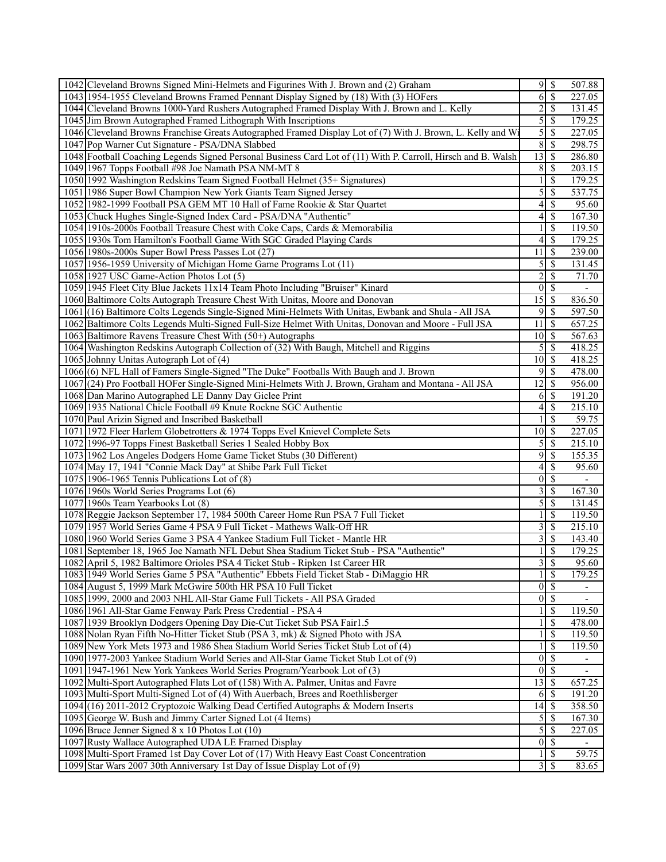| 1042 Cleveland Browns Signed Mini-Helmets and Figurines With J. Brown and (2) Graham                          |                  |                          | 507.88                   |
|---------------------------------------------------------------------------------------------------------------|------------------|--------------------------|--------------------------|
| 1043 1954-1955 Cleveland Browns Framed Pennant Display Signed by (18) With (3) HOFers                         | 6                | $\overline{\mathcal{S}}$ | 227.05                   |
| 1044 Cleveland Browns 1000-Yard Rushers Autographed Framed Display With J. Brown and L. Kelly                 | $\overline{c}$   | $\mathcal{S}$            | 131.45                   |
| 1045 Jim Brown Autographed Framed Lithograph With Inscriptions                                                | 5                | $\mathbb{S}$             | 179.25                   |
| 1046 Cleveland Browns Franchise Greats Autographed Framed Display Lot of (7) With J. Brown, L. Kelly and Wi   | 5                | $\mathcal{S}$            | 227.05                   |
| 1047 Pop Warner Cut Signature - PSA/DNA Slabbed                                                               | 8                | -\$                      | 298.75                   |
| 1048 Football Coaching Legends Signed Personal Business Card Lot of (11) With P. Carroll, Hirsch and B. Walsh | 13               | $\mathcal{S}$            | 286.80                   |
| 1049 1967 Topps Football #98 Joe Namath PSA NM-MT 8                                                           | 8                | -\$                      | 203.15                   |
| 1050 1992 Washington Redskins Team Signed Football Helmet (35+ Signatures)                                    |                  | \$                       | 179.25                   |
| 1051 1986 Super Bowl Champion New York Giants Team Signed Jersey                                              | 5                | $\mathbb{S}$             | 537.75                   |
| 1052 1982-1999 Football PSA GEM MT 10 Hall of Fame Rookie & Star Quartet                                      | 4                | $\mathcal{S}$            | 95.60                    |
| 1053 Chuck Hughes Single-Signed Index Card - PSA/DNA "Authentic"                                              | 4                | $\mathbb{S}$             | 167.30                   |
|                                                                                                               |                  | \$                       | 119.50                   |
| 1054 1910s-2000s Football Treasure Chest with Coke Caps, Cards & Memorabilia                                  |                  |                          |                          |
| 1055 1930s Tom Hamilton's Football Game With SGC Graded Playing Cards                                         | 4                | -\$                      | 179.25                   |
| 1056 1980s-2000s Super Bowl Press Passes Lot (27)                                                             | 11               | \$                       | 239.00                   |
| 1057 1956-1959 University of Michigan Home Game Programs Lot (11)                                             | 5                | -S                       | 131.45                   |
| 1058 1927 USC Game-Action Photos Lot (5)                                                                      | $\overline{c}$   | $\mathcal{S}$            | 71.70                    |
| 1059 1945 Fleet City Blue Jackets 11x14 Team Photo Including "Bruiser" Kinard                                 | $\vert 0 \vert$  | $\overline{\mathcal{S}}$ | $\overline{\phantom{a}}$ |
| 1060 Baltimore Colts Autograph Treasure Chest With Unitas, Moore and Donovan                                  | $\overline{15}$  | $\sqrt{3}$               | 836.50                   |
| 1061 (16) Baltimore Colts Legends Single-Signed Mini-Helmets With Unitas, Ewbank and Shula - All JSA          | 9                | $\sqrt{S}$               | 597.50                   |
| 1062 Baltimore Colts Legends Multi-Signed Full-Size Helmet With Unitas, Donovan and Moore - Full JSA          | 11               | $\mathcal{S}$            | 657.25                   |
| 1063 Baltimore Ravens Treasure Chest With (50+) Autographs                                                    | 10               | -\$                      | 567.63                   |
| 1064 Washington Redskins Autograph Collection of (32) With Baugh, Mitchell and Riggins                        | 5                | - \$                     | 418.25                   |
| 1065 Johnny Unitas Autograph Lot of (4)                                                                       | 10               | S                        | 418.25                   |
| 1066 (6) NFL Hall of Famers Single-Signed "The Duke" Footballs With Baugh and J. Brown                        | 9                | $\overline{\mathcal{S}}$ | 478.00                   |
| 1067 (24) Pro Football HOFer Single-Signed Mini-Helmets With J. Brown, Graham and Montana - All JSA           | 12               | -\$                      | 956.00                   |
| 1068 Dan Marino Autographed LE Danny Day Giclee Print                                                         | 6                | $\sqrt{3}$               | 191.20                   |
| 1069 1935 National Chicle Football #9 Knute Rockne SGC Authentic                                              | 4                | $\mathbb{S}$             | 215.10                   |
| 1070 Paul Arizin Signed and Inscribed Basketball                                                              |                  | -\$                      | 59.75                    |
| 1071 1972 Fleer Harlem Globetrotters & 1974 Topps Evel Knievel Complete Sets                                  | 10               | 8                        | 227.05                   |
| 1072 1996-97 Topps Finest Basketball Series 1 Sealed Hobby Box                                                | 5                | $\mathcal{S}$            | 215.10                   |
| 1073 1962 Los Angeles Dodgers Home Game Ticket Stubs (30 Different)                                           | 9                | $\mathcal{S}$            | 155.35                   |
| 1074 May 17, 1941 "Connie Mack Day" at Shibe Park Full Ticket                                                 | 4                | $\mathbb{S}$             | 95.60                    |
| 1075 1906-1965 Tennis Publications Lot of $(8)$                                                               | $\boldsymbol{0}$ | <sup>\$</sup>            |                          |
| 1076 1960s World Series Programs Lot (6)                                                                      | 3                | -\$                      | 167.30                   |
| 1077 1960s Team Yearbooks Lot (8)                                                                             | 5                | $\mathcal{S}$            | 131.45                   |
| 1078 Reggie Jackson September 17, 1984 500th Career Home Run PSA 7 Full Ticket                                |                  | $\mathbb{S}$             | 119.50                   |
| 1079 1957 World Series Game 4 PSA 9 Full Ticket - Mathews Walk-Off HR                                         | 3                | $\mathcal{S}$            | 215.10                   |
| 1080 1960 World Series Game 3 PSA 4 Yankee Stadium Full Ticket - Mantle HR                                    | 3                | $\overline{\mathcal{S}}$ | 143.40                   |
| 1081 September 18, 1965 Joe Namath NFL Debut Shea Stadium Ticket Stub - PSA "Authentic"                       |                  | \$                       | 179.25                   |
| 1082 April 5, 1982 Baltimore Orioles PSA 4 Ticket Stub - Ripken 1st Career HR                                 | $\overline{3}$   | $\overline{\mathcal{S}}$ | 95.60                    |
| 1083 1949 World Series Game 5 PSA "Authentic" Ebbets Field Ticket Stab - DiMaggio HR                          | 1                | $\sqrt{S}$               | 179.25                   |
| 1084 August 5, 1999 Mark McGwire 500th HR PSA 10 Full Ticket                                                  | $\vert 0 \vert$  | $\overline{\mathcal{S}}$ |                          |
| 1085 1999, 2000 and 2003 NHL All-Star Game Full Tickets - All PSA Graded                                      | $\vert 0 \vert$  | $\sqrt{3}$               | $\overline{\phantom{0}}$ |
| 1086 1961 All-Star Game Fenway Park Press Credential - PSA 4                                                  |                  | \$                       | 119.50                   |
| 1087 1939 Brooklyn Dodgers Opening Day Die-Cut Ticket Sub PSA Fair1.5                                         |                  | \$                       | 478.00                   |
| 1088 Nolan Ryan Fifth No-Hitter Ticket Stub (PSA 3, mk) & Signed Photo with JSA                               |                  | \$                       | 119.50                   |
| 1089 New York Mets 1973 and 1986 Shea Stadium World Series Ticket Stub Lot of (4)                             |                  | $\mathcal{S}$            | 119.50                   |
| 1090 1977-2003 Yankee Stadium World Series and All-Star Game Ticket Stub Lot of (9)                           | $\boldsymbol{0}$ | $\overline{\mathcal{S}}$ |                          |
| 1091 1947-1961 New York Yankees World Series Program/Yearbook Lot of (3)                                      | $\theta$         | $\overline{\mathcal{S}}$ | $\overline{\phantom{a}}$ |
| 1092 Multi-Sport Autographed Flats Lot of (158) With A. Palmer, Unitas and Favre                              | 13               | $\mathcal{S}$            | 657.25                   |
| 1093 Multi-Sport Multi-Signed Lot of (4) With Auerbach, Brees and Roethlisberger                              | 6                | -S                       | 191.20                   |
| 1094 (16) 2011-2012 Cryptozoic Walking Dead Certified Autographs & Modern Inserts                             | 14               | $\mathbf{\hat{s}}$       | 358.50                   |
| 1095 George W. Bush and Jimmy Carter Signed Lot (4 Items)                                                     | 5                | $\mathcal{S}$            | 167.30                   |
| 1096 Bruce Jenner Signed 8 x 10 Photos Lot (10)                                                               | 5                | -\$                      | 227.05                   |
| 1097 Rusty Wallace Autographed UDA LE Framed Display                                                          | $\vert 0 \vert$  | $\sqrt{s}$               | $\overline{\phantom{0}}$ |
| 1098 Multi-Sport Framed 1st Day Cover Lot of (17) With Heavy East Coast Concentration                         |                  | $\mathcal{S}$            | 59.75                    |
| 1099 Star Wars 2007 30th Anniversary 1st Day of Issue Display Lot of (9)                                      |                  | 35                       | 83.65                    |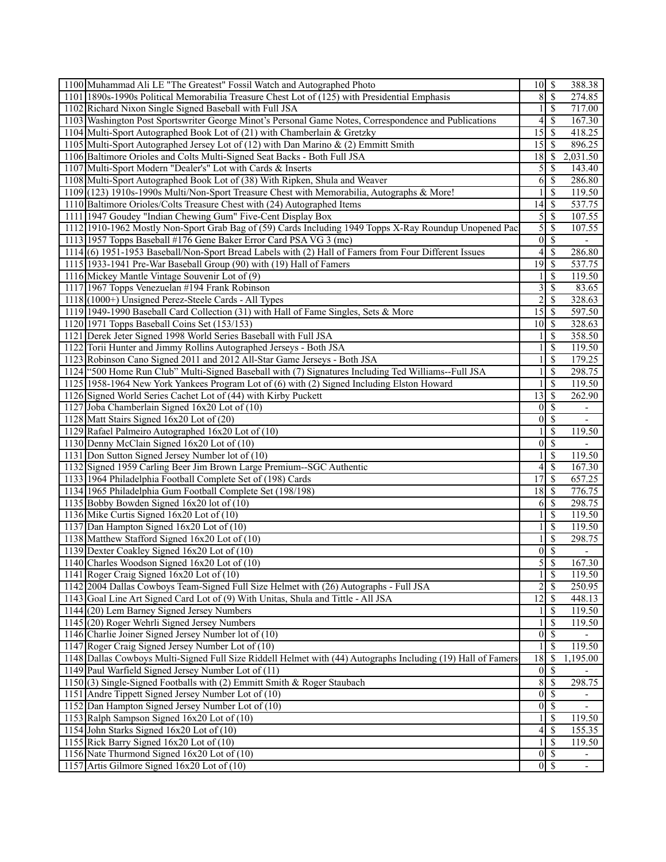| 1100 Muhammad Ali LE "The Greatest" Fossil Watch and Autographed Photo                                       | $10$   \$                         |                                | 388.38                       |
|--------------------------------------------------------------------------------------------------------------|-----------------------------------|--------------------------------|------------------------------|
| 1101 1890s-1990s Political Memorabilia Treasure Chest Lot of (125) with Presidential Emphasis                | 8                                 | $\mathcal{S}$                  | 274.85                       |
| 1102 Richard Nixon Single Signed Baseball with Full JSA                                                      |                                   | \$                             | 717.00                       |
| 1103 Washington Post Sportswriter George Minot's Personal Game Notes, Correspondence and Publications        | 4                                 | S                              | 167.30                       |
| 1104 Multi-Sport Autographed Book Lot of (21) with Chamberlain & Gretzky                                     | 15                                | -S                             | 418.25                       |
| 1105 Multi-Sport Autographed Jersey Lot of (12) with Dan Marino & (2) Emmitt Smith                           | 15                                | -S                             | 896.25                       |
| 1106 Baltimore Orioles and Colts Multi-Signed Seat Backs - Both Full JSA                                     | 18                                | <sup>\$</sup>                  | 2,031.50                     |
| 1107 Multi-Sport Modern "Dealer's" Lot with Cards & Inserts                                                  | 5                                 | -\$                            | 143.40                       |
| 1108 Multi-Sport Autographed Book Lot of (38) With Ripken, Shula and Weaver                                  | 6                                 | -\$                            | 286.80                       |
| 1109 (123) 1910s-1990s Multi/Non-Sport Treasure Chest with Memorabilia, Autographs & More!                   |                                   | $\mathcal{S}$                  | 119.50                       |
| 1110 Baltimore Orioles/Colts Treasure Chest with (24) Autographed Items                                      | 14                                | -\$                            | 537.75                       |
| 1111 1947 Goudey "Indian Chewing Gum" Five-Cent Display Box                                                  | 5                                 | -\$                            | 107.55                       |
| 1112 1910-1962 Mostly Non-Sport Grab Bag of (59) Cards Including 1949 Topps X-Ray Roundup Unopened Pac       | 5                                 | $\mathcal{S}$                  | 107.55                       |
| 1113 1957 Topps Baseball #176 Gene Baker Error Card PSA VG 3 (mc)                                            | $\theta$                          | $\mathcal{S}$                  |                              |
| 1114(6) 1951-1953 Baseball/Non-Sport Bread Labels with (2) Hall of Famers from Four Different Issues         | 4                                 | $\mathcal{S}$                  | 286.80                       |
| 1115 1933-1941 Pre-War Baseball Group (90) with (19) Hall of Famers                                          | 19                                | \$                             | 537.75                       |
| 1116 Mickey Mantle Vintage Souvenir Lot of (9)                                                               |                                   | S                              | 119.50                       |
| 1117 1967 Topps Venezuelan #194 Frank Robinson                                                               | 3                                 | <sup>\$</sup>                  | 83.65                        |
| 1118 (1000+) Unsigned Perez-Steele Cards - All Types                                                         | $\overline{c}$                    | \$                             | 328.63                       |
| 1119 1949-1990 Baseball Card Collection (31) with Hall of Fame Singles, Sets & More                          | 15                                | <sup>S</sup>                   | 597.50                       |
| 1120 1971 Topps Baseball Coins Set (153/153)                                                                 | 10                                | <sup>5</sup>                   | 328.63                       |
| 1121 Derek Jeter Signed 1998 World Series Baseball with Full JSA                                             |                                   | \$                             | 358.50                       |
| 1122 Torii Hunter and Jimmy Rollins Autographed Jerseys - Both JSA                                           |                                   | \$                             | 119.50                       |
| 1123 Robinson Cano Signed 2011 and 2012 All-Star Game Jerseys - Both JSA                                     |                                   | <sup>\$</sup>                  | 179.25                       |
| 1124 "500 Home Run Club" Multi-Signed Baseball with (7) Signatures Including Ted Williams--Full JSA          |                                   | \$                             | 298.75                       |
| 1125 1958-1964 New York Yankees Program Lot of (6) with (2) Signed Including Elston Howard                   |                                   | \$                             | 119.50                       |
| 1126 Signed World Series Cachet Lot of (44) with Kirby Puckett                                               | 13                                | $\mathcal{S}$                  | 262.90                       |
| 1127 Joba Chamberlain Signed 16x20 Lot of (10)                                                               | $\theta$                          | $\mathcal{S}$                  | $\overline{\phantom{a}}$     |
| 1128 Matt Stairs Signed 16x20 Lot of (20)                                                                    | $\theta$                          | <sup>\$</sup>                  | $\qquad \qquad \blacksquare$ |
| 1129 Rafael Palmeiro Autographed 16x20 Lot of (10)                                                           | 1                                 | \$                             | 119.50                       |
| 1130 Denny McClain Signed 16x20 Lot of (10)                                                                  | $\vert 0 \vert$                   | $\overline{\mathcal{S}}$       | $\overline{\phantom{a}}$     |
| 1131 Don Sutton Signed Jersey Number lot of (10)                                                             | 1                                 | \$                             | 119.50                       |
| 1132 Signed 1959 Carling Beer Jim Brown Large Premium-SGC Authentic                                          | 4                                 | -\$                            | 167.30                       |
| 1133 1964 Philadelphia Football Complete Set of (198) Cards                                                  | 17                                | \$                             | 657.25                       |
| 1134 1965 Philadelphia Gum Football Complete Set (198/198)                                                   | 18                                | -S                             | 776.75                       |
| 1135 Bobby Bowden Signed 16x20 lot of (10)                                                                   | 6                                 | -S                             | 298.75                       |
| 1136 Mike Curtis Signed 16x20 Lot of (10)                                                                    |                                   | \$                             | 119.50                       |
| 1137 Dan Hampton Signed 16x20 Lot of (10)                                                                    | 1                                 | $\mathcal{S}$                  | 119.50                       |
|                                                                                                              |                                   |                                |                              |
| 1138 Matthew Stafford Signed 16x20 Lot of (10)                                                               | $\overline{0}$                    | \$<br>$\overline{\mathcal{S}}$ | 298.75                       |
| 1139 Dexter Coakley Signed 16x20 Lot of (10)<br>1140 Charles Woodson Signed $16x20$ Lot of $(10)$            | $\mathfrak{S}$                    | $\overline{\mathcal{S}}$       | $\blacksquare$<br>167.30     |
|                                                                                                              |                                   |                                |                              |
| 1141 Roger Craig Signed 16x20 Lot of (10)                                                                    |                                   | <sup>\$</sup>                  | 119.50                       |
| 1142 2004 Dallas Cowboys Team-Signed Full Size Helmet with (26) Autographs - Full JSA                        | $\overline{c}$<br>$\overline{12}$ | \$                             | 250.95                       |
| 1143 Goal Line Art Signed Card Lot of (9) With Unitas, Shula and Tittle - All JSA                            |                                   | $\mathcal{S}$                  | 448.13                       |
| 1144 (20) Lem Barney Signed Jersey Numbers                                                                   |                                   | \$                             | 119.50                       |
| 1145 (20) Roger Wehrli Signed Jersey Numbers                                                                 |                                   | \$                             | 119.50                       |
| 1146 Charlie Joiner Signed Jersey Number lot of (10)                                                         | $\overline{0}$                    | $\mathcal{S}$                  |                              |
| 1147 Roger Craig Signed Jersey Number Lot of (10)                                                            |                                   | <sup>\$</sup>                  | 119.50                       |
| 1148 Dallas Cowboys Multi-Signed Full Size Riddell Helmet with (44) Autographs Including (19) Hall of Famers | 18                                | -\$                            | 1,195.00                     |
| 1149 Paul Warfield Signed Jersey Number Lot of (11)                                                          | $\overline{0}$                    | $\sqrt{S}$                     |                              |
| 1150(3) Single-Signed Footballs with (2) Emmitt Smith & Roger Staubach                                       | 8                                 | \$                             | 298.75                       |
| 1151 Andre Tippett Signed Jersey Number Lot of (10)                                                          | $\boldsymbol{0}$                  | -S                             | $\overline{\phantom{a}}$     |
| 1152 Dan Hampton Signed Jersey Number Lot of (10)                                                            | $\overline{0}$                    | -\$                            | $\qquad \qquad \blacksquare$ |
| 1153 Ralph Sampson Signed 16x20 Lot of (10)                                                                  |                                   | \$                             | 119.50                       |
| 1154 John Starks Signed 16x20 Lot of (10)                                                                    | $\vert 4 \vert$                   | -\$                            | 155.35                       |
| 1155 Rick Barry Signed 16x20 Lot of (10)                                                                     |                                   | -\$                            | 119.50                       |
| 1156 Nate Thurmond Signed 16x20 Lot of (10)                                                                  | $0 \mid \text{\$}$                |                                | $\blacksquare$               |
| 1157 Artis Gilmore Signed 16x20 Lot of (10)                                                                  | $0 \mid \text{\$}$                |                                | $\overline{\phantom{a}}$     |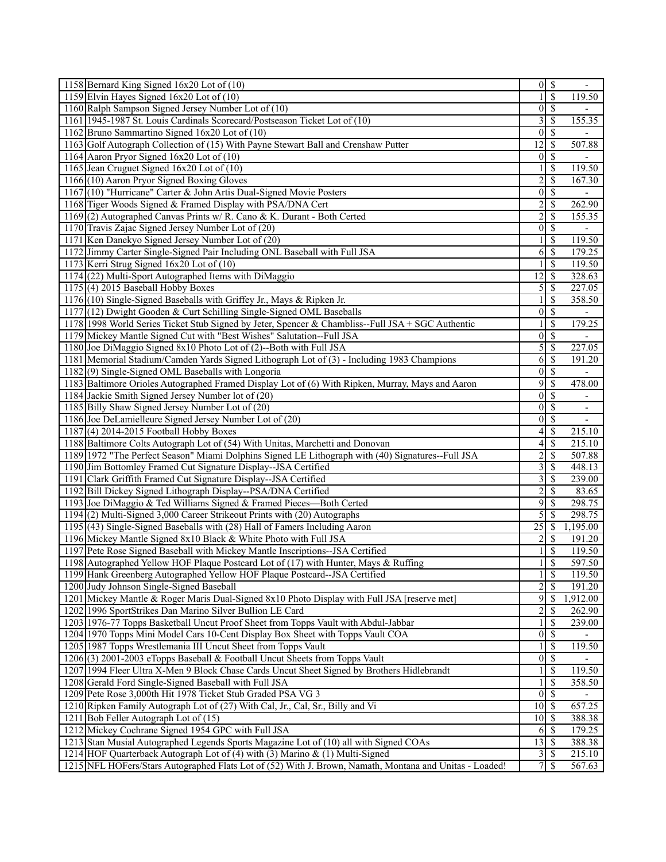| 1158 Bernard King Signed 16x20 Lot of (10)                                                              |                  | $0 \mid$ \$              |                          |
|---------------------------------------------------------------------------------------------------------|------------------|--------------------------|--------------------------|
| 1159 Elvin Hayes Signed $16x20$ Lot of $(10)$                                                           | 1                | $\overline{\mathcal{S}}$ | 119.50                   |
| 1160 Ralph Sampson Signed Jersey Number Lot of (10)                                                     | $\vert 0 \vert$  | $\sqrt{3}$               |                          |
| 1161 1945-1987 St. Louis Cardinals Scorecard/Postseason Ticket Lot of (10)                              | 3                | <sup>\$</sup>            | 155.35                   |
| 1162 Bruno Sammartino Signed 16x20 Lot of (10)                                                          | $\theta$         | -S                       |                          |
| 1163 Golf Autograph Collection of (15) With Payne Stewart Ball and Crenshaw Putter                      | 12               | $\mathcal{S}$            | 507.88                   |
| 1164 Aaron Pryor Signed $16x20$ Lot of $(10)$                                                           | $\vert 0 \vert$  | $\overline{\mathcal{S}}$ |                          |
| 1165 Jean Cruguet Signed 16x20 Lot of (10)                                                              |                  | $\mathcal{S}$            | 119.50                   |
| 1166 (10) Aaron Pryor Signed Boxing Gloves                                                              | $\overline{c}$   | $\mathcal{S}$            | 167.30                   |
| 1167 (10) "Hurricane" Carter & John Artis Dual-Signed Movie Posters                                     | $\boldsymbol{0}$ | $\mathcal{S}$            |                          |
| 1168 Tiger Woods Signed & Framed Display with PSA/DNA Cert                                              | 2                | <sup>\$</sup>            | 262.90                   |
| 1169 (2) Autographed Canvas Prints w/ R. Cano & K. Durant - Both Certed                                 | $\overline{c}$   | $\mathcal{S}$            | 155.35                   |
| 1170 Travis Zajac Signed Jersey Number Lot of (20)                                                      | $\vert 0 \vert$  | -\$                      |                          |
| 1171 Ken Danekyo Signed Jersey Number Lot of (20)                                                       |                  | $\mathcal{S}$            | 119.50                   |
| 1172 Jimmy Carter Single-Signed Pair Including ONL Baseball with Full JSA                               | 6                | -\$                      | 179.25                   |
| 1173 Kerri Strug Signed 16x20 Lot of (10)                                                               |                  | $\mathbb{S}$             | 119.50                   |
| 1174 (22) Multi-Sport Autographed Items with DiMaggio                                                   | 12               | S                        | 328.63                   |
| $1175$ (4) 2015 Baseball Hobby Boxes                                                                    | 5                | -S                       | 227.05                   |
| 1176 (10) Single-Signed Baseballs with Griffey Jr., Mays & Ripken Jr.                                   |                  | \$                       | 358.50                   |
| 1177 (12) Dwight Gooden & Curt Schilling Single-Signed OML Baseballs                                    | $\theta$         | $\overline{\mathcal{S}}$ |                          |
| 1178 1998 World Series Ticket Stub Signed by Jeter, Spencer & Chambliss--Full JSA + SGC Authentic       |                  | \$                       | 179.25                   |
| 1179 Mickey Mantle Signed Cut with "Best Wishes" Salutation--Full JSA                                   | $\mathbf{0}$     | $\overline{\mathcal{S}}$ |                          |
| 1180 Joe DiMaggio Signed 8x10 Photo Lot of (2)--Both with Full JSA                                      | 5                | \$                       | 227.05                   |
| 1181 Memorial Stadium/Camden Yards Signed Lithograph Lot of (3) - Including 1983 Champions              | 6                | -\$                      | 191.20                   |
| 1182(9) Single-Signed OML Baseballs with Longoria                                                       | $\mathbf{0}$     | $\overline{\mathcal{S}}$ |                          |
| 1183 Baltimore Orioles Autographed Framed Display Lot of (6) With Ripken, Murray, Mays and Aaron        | $\overline{9}$   | $\overline{\mathcal{S}}$ | 478.00                   |
| 1184 Jackie Smith Signed Jersey Number lot of (20)                                                      | $\mathbf{0}$     | $\overline{\mathcal{S}}$ | $\overline{\phantom{0}}$ |
| 1185 Billy Shaw Signed Jersey Number Lot of (20)                                                        | $\mathbf{0}$     | \$                       | $\overline{\phantom{a}}$ |
| 1186 Joe DeLamielleure Signed Jersey Number Lot of (20)                                                 | $\mathbf{0}$     | $\mathbb{S}$             |                          |
| $1187(4)$ 2014-2015 Football Hobby Boxes                                                                | 4                | -S                       | 215.10                   |
| 1188 Baltimore Colts Autograph Lot of (54) With Unitas, Marchetti and Donovan                           | 4                | $\mathcal{S}$            | 215.10                   |
| 1189 1972 "The Perfect Season" Miami Dolphins Signed LE Lithograph with (40) Signatures--Full JSA       | $\overline{c}$   | $\mathbb{S}$             | 507.88                   |
| 1190 Jim Bottomley Framed Cut Signature Display--JSA Certified                                          | 3                | $\mathcal{S}$            | 448.13                   |
| 1191 Clark Griffith Framed Cut Signature Display--JSA Certified                                         | 3                | $\mathbb{S}$             | 239.00                   |
| 1192 Bill Dickey Signed Lithograph Display--PSA/DNA Certified                                           | $\overline{c}$   | $\mathbb{S}$             | 83.65                    |
| 1193 Joe DiMaggio & Ted Williams Signed & Framed Pieces—Both Certed                                     | 9                | -S                       | 298.75                   |
| $1194(2)$ Multi-Signed 3,000 Career Strikeout Prints with (20) Autographs                               | 5                | \$                       | 298.75                   |
| 1195 (43) Single-Signed Baseballs with (28) Hall of Famers Including Aaron                              | 25               | $\sqrt{S}$               | 1,195.00                 |
| 1196 Mickey Mantle Signed 8x10 Black & White Photo with Full JSA                                        | 2                | $\mathcal{S}$            | 191.20                   |
| 1197 Pete Rose Signed Baseball with Mickey Mantle Inscriptions--JSA Certified                           |                  | $\overline{\mathcal{S}}$ | 119.50                   |
| 1198 Autographed Yellow HOF Plaque Postcard Lot of (17) with Hunter, Mays & Ruffing                     | 1                | $\overline{\$}$          | 597.50                   |
| 1199 Hank Greenberg Autographed Yellow HOF Plaque Postcard--JSA Certified                               |                  | \$                       | 119.50                   |
| 1200 Judy Johnson Single-Signed Baseball                                                                | $\overline{c}$   | \$                       | 191.20                   |
| 1201 Mickey Mantle & Roger Maris Dual-Signed 8x10 Photo Display with Full JSA [reserve met]             | 9                | $\mathcal{S}$            | 1,912.00                 |
| 1202 1996 SportStrikes Dan Marino Silver Bullion LE Card                                                | $\overline{c}$   | \$                       | $\overline{262.90}$      |
| 1203 1976-77 Topps Basketball Uncut Proof Sheet from Topps Vault with Abdul-Jabbar                      |                  | \$                       | 239.00                   |
| 1204 1970 Topps Mini Model Cars 10-Cent Display Box Sheet with Topps Vault COA                          | $\vert 0 \vert$  | -\$                      |                          |
| 1205 1987 Topps Wrestlemania III Uncut Sheet from Topps Vault                                           |                  | \$                       | 119.50                   |
| 1206(3) 2001-2003 eTopps Baseball & Football Uncut Sheets from Topps Vault                              | $\boldsymbol{0}$ | $\mathcal{S}$            |                          |
| 1207 1994 Fleer Ultra X-Men 9 Block Chase Cards Uncut Sheet Signed by Brothers Hidlebrandt              | 1                | $\mathcal{S}$            | 119.50                   |
| 1208 Gerald Ford Single-Signed Baseball with Full JSA                                                   |                  | \$                       | 358.50                   |
| 1209 Pete Rose 3,000th Hit 1978 Ticket Stub Graded PSA VG 3                                             | $\theta$         | -S                       |                          |
| 1210 Ripken Family Autograph Lot of (27) With Cal, Jr., Cal, Sr., Billy and Vi                          | 10               | S                        | 657.25                   |
| 1211 Bob Feller Autograph Lot of (15)                                                                   | $10\vert S$      |                          | 388.38                   |
| 1212 Mickey Cochrane Signed 1954 GPC with Full JSA                                                      | 6                | \$                       | 179.25                   |
| 1213 Stan Musial Autographed Legends Sports Magazine Lot of (10) all with Signed COAs                   | 13               | l \$                     | 388.38                   |
| 1214 HOF Quarterback Autograph Lot of (4) with (3) Marino & (1) Multi-Signed                            | 3                | -\$                      | 215.10                   |
| 1215 NFL HOFers/Stars Autographed Flats Lot of (52) With J. Brown, Namath, Montana and Unitas - Loaded! |                  | 7s                       | 567.63                   |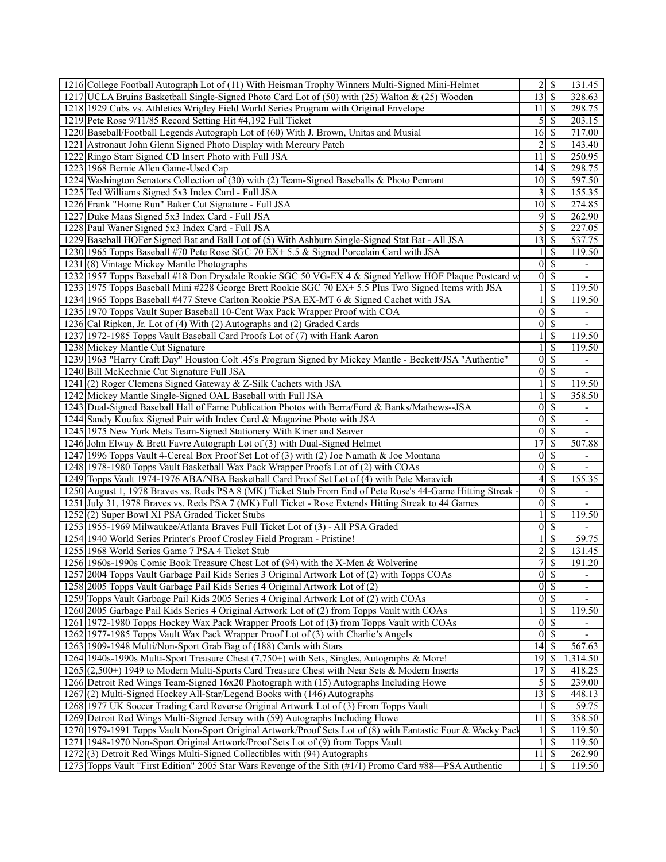| 1216 College Football Autograph Lot of (11) With Heisman Trophy Winners Multi-Signed Mini-Helmet                                                                 |                                           |                          | 131.45                       |
|------------------------------------------------------------------------------------------------------------------------------------------------------------------|-------------------------------------------|--------------------------|------------------------------|
| 1217 UCLA Bruins Basketball Single-Signed Photo Card Lot of (50) with (25) Walton & (25) Wooden                                                                  | 13                                        | $\overline{\mathcal{S}}$ | 328.63                       |
| 1218 1929 Cubs vs. Athletics Wrigley Field World Series Program with Original Envelope                                                                           | 11                                        | l \$                     | 298.75                       |
| 1219 Pete Rose 9/11/85 Record Setting Hit #4,192 Full Ticket                                                                                                     | 5                                         | $\mathcal{S}$            | 203.15                       |
| 1220 Baseball/Football Legends Autograph Lot of (60) With J. Brown, Unitas and Musial                                                                            | 16                                        | -S                       | 717.00                       |
| 1221 Astronaut John Glenn Signed Photo Display with Mercury Patch                                                                                                | 2                                         | <sup>\$</sup>            | 143.40                       |
| 1222 Ringo Starr Signed CD Insert Photo with Full JSA                                                                                                            | 11                                        | -S                       | 250.95                       |
| 1223 1968 Bernie Allen Game-Used Cap                                                                                                                             | 14                                        | $\mathsf{S}$             | 298.75                       |
| 1224 Washington Senators Collection of (30) with (2) Team-Signed Baseballs & Photo Pennant                                                                       | $10$   \$                                 |                          | 597.50                       |
| 1225 Ted Williams Signed 5x3 Index Card - Full JSA                                                                                                               | 3                                         | $\mathcal{S}$            | 155.35                       |
| 1226 Frank "Home Run" Baker Cut Signature - Full JSA                                                                                                             | 10                                        | -S                       | 274.85                       |
| 1227 Duke Maas Signed 5x3 Index Card - Full JSA                                                                                                                  | 9                                         | -S                       |                              |
| 1228 Paul Waner Signed 5x3 Index Card - Full JSA                                                                                                                 |                                           |                          | 262.90<br>227.05             |
|                                                                                                                                                                  | 5                                         | $\mathcal{S}$            |                              |
| 1229 Baseball HOFer Signed Bat and Ball Lot of (5) With Ashburn Single-Signed Stat Bat - All JSA                                                                 | 13                                        | $\sqrt{S}$               | 537.75                       |
| 1230 1965 Topps Baseball #70 Pete Rose SGC 70 EX+ 5.5 & Signed Porcelain Card with JSA                                                                           |                                           | <sup>S</sup>             | 119.50                       |
| 1231 (8) Vintage Mickey Mantle Photographs                                                                                                                       | $\overline{0}$                            | $\mathcal{S}$            | $\overline{\phantom{a}}$     |
| 1232 1957 Topps Baseball #18 Don Drysdale Rookie SGC 50 VG-EX 4 & Signed Yellow HOF Plaque Postcard w                                                            | $\vert 0 \vert$                           | $\mathcal{S}$            | $\qquad \qquad \blacksquare$ |
| 1233 1975 Topps Baseball Mini #228 George Brett Rookie SGC 70 EX+ 5.5 Plus Two Signed Items with JSA                                                             |                                           | $\mathcal{S}$            | 119.50                       |
| 1234 1965 Topps Baseball #477 Steve Carlton Rookie PSA EX-MT 6 & Signed Cachet with JSA                                                                          |                                           | \$                       | 119.50                       |
| 1235 1970 Topps Vault Super Baseball 10-Cent Wax Pack Wrapper Proof with COA                                                                                     | $\mathbf{0}$                              | $\overline{\mathcal{S}}$ | $\overline{\phantom{a}}$     |
| 1236 Cal Ripken, Jr. Lot of (4) With (2) Autographs and (2) Graded Cards                                                                                         | $\mathbf{0}$                              | $\mathcal{S}$            | $\overline{\phantom{a}}$     |
| 1237 1972-1985 Topps Vault Baseball Card Proofs Lot of (7) with Hank Aaron                                                                                       |                                           | \$                       | 119.50                       |
| 1238 Mickey Mantle Cut Signature                                                                                                                                 | 1                                         | $\overline{\mathcal{S}}$ | 119.50                       |
| 1239 1963 "Harry Craft Day" Houston Colt .45's Program Signed by Mickey Mantle - Beckett/JSA "Authentic"                                                         | $\mathbf{0}$                              | $\overline{\mathcal{S}}$ | $\overline{\phantom{a}}$     |
| 1240 Bill McKechnie Cut Signature Full JSA                                                                                                                       | $\mathbf{0}$                              | $\overline{\mathcal{S}}$ |                              |
| 1241 (2) Roger Clemens Signed Gateway & Z-Silk Cachets with JSA                                                                                                  | 1                                         | $\overline{\mathcal{S}}$ | 119.50                       |
| 1242 Mickey Mantle Single-Signed OAL Baseball with Full JSA                                                                                                      |                                           | \$                       | 358.50                       |
| 1243 Dual-Signed Baseball Hall of Fame Publication Photos with Berra/Ford & Banks/Mathews--JSA                                                                   | $\boldsymbol{0}$                          | \$                       | $\overline{\phantom{0}}$     |
| 1244 Sandy Koufax Signed Pair with Index Card & Magazine Photo with JSA                                                                                          | $\theta$                                  | $\mathcal{S}$            | $\overline{\phantom{a}}$     |
|                                                                                                                                                                  |                                           |                          |                              |
| 1245 1975 New York Mets Team-Signed Stationery With Kiner and Seaver                                                                                             | $\vert 0 \vert$                           | $\overline{\mathcal{S}}$ | $\overline{\phantom{a}}$     |
| 1246 John Elway & Brett Favre Autograph Lot of (3) with Dual-Signed Helmet                                                                                       | 17                                        | \$                       | 507.88                       |
| 1247 1996 Topps Vault 4-Cereal Box Proof Set Lot of (3) with (2) Joe Namath & Joe Montana                                                                        | $\vert 0 \vert$                           | $\overline{\mathcal{S}}$ | $\overline{\phantom{0}}$     |
| 1248 1978-1980 Topps Vault Basketball Wax Pack Wrapper Proofs Lot of (2) with COAs                                                                               | $\mathbf{0}$                              | $\overline{\mathcal{S}}$ | $\overline{\phantom{a}}$     |
| 1249 Topps Vault 1974-1976 ABA/NBA Basketball Card Proof Set Lot of (4) with Pete Maravich                                                                       | 4                                         | <sup>\$</sup>            | 155.35                       |
| 1250 August 1, 1978 Braves vs. Reds PSA 8 (MK) Ticket Stub From End of Pete Rose's 44-Game Hitting Streak -                                                      | $\vert 0 \vert$                           | $\sqrt{S}$               | $\overline{\phantom{0}}$     |
| 1251 July 31, 1978 Braves vs. Reds PSA 7 (MK) Full Ticket - Rose Extends Hitting Streak to 44 Games                                                              | $\vert 0 \vert$                           | $\overline{\mathcal{S}}$ |                              |
| 1252(2) Super Bowl XI PSA Graded Ticket Stubs                                                                                                                    |                                           | $\mathcal{S}$            | 119.50                       |
| 1253 1955-1969 Milwaukee/Atlanta Braves Full Ticket Lot of (3) - All PSA Graded                                                                                  | $\tilde{0}$                               | $\mathbf s$              |                              |
| 1254 1940 World Series Printer's Proof Crosley Field Program - Pristine!                                                                                         |                                           | <sup>\$</sup>            | 59.75                        |
|                                                                                                                                                                  |                                           | \$                       |                              |
| 1255 1968 World Series Game 7 PSA 4 Ticket Stub<br>1256 1960s-1990s Comic Book Treasure Chest Lot of (94) with the X-Men & Wolverine                             | $\overline{\mathbf{c}}$<br>$\overline{7}$ | $\overline{\mathcal{S}}$ | 131.45<br>191.20             |
| 1257 2004 Topps Vault Garbage Pail Kids Series 3 Original Artwork Lot of (2) with Topps COAs                                                                     |                                           | $0 \mid \mathsf{S}$      | $\overline{\phantom{a}}$     |
| 1258 2005 Topps Vault Garbage Pail Kids Series 4 Original Artwork Lot of (2)                                                                                     | $\vert 0 \vert$                           | $\overline{\mathcal{S}}$ |                              |
|                                                                                                                                                                  |                                           | $\overline{0 S}$         | $\overline{\phantom{0}}$     |
| 1259 Topps Vault Garbage Pail Kids 2005 Series 4 Original Artwork Lot of (2) with COAs                                                                           | 1                                         | \$                       | 119.50                       |
| 1260 2005 Garbage Pail Kids Series 4 Original Artwork Lot of (2) from Topps Vault with COAs                                                                      | $\boldsymbol{0}$                          |                          | -                            |
| 1261 1972-1980 Topps Hockey Wax Pack Wrapper Proofs Lot of (3) from Topps Vault with COAs                                                                        | $\overline{0}$                            | -S<br>- \$               |                              |
| 1262 1977-1985 Topps Vault Wax Pack Wrapper Proof Lot of (3) with Charlie's Angels                                                                               | 14                                        | -\$                      |                              |
| 1263 1909-1948 Multi/Non-Sport Grab Bag of (188) Cards with Stars<br>1264 1940s-1990s Multi-Sport Treasure Chest (7,750+) with Sets, Singles, Autographs & More! | 19                                        | $\mathbb{S}$             | 567.63<br>1,314.50           |
|                                                                                                                                                                  | 17                                        | $\mathcal{S}$            |                              |
| 1265 (2,500+) 1949 to Modern Multi-Sports Card Treasure Chest with Near Sets & Modern Inserts                                                                    |                                           |                          | 418.25                       |
| 1266 Detroit Red Wings Team-Signed 16x20 Photograph with (15) Autographs Including Howe                                                                          | 5'                                        | $\mathbb{S}$             | 239.00                       |
| 1267(2) Multi-Signed Hockey All-Star/Legend Books with (146) Autographs                                                                                          | 13<br>1                                   | \$<br>-S                 | 448.13                       |
| 1268 1977 UK Soccer Trading Card Reverse Original Artwork Lot of (3) From Topps Vault                                                                            |                                           |                          | 59.75                        |
| 1269 Detroit Red Wings Multi-Signed Jersey with (59) Autographs Including Howe                                                                                   | 11                                        | $\mathcal{S}$<br>\$      | 358.50                       |
| 1270 1979-1991 Topps Vault Non-Sport Original Artwork/Proof Sets Lot of (8) with Fantastic Four & Wacky Pack                                                     |                                           | -S                       | 119.50                       |
| 1271 1948-1970 Non-Sport Original Artwork/Proof Sets Lot of (9) from Topps Vault<br>1272(3) Detroit Red Wings Multi-Signed Collectibles with (94) Autographs     | 11                                        | $\mathcal{S}$            | 119.50<br>262.90             |